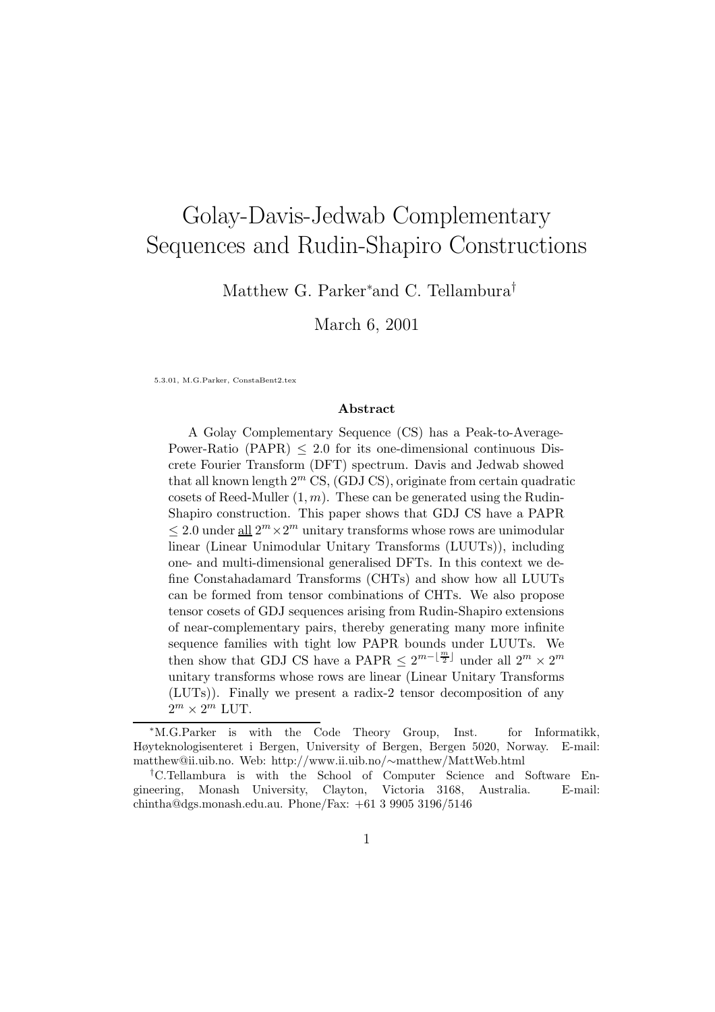# Golay-Davis-Jedwab Complementary Sequences and Rudin-Shapiro Constructions

Matthew G. Parker∗and C. Tellambura†

March 6, 2001

5.3.01, M.G.Parker, ConstaBent2.tex

#### Abstract

A Golay Complementary Sequence (CS) has a Peak-to-Average-Power-Ratio (PAPR)  $\leq$  2.0 for its one-dimensional continuous Discrete Fourier Transform (DFT) spectrum. Davis and Jedwab showed that all known length  $2^m$  CS, (GDJ CS), originate from certain quadratic cosets of Reed-Muller  $(1, m)$ . These can be generated using the Rudin-Shapiro construction. This paper shows that GDJ CS have a PAPR  $\leq 2.0$  under  $\underline{\text{all}} 2^m \times 2^m$  unitary transforms whose rows are unimodular linear (Linear Unimodular Unitary Transforms (LUUTs)), including one- and multi-dimensional generalised DFTs. In this context we define Constahadamard Transforms (CHTs) and show how all LUUTs can be formed from tensor combinations of CHTs. We also propose tensor cosets of GDJ sequences arising from Rudin-Shapiro extensions of near-complementary pairs, thereby generating many more infinite sequence families with tight low PAPR bounds under LUUTs. We then show that GDJ CS have a PAPR  $\leq 2^{m-\lfloor \frac{m}{2} \rfloor}$  under all  $2^m \times 2^m$ unitary transforms whose rows are linear (Linear Unitary Transforms (LUTs)). Finally we present a radix-2 tensor decomposition of any  $2^m \times 2^m$  LUT.

<sup>∗</sup>M.G.Parker is with the Code Theory Group, Inst. for Informatikk, Høyteknologisenteret i Bergen, University of Bergen, Bergen 5020, Norway. E-mail: matthew@ii.uib.no. Web: http://www.ii.uib.no/∼matthew/MattWeb.html

<sup>†</sup>C.Tellambura is with the School of Computer Science and Software Engineering, Monash University, Clayton, Victoria 3168, Australia. E-mail: chintha@dgs.monash.edu.au. Phone/Fax: +61 3 9905 3196/5146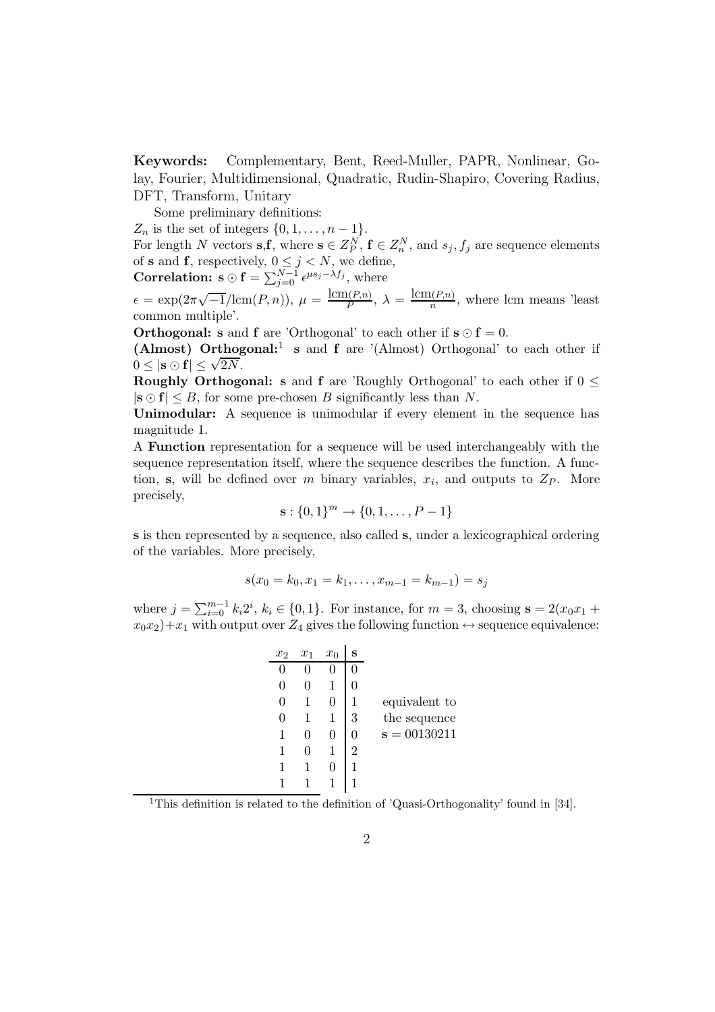Keywords: Complementary, Bent, Reed-Muller, PAPR, Nonlinear, Golay, Fourier, Multidimensional, Quadratic, Rudin-Shapiro, Covering Radius, DFT, Transform, Unitary

Some preliminary definitions:

 $Z_n$  is the set of integers  $\{0, 1, \ldots, n-1\}.$ 

For length N vectors  $s, f$ , where  $s \in Z_p^N$ ,  $f \in Z_n^N$ , and  $s_j, f_j$  are sequence elements of **s** and **f**, respectively,  $0 \leq j \leq N$ , we define,

**Correlation:** 
$$
\mathbf{s} \odot \mathbf{f} = \sum_{j=0}^{N-1} \epsilon^{\mu s_j - \lambda f_j}
$$
, where

 $\epsilon = \exp(2\pi\sqrt{-1}/\text{lcm}(P,n)), \ \mu = \frac{\text{lcm}(P,n)}{P}$  $\frac{\ln(P,n)}{P}, \lambda = \frac{\text{lcm}(P,n)}{n}$  $\frac{n(r,n)}{n}$ , where lcm means 'least common multiple'.

**Orthogonal: s** and **f** are 'Orthogonal' to each other if  $s \odot f = 0$ .

(Almost) Orthogonal:<sup>1</sup> s and f are '(Almost) Orthogonal' to each other if  $0 \leq |\mathbf{s} \odot \mathbf{f}| \leq \sqrt{2N}$ .

**Roughly Orthogonal:** s and f are 'Roughly Orthogonal' to each other if  $0 \leq$  $|\mathbf{s} \odot \mathbf{f}| \leq B$ , for some pre-chosen B significantly less than N.

Unimodular: A sequence is unimodular if every element in the sequence has magnitude 1.

A Function representation for a sequence will be used interchangeably with the sequence representation itself, where the sequence describes the function. A function, s, will be defined over m binary variables,  $x_i$ , and outputs to  $Z_P$ . More precisely,

$$
\mathbf{s}:\{0,1\}^m \to \{0,1,\ldots,P-1\}
$$

s is then represented by a sequence, also called s, under a lexicographical ordering of the variables. More precisely,

$$
s(x_0 = k_0, x_1 = k_1, \dots, x_{m-1} = k_{m-1}) = s_j
$$

where  $j = \sum_{i=0}^{m-1} k_i 2^i$ ,  $k_i \in \{0, 1\}$ . For instance, for  $m = 3$ , choosing  $s = 2(x_0 x_1 +$  $x_0x_2+x_1$  with output over  $Z_4$  gives the following function  $\leftrightarrow$  sequence equivalence:

| $x_2$            | $x_1$ | $x_0$ | s |                |
|------------------|-------|-------|---|----------------|
|                  |       |       |   |                |
| $\left( \right)$ |       |       |   |                |
| 0                |       |       |   | equivalent to  |
| 0                |       |       | 3 | the sequence   |
|                  |       | 0     |   | $s = 00130211$ |
|                  |       |       | 2 |                |
| 1                |       |       |   |                |
|                  |       |       |   |                |

<sup>1</sup>This definition is related to the definition of 'Quasi-Orthogonality' found in [34].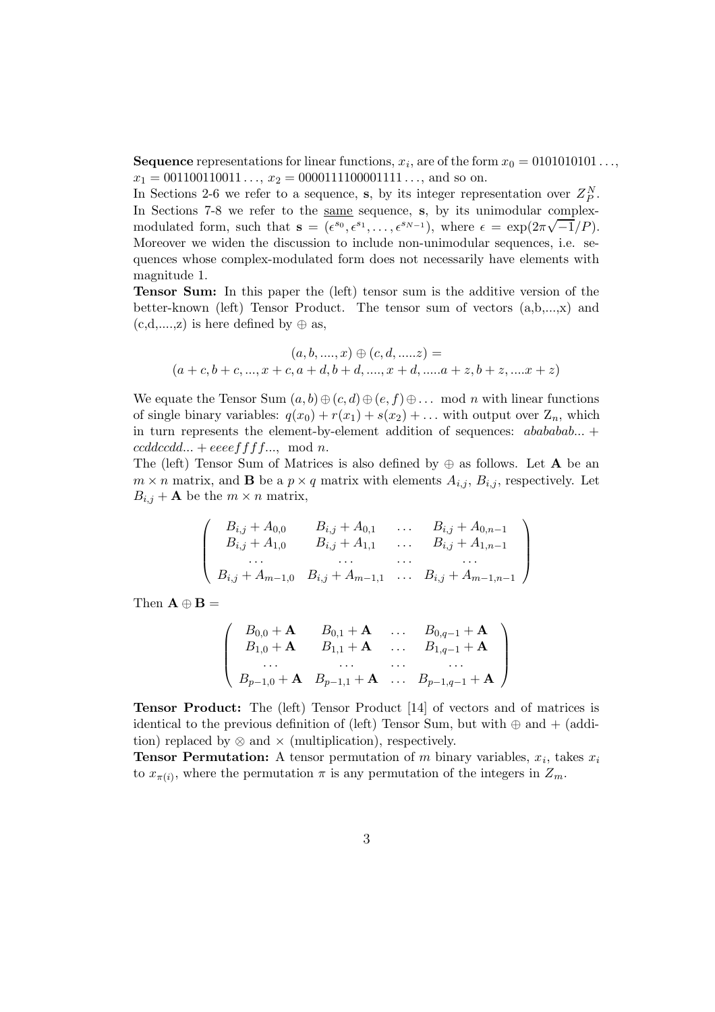**Sequence** representations for linear functions,  $x_i$ , are of the form  $x_0 = 0101010101...,$  $x_1 = 001100110011...$ ,  $x_2 = 0000111100001111...$ , and so on.

In Sections 2-6 we refer to a sequence, s, by its integer representation over  $Z_P^N$ . In Sections 7-8 we refer to the same sequence, s, by its unimodular complexmodulated form, such that  $\mathbf{s} = (\epsilon^{s_0}, \epsilon^{s_1}, \ldots, \epsilon^{s_{N-1}})$ , where  $\epsilon = \exp(2\pi\sqrt{-1}/P)$ . Moreover we widen the discussion to include non-unimodular sequences, i.e. sequences whose complex-modulated form does not necessarily have elements with magnitude 1.

Tensor Sum: In this paper the (left) tensor sum is the additive version of the better-known (left) Tensor Product. The tensor sum of vectors (a,b,...,x) and  $(c,d,...,z)$  is here defined by  $\oplus$  as,

$$
(a, b, \ldots, x) \oplus (c, d, \ldots, z) =
$$
  

$$
(a + c, b + c, \ldots, x + c, a + d, b + d, \ldots, x + d, \ldots, a + z, b + z, \ldots, x + z)
$$

We equate the Tensor Sum  $(a, b) \oplus (c, d) \oplus (e, f) \oplus \ldots$  mod n with linear functions of single binary variables:  $q(x_0) + r(x_1) + s(x_2) + \ldots$  with output over  $Z_n$ , which in turn represents the element-by-element addition of sequences:  $ababab...$  $cddccdd... + eeeeffff...$ , mod n.

The (left) Tensor Sum of Matrices is also defined by  $\oplus$  as follows. Let **A** be an  $m \times n$  matrix, and **B** be a  $p \times q$  matrix with elements  $A_{i,j}$ ,  $B_{i,j}$ , respectively. Let  $B_{i,j} + A$  be the  $m \times n$  matrix,

$$
\begin{pmatrix}\nB_{i,j} + A_{0,0} & B_{i,j} + A_{0,1} & \dots & B_{i,j} + A_{0,n-1} \\
B_{i,j} + A_{1,0} & B_{i,j} + A_{1,1} & \dots & B_{i,j} + A_{1,n-1} \\
\vdots & \vdots & \vdots & \vdots \\
B_{i,j} + A_{m-1,0} & B_{i,j} + A_{m-1,1} & \dots & B_{i,j} + A_{m-1,n-1}\n\end{pmatrix}
$$

Then  $\mathbf{A} \oplus \mathbf{B} =$ 

$$
\begin{pmatrix}\nB_{0,0} + A & B_{0,1} + A & \dots & B_{0,q-1} + A \\
B_{1,0} + A & B_{1,1} + A & \dots & B_{1,q-1} + A \\
\vdots & \vdots & \ddots & \vdots \\
B_{p-1,0} + A & B_{p-1,1} + A & \dots & B_{p-1,q-1} + A\n\end{pmatrix}
$$

Tensor Product: The (left) Tensor Product [14] of vectors and of matrices is identical to the previous definition of (left) Tensor Sum, but with  $\oplus$  and  $+$  (addition) replaced by  $\otimes$  and  $\times$  (multiplication), respectively.

**Tensor Permutation:** A tensor permutation of m binary variables,  $x_i$ , takes  $x_i$ to  $x_{\pi(i)}$ , where the permutation  $\pi$  is any permutation of the integers in  $Z_m$ .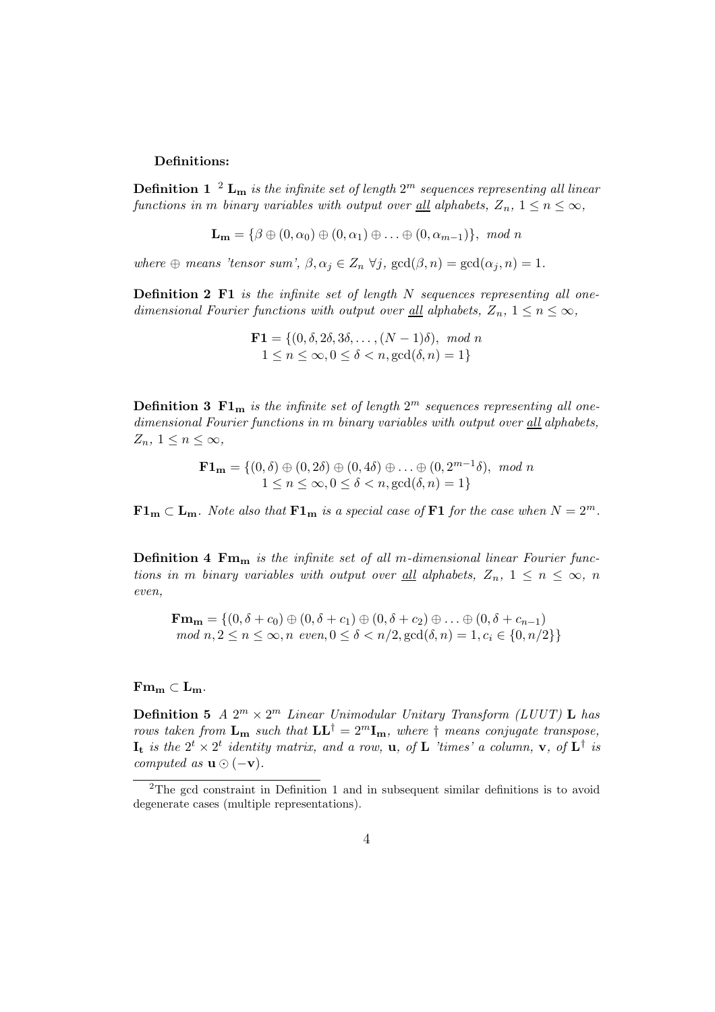#### Definitions:

**Definition 1** <sup>2</sup>  $\mathbf{L_m}$  is the infinite set of length  $2^m$  sequences representing all linear functions in m binary variables with output over <u>all</u> alphabets,  $Z_n$ ,  $1 \leq n \leq \infty$ ,

$$
\mathbf{L}_{\mathbf{m}} = \{ \beta \oplus (0, \alpha_0) \oplus (0, \alpha_1) \oplus \ldots \oplus (0, \alpha_{m-1}) \}, \mod n
$$

where  $\oplus$  means 'tensor sum',  $\beta, \alpha_j \in Z_n \ \forall j$ ,  $\gcd(\beta, n) = \gcd(\alpha_j, n) = 1$ .

**Definition 2 F1** is the infinite set of length  $N$  sequences representing all onedimensional Fourier functions with output over <u>all</u> alphabets,  $Z_n$ ,  $1 \leq n \leq \infty$ ,

$$
\mathbf{F1} = \{ (0, \delta, 2\delta, 3\delta, \dots, (N-1)\delta), \mod n \\ 1 \le n \le \infty, 0 \le \delta < n, \gcd(\delta, n) = 1 \}
$$

**Definition 3 F1**m is the infinite set of length  $2^m$  sequences representing all onedimensional Fourier functions in m binary variables with output over all alphabets,  $Z_n, 1 \leq n \leq \infty$ ,

> $\mathbf{F1_m} = \{ (0, \delta) \oplus (0, 2\delta) \oplus (0, 4\delta) \oplus \ldots \oplus (0, 2^{m-1}\delta), \mod n \}$  $1 \leq n \leq \infty, 0 \leq \delta < n, \gcd(\delta, n) = 1\}$

 $\mathbf{F1_m} \subset \mathbf{L_m}$ . Note also that  $\mathbf{F1_m}$  is a special case of  $\mathbf{F1}$  for the case when  $N = 2^m$ .

**Definition 4 Fm<sub>m</sub>** is the infinite set of all m-dimensional linear Fourier functions in m binary variables with output over <u>all</u> alphabets,  $Z_n$ ,  $1 \leq n \leq \infty$ , n even,

 $\mathbf{Fm}_{m} = \{(0, \delta + c_0) \oplus (0, \delta + c_1) \oplus (0, \delta + c_2) \oplus \ldots \oplus (0, \delta + c_{n-1})\}$ mod  $n, 2 \le n \le \infty$ , n even,  $0 \le \delta < n/2$ , gcd $(\delta, n) = 1$ ,  $c_i \in \{0, n/2\}$ 

#### $\mathbf{Fm}_{\mathbf{m}} \subset \mathbf{L}_{\mathbf{m}}.$

**Definition 5**  $A \, 2^m \times 2^m$  Linear Unimodular Unitary Transform (LUUT) **L** has rows taken from  $\mathbf{L}_{\mathbf{m}}$  such that  $\mathbf{L}\mathbf{L}^{\dagger} = 2^m \mathbf{I}_{\mathbf{m}}$ , where  $\dagger$  means conjugate transpose,  $\mathbf{I_t}$  is the  $2^t \times 2^t$  identity matrix, and a row,  $\mathbf{u}$ , of  $\mathbf{L}$  'times' a column,  $\mathbf{v}$ , of  $\mathbf{L}^{\dagger}$  is computed as  $\mathbf{u} \odot (-\mathbf{v})$ .

<sup>2</sup>The gcd constraint in Definition 1 and in subsequent similar definitions is to avoid degenerate cases (multiple representations).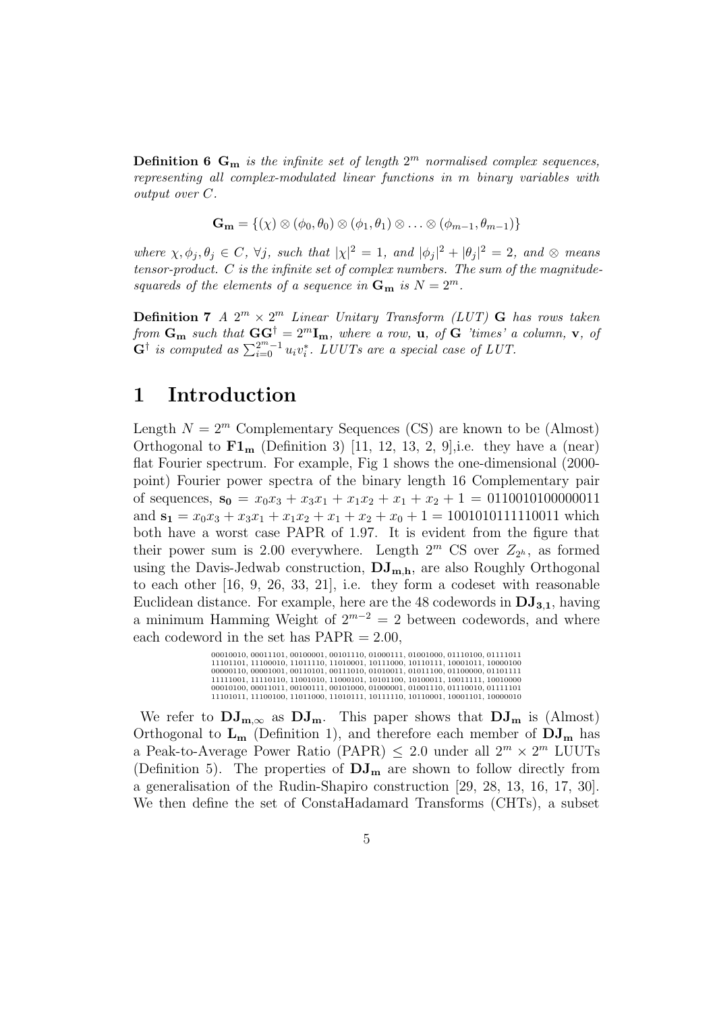**Definition 6 G<sub>m</sub>** is the infinite set of length  $2^m$  normalised complex sequences, representing all complex-modulated linear functions in m binary variables with output over C.

$$
\mathbf{G_m} = \{ (\chi) \otimes (\phi_0, \theta_0) \otimes (\phi_1, \theta_1) \otimes \ldots \otimes (\phi_{m-1}, \theta_{m-1}) \}
$$

where  $\chi, \phi_j, \theta_j \in C$ ,  $\forall j$ , such that  $|\chi|^2 = 1$ , and  $|\phi_j|^2 + |\theta_j|^2 = 2$ , and  $\otimes$  means tensor-product. C is the infinite set of complex numbers. The sum of the magnitudesquareds of the elements of a sequence in  $G_m$  is  $N = 2^m$ .

**Definition 7** A  $2^m \times 2^m$  Linear Unitary Transform (LUT) G has rows taken from  $\mathbf{G}_{\mathbf{m}}$  such that  $\mathbf{G} \mathbf{G}^{\dagger} = 2^m \mathbf{I}_{\mathbf{m}}$ , where a row,  $\mathbf{u}$ , of  $\mathbf{G}$  'times' a column,  $\mathbf{v}$ , of  $\mathbf{G}^{\dagger}$  is computed as  $\sum_{i=0}^{2^m-1} u_i v_i^*$ . LUUTs are a special case of LUT.

### 1 Introduction

Length  $N = 2^m$  Complementary Sequences (CS) are known to be (Almost) Orthogonal to  $\mathbf{F1}_{\mathbf{m}}$  (Definition 3) [11, 12, 13, 2, 9], i.e. they have a (near) flat Fourier spectrum. For example, Fig 1 shows the one-dimensional (2000 point) Fourier power spectra of the binary length 16 Complementary pair of sequences,  $s_0 = x_0x_3 + x_3x_1 + x_1x_2 + x_1 + x_2 + 1 = 0110010100000011$ and  $s_1 = x_0x_3 + x_3x_1 + x_1x_2 + x_1 + x_2 + x_0 + 1 = 1001010111110011$  which both have a worst case PAPR of 1.97. It is evident from the figure that their power sum is 2.00 everywhere. Length  $2^m$  CS over  $Z_{2^h}$ , as formed using the Davis-Jedwab construction,  $DJ_{m,h}$ , are also Roughly Orthogonal to each other [16, 9, 26, 33, 21], i.e. they form a codeset with reasonable Euclidean distance. For example, here are the 48 codewords in  $DJ_{3,1}$ , having a minimum Hamming Weight of  $2^{m-2} = 2$  between codewords, and where each codeword in the set has  $PAPR = 2.00$ ,

> 00010010, 00011101, 00100001, 00101110, 01000111, 01001000, 01110100, 01111011  $11101101, 11100010, 11011110, 11010001, 10111000, 10110111, 10001011, 10000100$ <br> $00000110, 00001001, 00110101, 00110101, 00100011, 01011000, 01100000, 011011110$ <br> $11111001, 11110110, 11001010, 11001010, 10100101, 1001010$

We refer to  $DJ_{m,\infty}$  as  $DJ_m$ . This paper shows that  $DJ_m$  is (Almost) Orthogonal to  $L_m$  (Definition 1), and therefore each member of  $DJ_m$  has a Peak-to-Average Power Ratio (PAPR)  $\leq 2.0$  under all  $2^m \times 2^m$  LUUTs (Definition 5). The properties of  $\bf{DJ}_{m}$  are shown to follow directly from a generalisation of the Rudin-Shapiro construction [29, 28, 13, 16, 17, 30]. We then define the set of ConstaHadamard Transforms (CHTs), a subset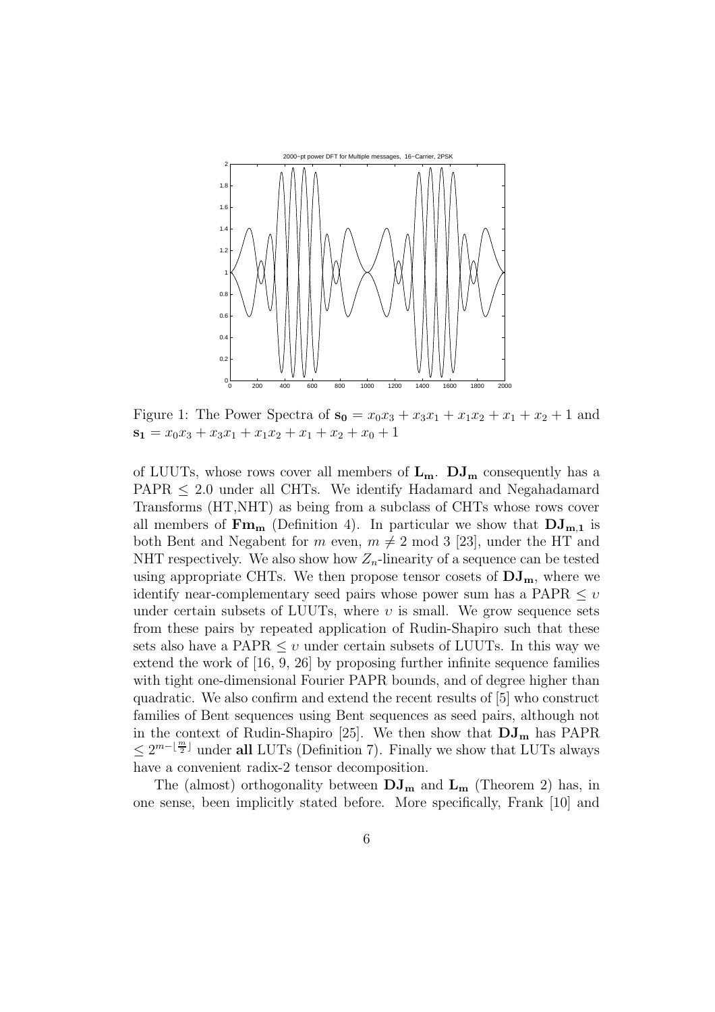

Figure 1: The Power Spectra of  $s_0 = x_0x_3 + x_3x_1 + x_1x_2 + x_1 + x_2 + 1$  and  $s_1 = x_0x_3 + x_3x_1 + x_1x_2 + x_1 + x_2 + x_0 + 1$ 

of LUUTs, whose rows cover all members of  $L_m$ .  $DJ_m$  consequently has a  $PAPR \leq 2.0$  under all CHTs. We identify Hadamard and Negahadamard Transforms (HT,NHT) as being from a subclass of CHTs whose rows cover all members of  $\mathbf{Fm}_{m}$  (Definition 4). In particular we show that  $\mathbf{DJ}_{m,1}$  is both Bent and Negabent for m even,  $m \neq 2 \mod 3$  [23], under the HT and NHT respectively. We also show how  $Z_n$ -linearity of a sequence can be tested using appropriate CHTs. We then propose tensor cosets of  $DJ_{m}$ , where we identify near-complementary seed pairs whose power sum has a PAPR  $\leq v$ under certain subsets of LUUTs, where  $\nu$  is small. We grow sequence sets from these pairs by repeated application of Rudin-Shapiro such that these sets also have a PAPR  $\leq v$  under certain subsets of LUUTs. In this way we extend the work of [16, 9, 26] by proposing further infinite sequence families with tight one-dimensional Fourier PAPR bounds, and of degree higher than quadratic. We also confirm and extend the recent results of [5] who construct families of Bent sequences using Bent sequences as seed pairs, although not in the context of Rudin-Shapiro [25]. We then show that  $DJ_{m}$  has PAPR  $\leq 2^{m-\lfloor \frac{m}{2} \rfloor}$  under all LUTs (Definition 7). Finally we show that LUTs always have a convenient radix-2 tensor decomposition.

The (almost) orthogonality between  $DJ_{m}$  and  $L_{m}$  (Theorem 2) has, in one sense, been implicitly stated before. More specifically, Frank [10] and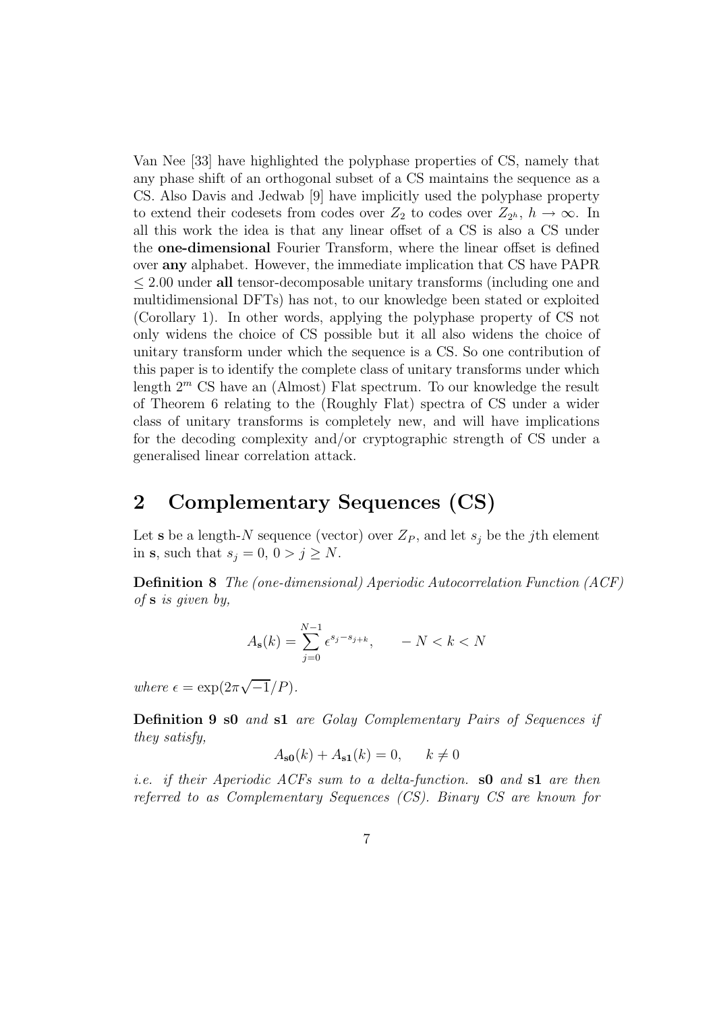Van Nee [33] have highlighted the polyphase properties of CS, namely that any phase shift of an orthogonal subset of a CS maintains the sequence as a CS. Also Davis and Jedwab [9] have implicitly used the polyphase property to extend their codesets from codes over  $Z_2$  to codes over  $Z_{2^h}$ ,  $h \to \infty$ . In all this work the idea is that any linear offset of a CS is also a CS under the one-dimensional Fourier Transform, where the linear offset is defined over any alphabet. However, the immediate implication that CS have PAPR ≤ 2.00 under all tensor-decomposable unitary transforms (including one and multidimensional DFTs) has not, to our knowledge been stated or exploited (Corollary 1). In other words, applying the polyphase property of CS not only widens the choice of CS possible but it all also widens the choice of unitary transform under which the sequence is a CS. So one contribution of this paper is to identify the complete class of unitary transforms under which length 2 <sup>m</sup> CS have an (Almost) Flat spectrum. To our knowledge the result of Theorem 6 relating to the (Roughly Flat) spectra of CS under a wider class of unitary transforms is completely new, and will have implications for the decoding complexity and/or cryptographic strength of CS under a generalised linear correlation attack.

## 2 Complementary Sequences (CS)

Let **s** be a length-N sequence (vector) over  $Z_P$ , and let  $s_j$  be the jth element in s, such that  $s_j = 0, 0 > j \geq N$ .

Definition 8 The (one-dimensional) Aperiodic Autocorrelation Function (ACF) of s is given by,

$$
A_{\mathbf{s}}(k) = \sum_{j=0}^{N-1} \epsilon^{s_j - s_{j+k}}, \qquad -N < k < N
$$

where  $\epsilon = \exp(2\pi\sqrt{-1}/P)$ .

Definition 9 s0 and s1 are Golay Complementary Pairs of Sequences if they satisfy,

$$
A_{\mathbf{s0}}(k) + A_{\mathbf{s1}}(k) = 0, \qquad k \neq 0
$$

*i.e.* if their Aperiodic ACFs sum to a delta-function.  $\textbf{s0}$  and  $\textbf{s1}$  are then referred to as Complementary Sequences (CS). Binary CS are known for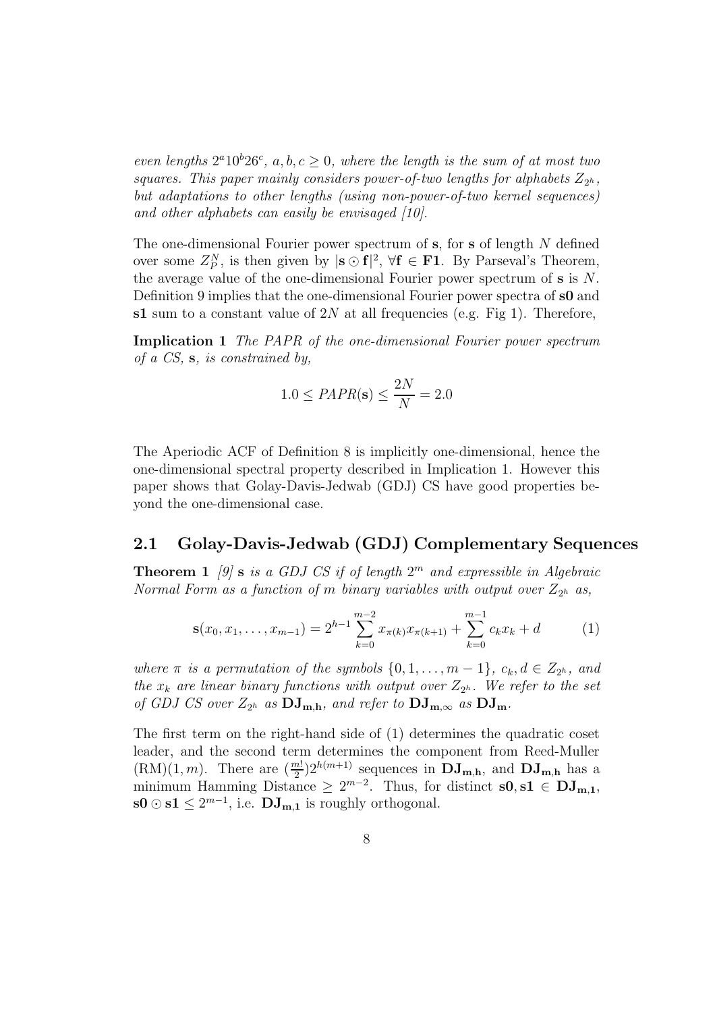even lengths  $2^a10^b26^c$ ,  $a, b, c \ge 0$ , where the length is the sum of at most two squares. This paper mainly considers power-of-two lengths for alphabets  $Z_{2^h}$ , but adaptations to other lengths (using non-power-of-two kernel sequences) and other alphabets can easily be envisaged [10].

The one-dimensional Fourier power spectrum of  $s$ , for  $s$  of length  $N$  defined over some  $Z_P^N$ , is then given by  $|\mathbf{s} \odot \mathbf{f}|^2$ ,  $\forall \mathbf{f} \in \mathbf{F1}$ . By Parseval's Theorem, the average value of the one-dimensional Fourier power spectrum of  $s$  is  $N$ . Definition 9 implies that the one-dimensional Fourier power spectra of s0 and s1 sum to a constant value of  $2N$  at all frequencies (e.g. Fig 1). Therefore,

Implication 1 The PAPR of the one-dimensional Fourier power spectrum of a CS, s, is constrained by,

$$
1.0 \leq PAPR(\mathbf{s}) \leq \frac{2N}{N} = 2.0
$$

The Aperiodic ACF of Definition 8 is implicitly one-dimensional, hence the one-dimensional spectral property described in Implication 1. However this paper shows that Golay-Davis-Jedwab (GDJ) CS have good properties beyond the one-dimensional case.

#### 2.1 Golay-Davis-Jedwab (GDJ) Complementary Sequences

**Theorem 1** [9] **s** is a GDJ CS if of length  $2^m$  and expressible in Algebraic Normal Form as a function of m binary variables with output over  $Z_{2^h}$  as,

$$
\mathbf{s}(x_0, x_1, \dots, x_{m-1}) = 2^{h-1} \sum_{k=0}^{m-2} x_{\pi(k)} x_{\pi(k+1)} + \sum_{k=0}^{m-1} c_k x_k + d \tag{1}
$$

where  $\pi$  is a permutation of the symbols  $\{0, 1, \ldots, m-1\}$ ,  $c_k, d \in Z_{2^h}$ , and the  $x_k$  are linear binary functions with output over  $Z_{2^h}$ . We refer to the set of GDJ CS over  $Z_{2^h}$  as  $\mathbf{DJ}_{m,h}$ , and refer to  $\mathbf{DJ}_{m,\infty}$  as  $\mathbf{DJ}_{m}$ .

The first term on the right-hand side of (1) determines the quadratic coset leader, and the second term determines the component from Reed-Muller  $(RM)(1, m)$ . There are  $\left(\frac{m!}{2}\right)$  $\frac{(m!)}{2}$ ) $2^{h(m+1)}$  sequences in  $\mathbf{DJ}_{m,h}$ , and  $\mathbf{DJ}_{m,h}$  has a minimum Hamming Distance  $\geq 2^{m-2}$ . Thus, for distinct  $s0, s1 \in DJ_{m,1}$ ,  $\mathbf{s0} \odot \mathbf{s1} \leq 2^{m-1}$ , i.e.  $\mathbf{DJ}_{\mathbf{m},\mathbf{1}}$  is roughly orthogonal.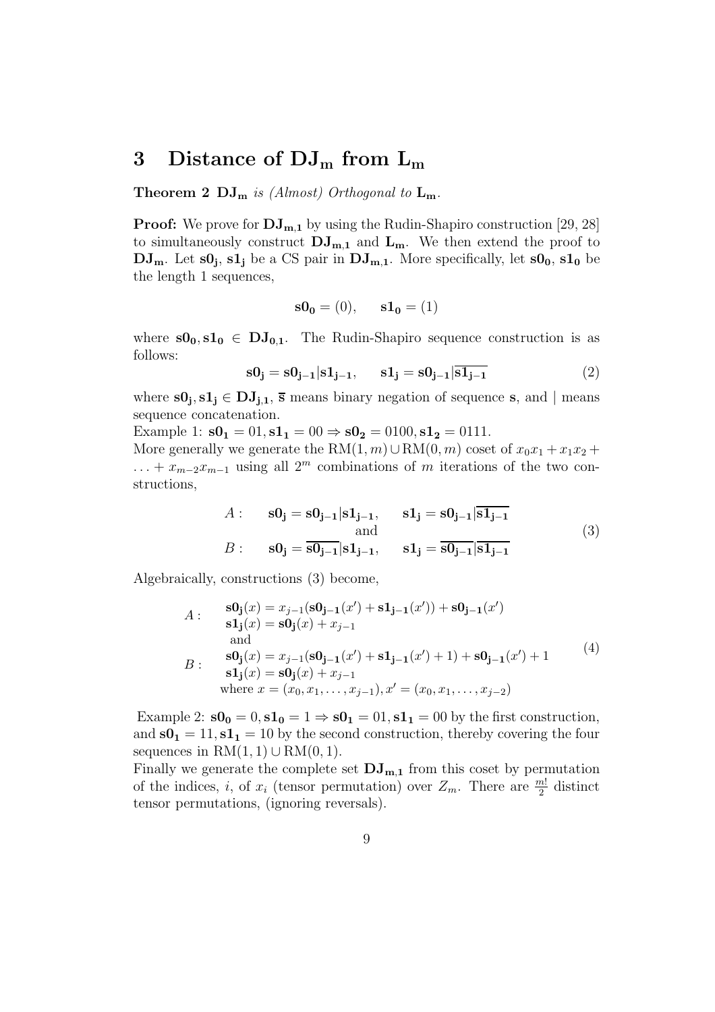# 3 Distance of  $DJ_m$  from  $L_m$

**Theorem 2 DJ**<sub>m</sub> is (Almost) Orthogonal to  $L_m$ .

**Proof:** We prove for  $\mathbf{DJ}_{m,1}$  by using the Rudin-Shapiro construction [29, 28] to simultaneously construct  $DJ_{m,1}$  and  $L_m$ . We then extend the proof to  $\rm\bf DJ_m$ . Let  $\rm s0_j,\,s1_j$  be a CS pair in  $\rm DJ_{m,1}$ . More specifically, let  $\rm s0_0,\,s1_0$  be the length 1 sequences,

$$
\mathbf{s0_0} = (0), \quad \mathbf{s1_0} = (1)
$$

where  $s0_0, s1_0 \in DJ_{0,1}$ . The Rudin-Shapiro sequence construction is as follows:

$$
s0j = s0j-1|s1j-1, \t s1j = s0j-1|s1j-1
$$
 (2)

where  $s0_j, s1_j \in DJ_{j,1}, \overline{s}$  means binary negation of sequence s, and  $|$  means sequence concatenation.

Example 1:  $s0_1 = 01$ ,  $s1_1 = 00 \Rightarrow s0_2 = 0100$ ,  $s1_2 = 0111$ .

More generally we generate the RM $(1, m) \cup RM(0, m)$  coset of  $x_0x_1 + x_1x_2 +$  $\dots + x_{m-2}x_{m-1}$  using all  $2^m$  combinations of m iterations of the two constructions,

$$
A: \quad \mathbf{s0}_{\mathbf{j}} = \mathbf{s0}_{\mathbf{j}-1} | \mathbf{s1}_{\mathbf{j}-1}, \quad \mathbf{s1}_{\mathbf{j}} = \mathbf{s0}_{\mathbf{j}-1} | \overline{\mathbf{s1}_{\mathbf{j}-1}}
$$
  
and  

$$
B: \quad \mathbf{s0}_{\mathbf{j}} = \overline{\mathbf{s0}_{\mathbf{j}-1}} | \mathbf{s1}_{\mathbf{j}-1}, \quad \mathbf{s1}_{\mathbf{j}} = \overline{\mathbf{s0}_{\mathbf{j}-1}} | \overline{\mathbf{s1}_{\mathbf{j}-1}}
$$

$$
(3)
$$

Algebraically, constructions (3) become,

$$
A: \quad \begin{aligned}\n\mathbf{S0}_{\mathbf{j}}(x) &= x_{j-1}(\mathbf{S0}_{\mathbf{j}-1}(x') + \mathbf{S1}_{\mathbf{j}-1}(x')) + \mathbf{S0}_{\mathbf{j}-1}(x') \\
\mathbf{s1}_{\mathbf{j}}(x) &= \mathbf{S0}_{\mathbf{j}}(x) + x_{j-1} \\
\text{and} \\
B: \quad \begin{aligned}\n\mathbf{S0}_{\mathbf{j}}(x) &= x_{j-1}(\mathbf{S0}_{\mathbf{j}-1}(x') + \mathbf{S1}_{\mathbf{j}-1}(x') + 1) + \mathbf{S0}_{\mathbf{j}-1}(x') + 1 \\
\mathbf{s1}_{\mathbf{j}}(x) &= \mathbf{S0}_{\mathbf{j}}(x) + x_{j-1} \\
\text{where } x &= (x_0, x_1, \dots, x_{j-1}), x' = (x_0, x_1, \dots, x_{j-2})\n\end{aligned}\n\end{aligned}
$$
\n
$$
(4)
$$

Example 2:  $\mathbf{s0_0} = 0$ ,  $\mathbf{s1_0} = 1 \Rightarrow \mathbf{s0_1} = 01$ ,  $\mathbf{s1_1} = 00$  by the first construction, and  $s0_1 = 11$ ,  $s1_1 = 10$  by the second construction, thereby covering the four sequences in  $RM(1, 1) \cup RM(0, 1)$ .

Finally we generate the complete set  $\mathbf{D}\mathbf{J}_{\mathbf{m},\mathbf{1}}$  from this coset by permutation of the indices, *i*, of  $x_i$  (tensor permutation) over  $Z_m$ . There are  $\frac{m!}{2}$  distinct tensor permutations, (ignoring reversals).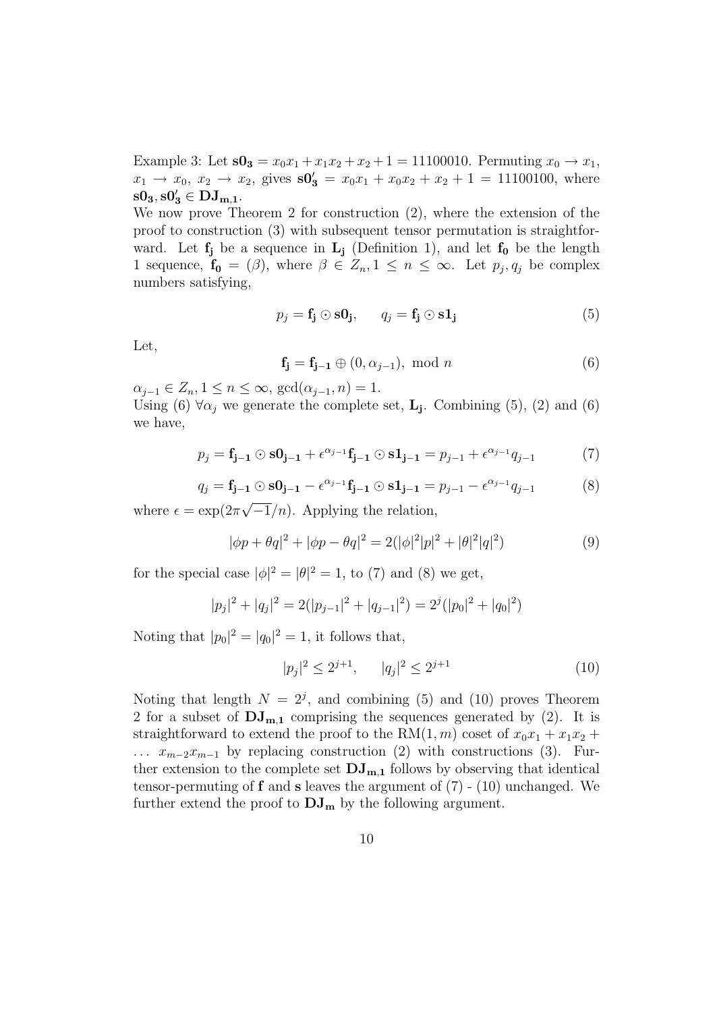Example 3: Let  $s0_3 = x_0x_1 + x_1x_2 + x_2 + 1 = 11100010$ . Permuting  $x_0 \to x_1$ ,  $x_1 \rightarrow x_0, x_2 \rightarrow x_2$ , gives  $s0'_3 = x_0x_1 + x_0x_2 + x_2 + 1 = 11100100$ , where  $\mathrm{s0}_3, \mathrm{s0}'_3 \in \mathrm{DJ}_{\mathrm{m},1}.$ 

We now prove Theorem 2 for construction (2), where the extension of the proof to construction (3) with subsequent tensor permutation is straightforward. Let  $f_j$  be a sequence in  $L_j$  (Definition 1), and let  $f_0$  be the length 1 sequence,  $f_0 = (\beta)$ , where  $\beta \in Z_n, 1 \leq n \leq \infty$ . Let  $p_j, q_j$  be complex numbers satisfying,

$$
p_j = \mathbf{f_j} \odot \mathbf{s0_j}, \qquad q_j = \mathbf{f_j} \odot \mathbf{s1_j}
$$
 (5)

Let,

$$
\mathbf{f_j} = \mathbf{f_{j-1}} \oplus (0, \alpha_{j-1}), \text{ mod } n \tag{6}
$$

 $\alpha_{i-1} \in Z_n, 1 \leq n \leq \infty$ ,  $\gcd(\alpha_{i-1}, n) = 1$ .

Using (6)  $\forall \alpha_j$  we generate the complete set, **L<sub>j</sub>**. Combining (5), (2) and (6) we have,

$$
p_j = \mathbf{f}_{j-1} \odot \mathbf{s0}_{j-1} + \epsilon^{\alpha_{j-1}} \mathbf{f}_{j-1} \odot \mathbf{s1}_{j-1} = p_{j-1} + \epsilon^{\alpha_{j-1}} q_{j-1}
$$
(7)

$$
q_j = \mathbf{f}_{j-1} \odot \mathbf{s} \mathbf{0}_{j-1} - \epsilon^{\alpha_{j-1}} \mathbf{f}_{j-1} \odot \mathbf{s} \mathbf{1}_{j-1} = p_{j-1} - \epsilon^{\alpha_{j-1}} q_{j-1}
$$
(8)

where  $\epsilon = \exp(2\pi\sqrt{-1}/n)$ . Applying the relation,

$$
|\phi p + \theta q|^2 + |\phi p - \theta q|^2 = 2(|\phi|^2 |p|^2 + |\theta|^2 |q|^2)
$$
\n(9)

for the special case  $|\phi|^2 = |\theta|^2 = 1$ , to (7) and (8) we get,

$$
|p_j|^2 + |q_j|^2 = 2(|p_{j-1}|^2 + |q_{j-1}|^2) = 2^j(|p_0|^2 + |q_0|^2)
$$

Noting that  $|p_0|^2 = |q_0|^2 = 1$ , it follows that,

$$
|p_j|^2 \le 2^{j+1}, \qquad |q_j|^2 \le 2^{j+1} \tag{10}
$$

Noting that length  $N = 2<sup>j</sup>$ , and combining (5) and (10) proves Theorem 2 for a subset of  $DJ_{m,1}$  comprising the sequences generated by (2). It is straightforward to extend the proof to the RM $(1, m)$  coset of  $x_0x_1 + x_1x_2 +$  $\ldots$   $x_{m-2}x_{m-1}$  by replacing construction (2) with constructions (3). Further extension to the complete set  $DJ_{m,1}$  follows by observing that identical tensor-permuting of  $f$  and  $s$  leaves the argument of  $(7)$  -  $(10)$  unchanged. We further extend the proof to  $\mathbf{DJ}_{\mathbf{m}}$  by the following argument.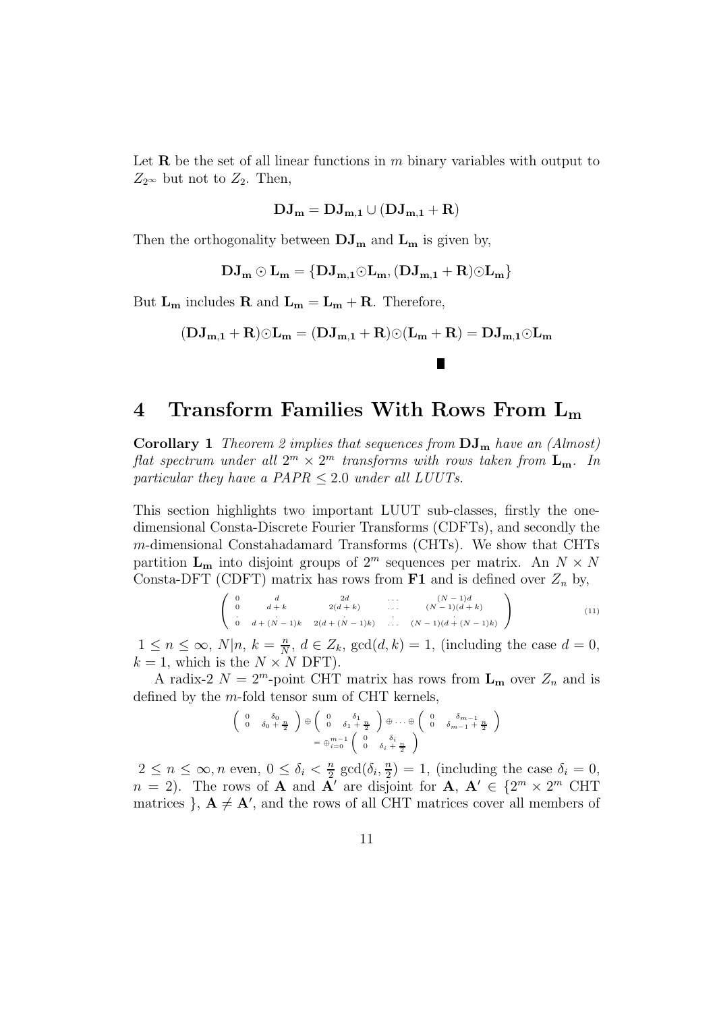Let **R** be the set of all linear functions in m binary variables with output to  $Z_{2^{\infty}}$  but not to  $Z_2$ . Then,

$$
\mathbf{DJ_m} = \mathbf{DJ_{m,1}} \cup (\mathbf{DJ_{m,1}} + \mathbf{R})
$$

Then the orthogonality between  $\mathbf{DJ}_{\mathbf{m}}$  and  $\mathbf{L}_{\mathbf{m}}$  is given by,

 $\mathbf{DJ_m} \odot \mathbf{L_m} = {\mathbf{DJ_{m,1}} \odot \mathbf{L_m},(\mathbf{DJ_{m,1}} + \mathbf{R}) \odot \mathbf{L_m}}$ 

But  $L_m$  includes **R** and  $L_m = L_m + R$ . Therefore,

$$
(\mathbf{DJ_{m,1}} + \mathbf{R}) \odot \mathbf{L_m} = (\mathbf{DJ_{m,1}} + \mathbf{R}) \odot (\mathbf{L_m} + \mathbf{R}) = \mathbf{DJ_{m,1}} \odot \mathbf{L_m}
$$

П

## 4 Transform Families With Rows From  $L_m$

**Corollary 1** Theorem 2 implies that sequences from  $DJ_m$  have an (Almost) flat spectrum under all  $2^m \times 2^m$  transforms with rows taken from  $\mathbf{L}_{\mathbf{m}}$ . In particular they have a  $PAPR \leq 2.0$  under all LUUTs.

This section highlights two important LUUT sub-classes, firstly the onedimensional Consta-Discrete Fourier Transforms (CDFTs), and secondly the m-dimensional Constahadamard Transforms (CHTs). We show that CHTs partition  $\mathbf{L}_{\mathbf{m}}$  into disjoint groups of  $2^m$  sequences per matrix. An  $N \times N$ Consta-DFT (CDFT) matrix has rows from  $F1$  and is defined over  $Z_n$  by,

$$
\left(\begin{array}{cccccc}\n0 & d & 2d & \dots & (N-1)d \\
0 & d+k & 2(d+k) & \dots & (N-1)(d+k) \\
\vdots & \vdots & \vdots & \ddots & \vdots \\
0 & d+(N-1)k & 2(d+(N-1)k) & \dots & (N-1)(d+(N-1)k)\n\end{array}\right) (11)
$$

 $1 \leq n \leq \infty$ ,  $N|n, k = \frac{n}{N}$  $\frac{n}{N}, d \in Z_k$ ,  $gcd(d, k) = 1$ , (including the case  $d = 0$ ,  $k = 1$ , which is the  $N \times N$  DFT).

A radix-2  $N = 2^m$ -point CHT matrix has rows from  $\mathbf{L}_{\mathbf{m}}$  over  $Z_n$  and is defined by the m-fold tensor sum of CHT kernels,

$$
\begin{pmatrix}\n0 & \delta_0 & \delta_1 \\
0 & \delta_0 + \frac{n}{2}\n\end{pmatrix}\n\oplus\n\begin{pmatrix}\n0 & \delta_1 & \delta_1 \\
0 & \delta_1 + \frac{n}{2}\n\end{pmatrix}\n\oplus \dots \oplus\n\begin{pmatrix}\n0 & \delta_{m-1} & \delta_{m-1} \\
0 & \delta_{m-1} + \frac{n}{2}\n\end{pmatrix}
$$
\n
$$
= \oplus_{i=0}^{m-1} \begin{pmatrix}\n0 & \delta_i & \delta_i \\
0 & \delta_i + \frac{n}{2}\n\end{pmatrix}
$$

 $2 \leq n \leq \infty, n \text{ even}, 0 \leq \delta_i < \frac{n}{2}$  $\frac{n}{2} \gcd(\delta_i, \frac{n}{2})$  $\binom{n}{2} = 1$ , (including the case  $\delta_i = 0$ ,  $n = 2$ ). The rows of **A** and **A'** are disjoint for **A**,  $\mathbf{A}' \in \{2^m \times 2^m\}$  CHT matrices },  $A \neq A'$ , and the rows of all CHT matrices cover all members of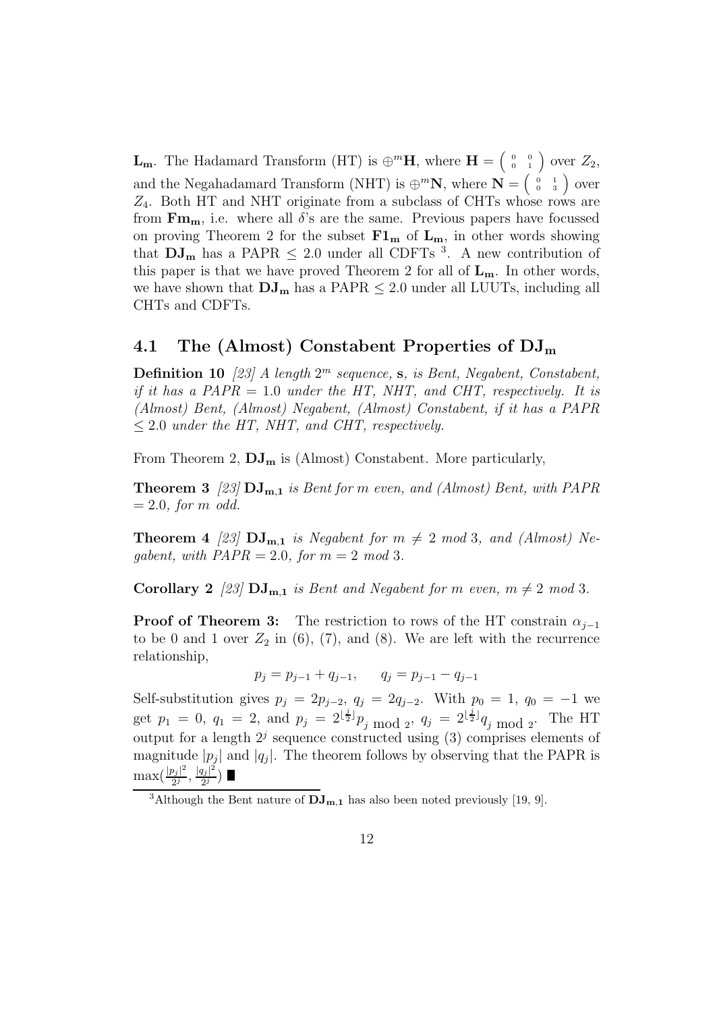**L<sub>m</sub>**. The Hadamard Transform (HT) is  $\oplus^m$ **H**, where **H** =  $\begin{pmatrix} 0 & 0 \\ 0 & 1 \end{pmatrix}$  over  $Z_2$ , and the Negahadamard Transform (NHT) is  $\bigoplus^m \mathbb{N}$ , where  $\mathbb{N} = \begin{pmatrix} 0 & 1 \\ 0 & 3 \end{pmatrix}$  over  $Z_4$ . Both HT and NHT originate from a subclass of CHTs whose rows are from  $\mathbf{Fm}_{m}$ , i.e. where all  $\delta$ 's are the same. Previous papers have focussed on proving Theorem 2 for the subset  $F1_m$  of  $L_m$ , in other words showing that  $DJ_{m}$  has a PAPR  $\leq$  2.0 under all CDFTs <sup>3</sup>. A new contribution of this paper is that we have proved Theorem 2 for all of  $L_m$ . In other words, we have shown that  $DJ_m$  has a PAPR  $\leq 2.0$  under all LUUTs, including all CHTs and CDFTs.

### 4.1 The (Almost) Constabent Properties of  $\rm{DJ}_{m}$

**Definition 10** [23] A length  $2^m$  sequence, s, is Bent, Negabent, Constabent, if it has a PAPR = 1.0 under the HT, NHT, and CHT, respectively. It is (Almost) Bent, (Almost) Negabent, (Almost) Constabent, if it has a PAPR  $\leq$  2.0 under the HT, NHT, and CHT, respectively.

From Theorem 2,  $\mathbf{DJ_m}$  is (Almost) Constabent. More particularly,

**Theorem 3** [23]  $DJ_{m,1}$  is Bent for m even, and (Almost) Bent, with PAPR  $= 2.0$ , for m odd.

**Theorem 4** [23]  $DJ_{m,1}$  is Negabent for  $m \neq 2 \mod 3$ , and (Almost) Negabent, with  $PAPR = 2.0$ , for  $m = 2 \mod 3$ .

**Corollary 2** [23]  $DJ_{m,1}$  is Bent and Negabent for m even,  $m \neq 2 \mod 3$ .

**Proof of Theorem 3:** The restriction to rows of the HT constrain  $\alpha_{i-1}$ to be 0 and 1 over  $Z_2$  in (6), (7), and (8). We are left with the recurrence relationship,

$$
p_j = p_{j-1} + q_{j-1}, \qquad q_j = p_{j-1} - q_{j-1}
$$

Self-substitution gives  $p_j = 2p_{j-2}, q_j = 2q_{j-2}.$  With  $p_0 = 1, q_0 = -1$  we get  $p_1 = 0$ ,  $q_1 = 2$ , and  $p_j = 2^{\lfloor \frac{j}{2} \rfloor} p_j \mod 2$ ,  $q_j = 2^{\lfloor \frac{j}{2} \rfloor} q_j \mod 2$ . The HT output for a length  $2<sup>j</sup>$  sequence constructed using (3) comprises elements of magnitude  $|p_j|$  and  $|q_j|$ . The theorem follows by observing that the PAPR is  $\max(\frac{|p_j|^2}{2^j})$  $\frac{|q_j|^2}{2^j}, \frac{|q_j|^2}{2^j}$  $rac{lj|^{-}}{2^{j}}$ 

<sup>&</sup>lt;sup>3</sup>Although the Bent nature of  $\mathbf{DJ_{m,1}}$  has also been noted previously [19, 9].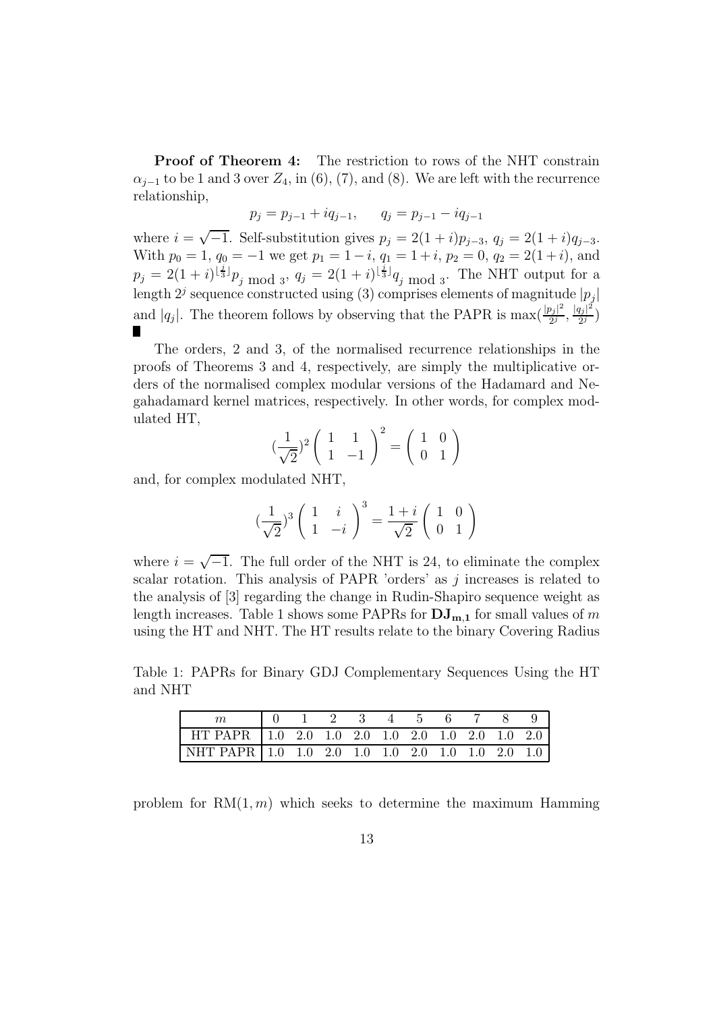**Proof of Theorem 4:** The restriction to rows of the NHT constrain  $\alpha_{i-1}$  to be 1 and 3 over  $Z_4$ , in (6), (7), and (8). We are left with the recurrence relationship,

$$
p_j = p_{j-1} + iq_{j-1}, \qquad q_j = p_{j-1} - iq_{j-1}
$$

where  $i = \sqrt{-1}$ . Self-substitution gives  $p_j = 2(1+i)p_{j-3}$ ,  $q_j = 2(1+i)q_{j-3}$ . With  $p_0 = 1$ ,  $q_0 = -1$  we get  $p_1 = 1 - i$ ,  $q_1 = 1 + i$ ,  $p_2 = 0$ ,  $q_2 = 2(1 + i)$ , and  $p_j = 2(1+i)^{\lfloor \frac{j}{3} \rfloor} p_j \mod_3$ ,  $q_j = 2(1+i)^{\lfloor \frac{j}{3} \rfloor} q_j \mod_3$ . The NHT output for a length  $2^j$  sequence constructed using (3) comprises elements of magnitude  $|p_j|$ and |q<sub>j</sub>|. The theorem follows by observing that the PAPR is  $\max(\frac{|p_j|^2}{2^j})$  $\frac{1}{2^j}$ ,  $\frac{|q_j|^2}{2^j}$  $\frac{lj|}{2^j}\Big)$ 

The orders, 2 and 3, of the normalised recurrence relationships in the proofs of Theorems 3 and 4, respectively, are simply the multiplicative orders of the normalised complex modular versions of the Hadamard and Negahadamard kernel matrices, respectively. In other words, for complex modulated HT,

$$
\left(\frac{1}{\sqrt{2}}\right)^2 \left(\begin{array}{cc} 1 & 1\\ 1 & -1 \end{array}\right)^2 = \left(\begin{array}{cc} 1 & 0\\ 0 & 1 \end{array}\right)
$$

and, for complex modulated NHT,

$$
\left(\frac{1}{\sqrt{2}}\right)^3 \left(\begin{array}{cc} 1 & i \\ 1 & -i \end{array}\right)^3 = \frac{1+i}{\sqrt{2}} \left(\begin{array}{cc} 1 & 0 \\ 0 & 1 \end{array}\right)
$$

where  $i = \sqrt{-1}$ . The full order of the NHT is 24, to eliminate the complex scalar rotation. This analysis of PAPR 'orders' as  $j$  increases is related to the analysis of [3] regarding the change in Rudin-Shapiro sequence weight as length increases. Table 1 shows some PAPRs for  $\mathbf{DJ}_{m,1}$  for small values of m using the HT and NHT. The HT results relate to the binary Covering Radius

Table 1: PAPRs for Binary GDJ Complementary Sequences Using the HT and NHT

|                                                    | 10 1 2 3 4 5 6 7 8 |  |  |  |  |  |
|----------------------------------------------------|--------------------|--|--|--|--|--|
| HT PAPR   1.0 2.0 1.0 2.0 1.0 2.0 1.0 2.0 1.0 2.0  |                    |  |  |  |  |  |
| NHT PAPR   1.0 1.0 2.0 1.0 1.0 2.0 1.0 1.0 2.0 1.0 |                    |  |  |  |  |  |

problem for  $RM(1, m)$  which seeks to determine the maximum Hamming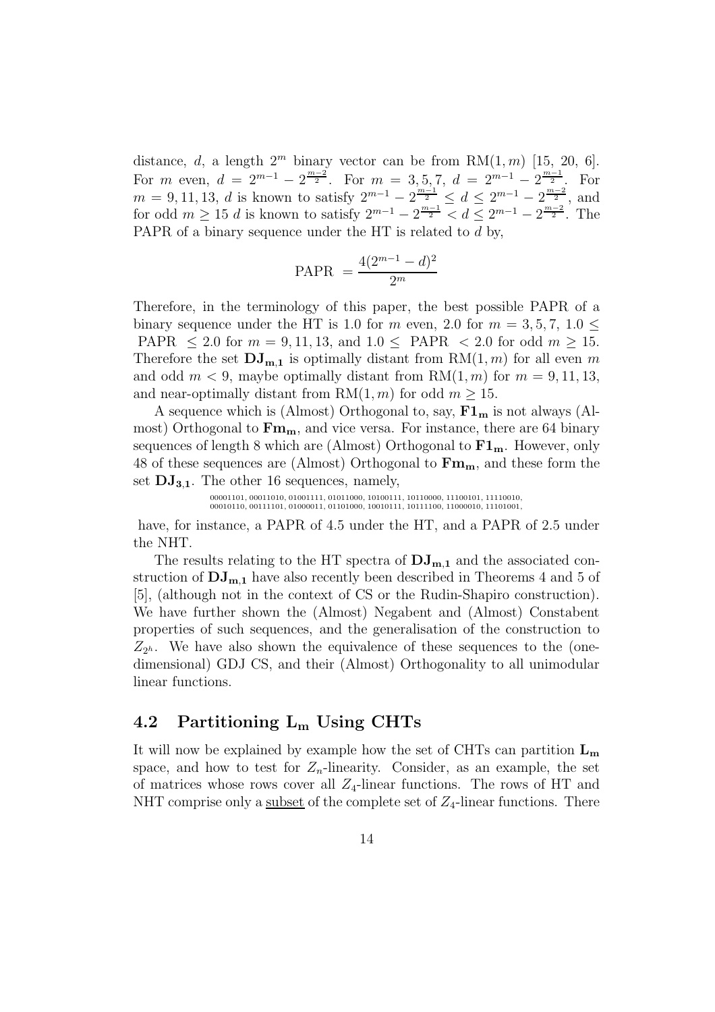distance, d, a length  $2^m$  binary vector can be from RM $(1, m)$  [15, 20, 6]. For m even,  $d = 2^{m-1} - 2^{\frac{m-2}{2}}$ . For  $m = 3, 5, 7, d = 2^{m-1} - 2^{\frac{m-1}{2}}$ . For  $m = 9, 11, 13, d$  is known to satisfy  $2^{m-1} - 2^{\frac{m-1}{2}} \le d \le 2^{m-1} - 2^{\frac{m-2}{2}}$ , and for odd  $m \ge 15$  d is known to satisfy  $2^{m-1} - 2^{\frac{m-1}{2}} < d \le 2^{m-1} - 2^{\frac{m-2}{2}}$ . The PAPR of a binary sequence under the HT is related to d by,

$$
PAPR = \frac{4(2^{m-1} - d)^2}{2^m}
$$

Therefore, in the terminology of this paper, the best possible PAPR of a binary sequence under the HT is 1.0 for m even, 2.0 for  $m = 3, 5, 7, 1.0 \le$ PAPR  $\leq 2.0$  for  $m = 9, 11, 13$ , and  $1.0 \leq$  PAPR  $\lt 2.0$  for odd  $m \geq 15$ . Therefore the set  $\mathbf{DJ}_{m,1}$  is optimally distant from  $RM(1,m)$  for all even m and odd  $m < 9$ , maybe optimally distant from  $RM(1, m)$  for  $m = 9, 11, 13$ , and near-optimally distant from RM $(1, m)$  for odd  $m \ge 15$ .

A sequence which is (Almost) Orthogonal to, say,  $F1_m$  is not always (Almost) Orthogonal to  $\mathbf{Fm}_{m}$ , and vice versa. For instance, there are 64 binary sequences of length 8 which are (Almost) Orthogonal to  $F1_m$ . However, only 48 of these sequences are (Almost) Orthogonal to  $\mathbf{Fm}_{m}$ , and these form the set  $DJ_{3,1}$ . The other 16 sequences, namely,

00001101, 00011010, 01001111, 01011000, 10100111, 10110000, 11100101, 11110010, 00010110, 00111101, 01000011, 01101000, 10010111, 10111100, 11000010, 11101001,

have, for instance, a PAPR of 4.5 under the HT, and a PAPR of 2.5 under the NHT.

The results relating to the HT spectra of  $\mathrm{DJ}_{m,1}$  and the associated construction of  $DJ_{m,1}$  have also recently been described in Theorems 4 and 5 of [5], (although not in the context of CS or the Rudin-Shapiro construction). We have further shown the (Almost) Negabent and (Almost) Constabent properties of such sequences, and the generalisation of the construction to  $Z_{2^h}$ . We have also shown the equivalence of these sequences to the (onedimensional) GDJ CS, and their (Almost) Orthogonality to all unimodular linear functions.

### 4.2 Partitioning  $L_m$  Using CHTs

It will now be explained by example how the set of CHTs can partition  $L_m$ space, and how to test for  $Z_n$ -linearity. Consider, as an example, the set of matrices whose rows cover all  $Z_4$ -linear functions. The rows of HT and NHT comprise only a subset of the complete set of  $Z_4$ -linear functions. There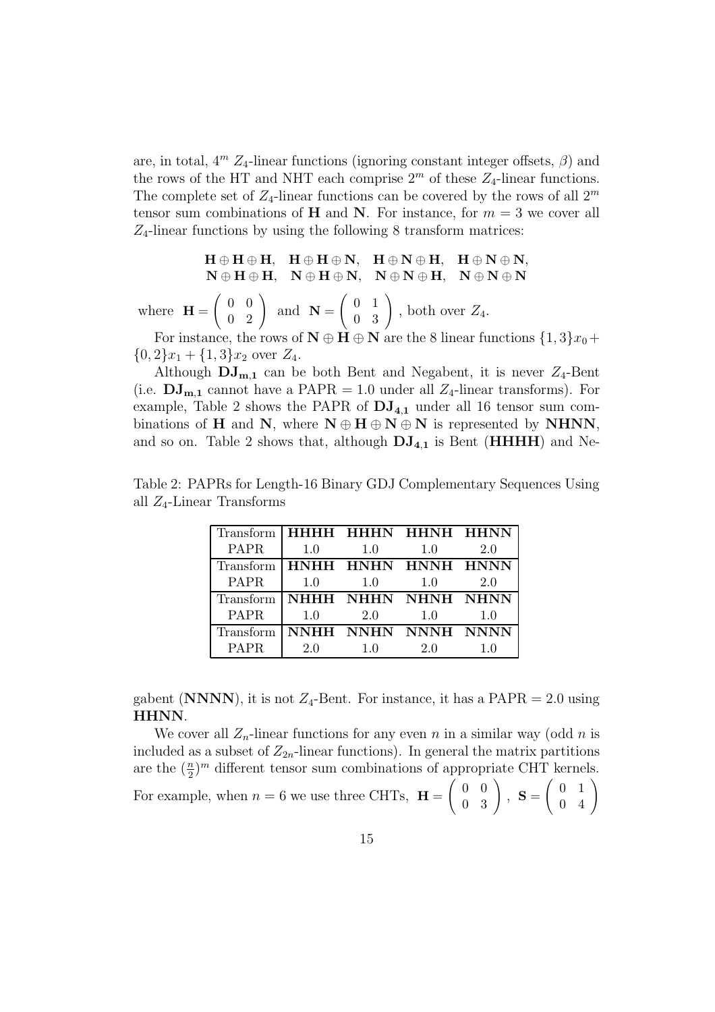are, in total,  $4^m$   $Z_4$ -linear functions (ignoring constant integer offsets,  $\beta$ ) and the rows of the HT and NHT each comprise  $2<sup>m</sup>$  of these  $Z_4$ -linear functions. The complete set of  $Z_4$ -linear functions can be covered by the rows of all  $2^m$ tensor sum combinations of H and N. For instance, for  $m = 3$  we cover all  $Z_4$ -linear functions by using the following 8 transform matrices:

$$
H \oplus H \oplus H, \quad H \oplus H \oplus N, \quad H \oplus N \oplus H, \quad H \oplus N \oplus N,
$$

$$
N \oplus H \oplus H, \quad N \oplus H \oplus N, \quad N \oplus N \oplus H, \quad N \oplus N \oplus N
$$

where  $H =$  $\begin{pmatrix} 0 & 0 \\ 0 & 0 \end{pmatrix}$ 0 2  $\setminus$ and  $N =$  $\begin{pmatrix} 0 & 1 \end{pmatrix}$ 0 3  $\setminus$ , both over  $Z_4$ .

For instance, the rows of  $N \oplus H \oplus N$  are the 8 linear functions  $\{1,3\}x_0+$  $\{0,2\}x_1 + \{1,3\}x_2$  over  $Z_4$ .

Although  $DJ_{m,1}$  can be both Bent and Negabent, it is never  $Z_4$ -Bent (i.e.  $\mathbf{DJ}_{m,1}$  cannot have a PAPR = 1.0 under all  $Z_4$ -linear transforms). For example, Table 2 shows the PAPR of  $DJ_{4,1}$  under all 16 tensor sum combinations of H and N, where  $N \oplus H \oplus N \oplus N$  is represented by NHNN, and so on. Table 2 shows that, although  $DJ_{4,1}$  is Bent ( $HHHH$ ) and Ne-

Table 2: PAPRs for Length-16 Binary GDJ Complementary Sequences Using all  $Z_4$ -Linear Transforms

| Transform   HHHH HHHN HHNH HHNN |     |     |                     |     |
|---------------------------------|-----|-----|---------------------|-----|
| PAPR                            | 1.0 | 1.0 | 1.0                 | 2.0 |
| Transform I                     |     |     | HNHH HNHN HNNH HNNN |     |
| <b>PAPR</b>                     | 1.0 | 1.0 | 1.0                 | 2.0 |
| Transform   NHHH NHHN NHNH NHNN |     |     |                     |     |
| <b>PAPR</b>                     | 1.0 | 2.0 | 1.0                 | 10  |
| Transform NNHH NNHN NNNH NNNN   |     |     |                     |     |
| PAPR.                           | 2.0 | 10  | 20                  |     |

gabent (NNNN), it is not  $Z_4$ -Bent. For instance, it has a PAPR = 2.0 using HHNN.

We cover all  $Z_n$ -linear functions for any even n in a similar way (odd n is included as a subset of  $Z_{2n}$ -linear functions). In general the matrix partitions are the  $(\frac{n}{2})^m$  different tensor sum combinations of appropriate CHT kernels. 2 For example, when  $n = 6$  we use three CHTs,  $H =$  $\begin{pmatrix} 0 & 0 \\ 0 & 0 \end{pmatrix}$ 0 3  $\setminus$  $, S =$  $\begin{pmatrix} 0 & 1 \end{pmatrix}$ 0 4  $\setminus$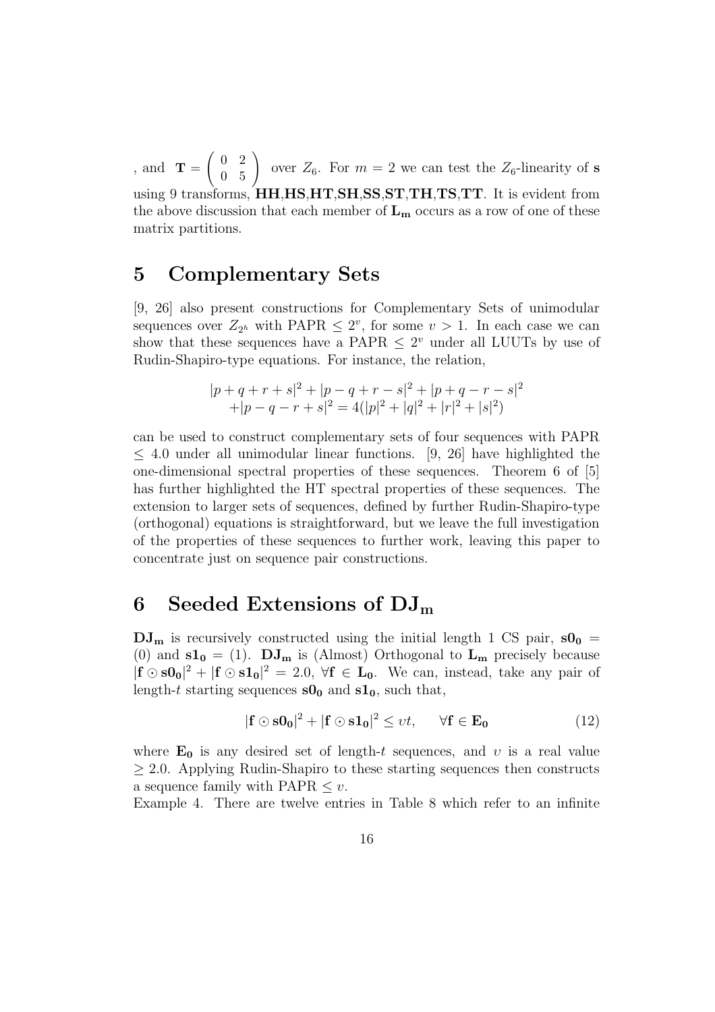, and  $\mathbf{T} =$  $\begin{pmatrix} 0 & 2 \end{pmatrix}$ 0 5  $\setminus$ over  $Z_6$ . For  $m = 2$  we can test the  $Z_6$ -linearity of s using 9 transforms, **HH,HS,HT,SH,SS,ST,TH,TS,TT**. It is evident from the above discussion that each member of  $L_m$  occurs as a row of one of these matrix partitions.

## 5 Complementary Sets

[9, 26] also present constructions for Complementary Sets of unimodular sequences over  $Z_{2^h}$  with PAPR  $\leq 2^v$ , for some  $v > 1$ . In each case we can show that these sequences have a PAPR  $\leq 2^v$  under all LUUTs by use of Rudin-Shapiro-type equations. For instance, the relation,

$$
|p+q+r+s|^2 + |p-q+r-s|^2 + |p+q-r-s|^2
$$
  
+|p-q-r+s|^2 = 4(|p|^2 + |q|^2 + |r|^2 + |s|^2)

can be used to construct complementary sets of four sequences with PAPR ≤ 4.0 under all unimodular linear functions. [9, 26] have highlighted the one-dimensional spectral properties of these sequences. Theorem 6 of [5] has further highlighted the HT spectral properties of these sequences. The extension to larger sets of sequences, defined by further Rudin-Shapiro-type (orthogonal) equations is straightforward, but we leave the full investigation of the properties of these sequences to further work, leaving this paper to concentrate just on sequence pair constructions.

## 6 Seeded Extensions of  $DJ_m$

 $DJ_m$  is recursively constructed using the initial length 1 CS pair,  $sO_0$  = (0) and  $s1_0 = (1)$ .  $DJ_m$  is (Almost) Orthogonal to  $L_m$  precisely because  $|\mathbf{f} \odot \mathbf{s0_0}|^2 + |\mathbf{f} \odot \mathbf{s1_0}|^2 = 2.0, \forall \mathbf{f} \in \mathbf{L_0}$ . We can, instead, take any pair of length-t starting sequences  $s0_0$  and  $s1_0$ , such that,

$$
|\mathbf{f} \odot \mathbf{s} \mathbf{0}_0|^2 + |\mathbf{f} \odot \mathbf{s} \mathbf{1}_0|^2 \le vt, \quad \forall \mathbf{f} \in \mathbf{E}_0 \tag{12}
$$

where  $\mathbf{E_0}$  is any desired set of length-t sequences, and v is a real value ≥ 2.0. Applying Rudin-Shapiro to these starting sequences then constructs a sequence family with PAPR  $\leq v$ .

Example 4. There are twelve entries in Table 8 which refer to an infinite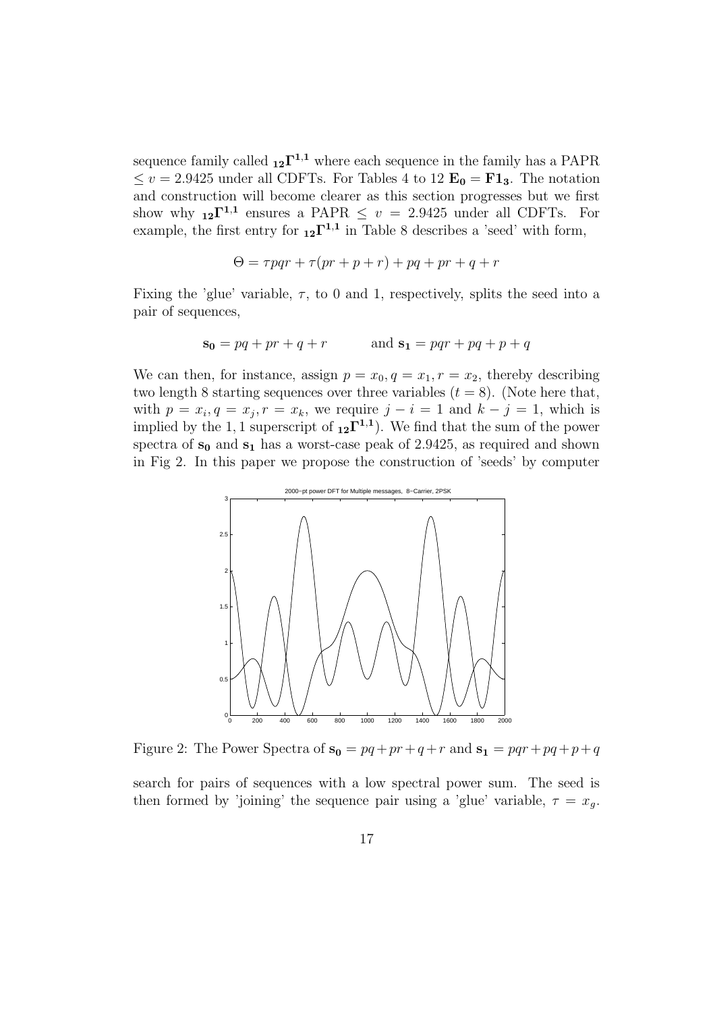sequence family called  $_{12}\Gamma^{1,1}$  where each sequence in the family has a PAPR  $\leq v = 2.9425$  under all CDFTs. For Tables 4 to 12  $\mathbf{E_0} = \mathbf{F1_3}$ . The notation and construction will become clearer as this section progresses but we first show why  $_{12}\Gamma^{1,1}$  ensures a PAPR  $\leq v = 2.9425$  under all CDFTs. For example, the first entry for  $_{12}\Gamma^{1,1}$  in Table 8 describes a 'seed' with form,

$$
\Theta = \tau pqr + \tau(pr+p+r) + pq + pr + q + r
$$

Fixing the 'glue' variable,  $\tau$ , to 0 and 1, respectively, splits the seed into a pair of sequences,

$$
s_0 = pq + pr + q + r
$$
 and  $s_1 = pqr + pq + p + q$ 

We can then, for instance, assign  $p = x_0, q = x_1, r = x_2$ , thereby describing two length 8 starting sequences over three variables  $(t = 8)$ . (Note here that, with  $p = x_i, q = x_j, r = x_k$ , we require  $j - i = 1$  and  $k - j = 1$ , which is implied by the 1, 1 superscript of  $_{12}\Gamma^{1,1}$ ). We find that the sum of the power spectra of  $s_0$  and  $s_1$  has a worst-case peak of 2.9425, as required and shown in Fig 2. In this paper we propose the construction of 'seeds' by computer



Figure 2: The Power Spectra of  $s_0 = pq + pr + q + r$  and  $s_1 = pqr + pq + p+q$ 

search for pairs of sequences with a low spectral power sum. The seed is then formed by 'joining' the sequence pair using a 'glue' variable,  $\tau = x_q$ .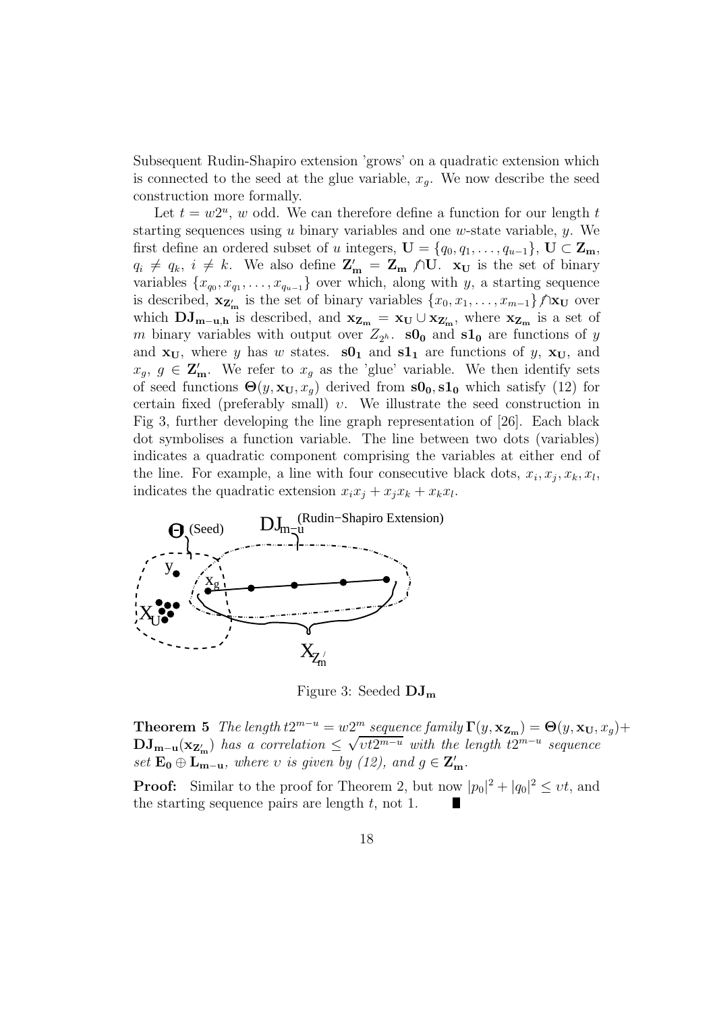Subsequent Rudin-Shapiro extension 'grows' on a quadratic extension which is connected to the seed at the glue variable,  $x<sub>q</sub>$ . We now describe the seed construction more formally.

Let  $t = w2^u$ , w odd. We can therefore define a function for our length t starting sequences using  $u$  binary variables and one  $w$ -state variable,  $y$ . We first define an ordered subset of u integers,  $\mathbf{U} = \{q_0, q_1, \ldots, q_{u-1}\}, \mathbf{U} \subset \mathbf{Z_m},$  $q_i \neq q_k$ ,  $i \neq k$ . We also define  $\mathbf{Z'_m} = \mathbf{Z_m} \wedge \mathbf{U}$ .  $\mathbf{x_U}$  is the set of binary variables  $\{x_{q_0}, x_{q_1}, \ldots, x_{q_{u-1}}\}$  over which, along with y, a starting sequence is described,  $\mathbf{x}_{\mathbf{Z}'_{m}}$  is the set of binary variables  $\{x_0, x_1, \ldots, x_{m-1}\}\big/\mathbf{x}_{\mathbf{U}}\big|$  over which  $\mathbf{DJ}_{m-u,h}$  is described, and  $\mathbf{x}_{\mathbf{Z}_m} = \mathbf{x}_{\mathbf{U}} \cup \mathbf{x}_{\mathbf{Z}'_m}$ , where  $\mathbf{x}_{\mathbf{Z}_m}$  is a set of m binary variables with output over  $Z_{2^h}$ . **s0**<sub>0</sub> and **s1**<sub>0</sub> are functions of y and  $x_U$ , where y has w states.  $s0_1$  and  $s1_1$  are functions of y,  $x_U$ , and  $x_g, g \in \mathbb{Z}'_{\mathbf{m}}$ . We refer to  $x_g$  as the 'glue' variable. We then identify sets of seed functions  $\Theta(y, \mathbf{x_U}, x_g)$  derived from  $\mathbf{s0_0}, \mathbf{s1_0}$  which satisfy (12) for certain fixed (preferably small) υ. We illustrate the seed construction in Fig 3, further developing the line graph representation of [26]. Each black dot symbolises a function variable. The line between two dots (variables) indicates a quadratic component comprising the variables at either end of the line. For example, a line with four consecutive black dots,  $x_i, x_j, x_k, x_l$ , indicates the quadratic extension  $x_i x_j + x_j x_k + x_k x_l$ .



Figure 3: Seeded  $DJ_{m}$ 

**Theorem 5** The length  $t2^{m-u} = w2^m$  sequence family  $\Gamma(y, \mathbf{x}_{\mathbf{Z_m}}) = \Theta(y, \mathbf{x_U}, x_g) +$  $\mathbf{DJ}_{\mathbf{m}-\mathbf{u}}(\mathbf{x}_{\mathbf{Z}'_{\mathbf{m}}})$  has a correlation  $\leq \sqrt{vt2^{m-u}}$  with the length  $t2^{m-u}$  sequence set  $\mathbf{E_0} \oplus \mathbf{L_{m-u}}$ , where v is given by (12), and  $g \in \mathbf{Z'_m}$ .

**Proof:** Similar to the proof for Theorem 2, but now  $|p_0|^2 + |q_0|^2 \le vt$ , and the starting sequence pairs are length  $t$ , not 1.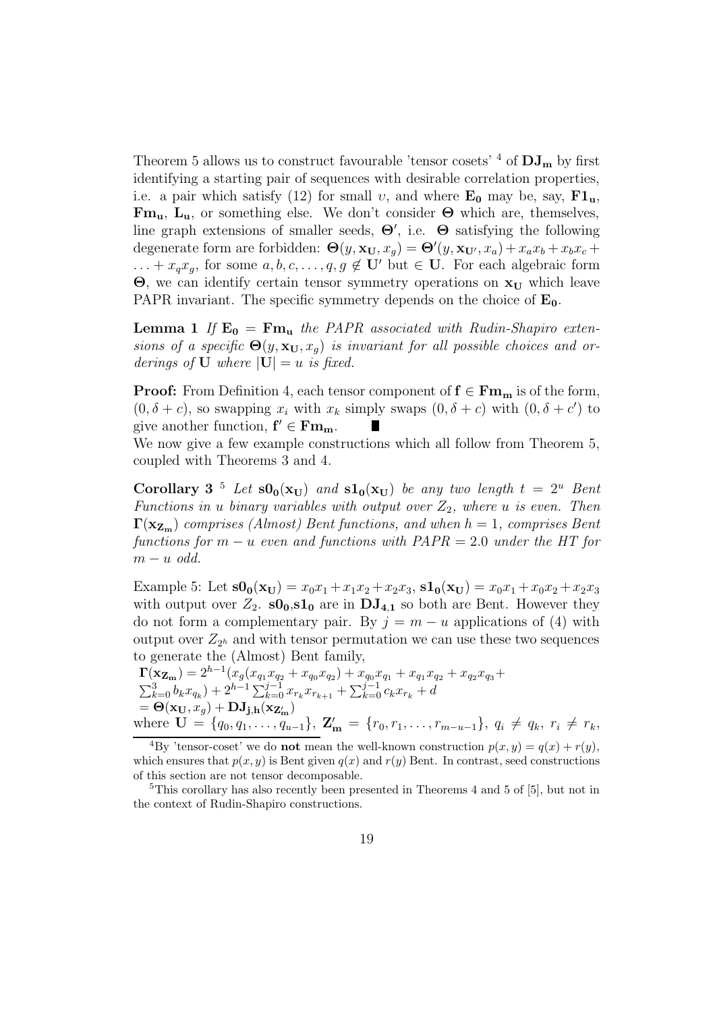Theorem 5 allows us to construct favourable 'tensor cosets'  $^4$  of  $\rm{DJ}_{m}$  by first identifying a starting pair of sequences with desirable correlation properties, i.e. a pair which satisfy (12) for small v, and where  $E_0$  may be, say,  $F1_u$ ,  $\mathbf{Fm}_{\mathbf{u}}, \mathbf{L}_{\mathbf{u}},$  or something else. We don't consider  $\Theta$  which are, themselves, line graph extensions of smaller seeds,  $\Theta'$ , i.e.  $\Theta$  satisfying the following degenerate form are forbidden:  $\Theta(y, \mathbf{x_U}, x_g) = \Theta'(y, \mathbf{x_{U'}}, x_a) + x_a x_b + x_b x_c +$  $\dots + x_q x_g$ , for some  $a, b, c, \dots, q, g \notin U'$  but  $\in U$ . For each algebraic form  $\Theta$ , we can identify certain tensor symmetry operations on  $x_U$  which leave PAPR invariant. The specific symmetry depends on the choice of  $E_0$ .

**Lemma 1** If  $\mathbf{E_0} = \mathbf{Fm_u}$  the PAPR associated with Rudin-Shapiro extensions of a specific  $\Theta(y, \mathbf{x_U}, x_g)$  is invariant for all possible choices and orderings of **U** where  $|\mathbf{U}| = u$  is fixed.

**Proof:** From Definition 4, each tensor component of  $f \in \mathbf{Fm}_{m}$  is of the form,  $(0, \delta + c)$ , so swapping  $x_i$  with  $x_k$  simply swaps  $(0, \delta + c)$  with  $(0, \delta + c')$  to give another function,  $f' \in \mathbf{Fm}_{m}$ .

We now give a few example constructions which all follow from Theorem 5, coupled with Theorems 3 and 4.

Corollary 3<sup>5</sup> Let  $s0_0(x_U)$  and  $s1_0(x_U)$  be any two length  $t = 2^u$  Bent Functions in u binary variables with output over  $Z_2$ , where u is even. Then  $\Gamma(\mathbf{x}_{\mathbf{Z}_{\mathbf{m}}})$  comprises (Almost) Bent functions, and when  $h = 1$ , comprises Bent functions for  $m - u$  even and functions with  $PAPR = 2.0$  under the HT for  $m - u$  odd.

Example 5: Let  $s0_0(x_U) = x_0x_1 + x_1x_2 + x_2x_3$ ,  $s1_0(x_U) = x_0x_1 + x_0x_2 + x_2x_3$ with output over  $Z_2$ .  $\mathbf{s0}_0$ ,  $\mathbf{s1}_0$  are in  $\mathbf{DJ}_{4,1}$  so both are Bent. However they do not form a complementary pair. By  $j = m - u$  applications of (4) with output over  $Z_{2^h}$  and with tensor permutation we can use these two sequences to generate the (Almost) Bent family,

 $\Gamma(\mathbf{x_{Z_m}}) = 2^{h-1}(x_g(x_{q_1}x_{q_2} + x_{q_0}x_{q_2}) + x_{q_0}x_{q_1} + x_{q_1}x_{q_2} + x_{q_2}x_{q_3} +$  $\sum_{k=0}^{3} b_k x_{q_k} + 2^{h-1} \sum_{k=0}^{j-1} x_{r_k} x_{r_{k+1}} + \sum_{k=0}^{j-1} c_k x_{r_k} + d$  $\mathbf{D} = \mathbf{\Theta}(\mathbf{x_U}, x_g) + \mathbf{D} \mathbf{J_{j,h}}(\mathbf{x_{Z_m'}})$ where  $\mathbf{U} = \{q_0, q_1, \ldots, q_{u-1}\}, \mathbf{Z'_{m}} = \{r_0, r_1, \ldots, r_{m-u-1}\}, q_i \neq q_k, r_i \neq r_k,$ 

<sup>4</sup>By 'tensor-coset' we do **not** mean the well-known construction  $p(x, y) = q(x) + r(y)$ , which ensures that  $p(x, y)$  is Bent given  $q(x)$  and  $r(y)$  Bent. In contrast, seed constructions of this section are not tensor decomposable.

<sup>5</sup>This corollary has also recently been presented in Theorems 4 and 5 of [5], but not in the context of Rudin-Shapiro constructions.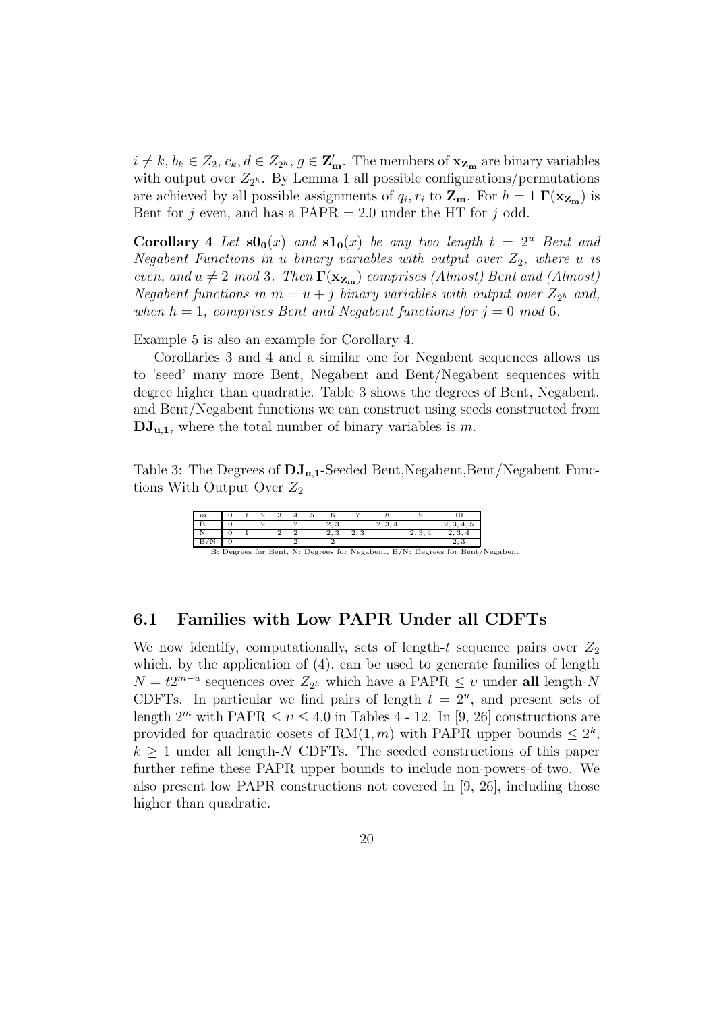$i \neq k, b_k \in Z_2, c_k, d \in Z_{2^h}, g \in \mathbf{Z}'_{\mathbf{m}}$ . The members of  $\mathbf{x}_{\mathbf{Z}_{\mathbf{m}}}$  are binary variables with output over  $Z_{2^h}$ . By Lemma 1 all possible configurations/permutations are achieved by all possible assignments of  $q_i, r_i$  to  $\mathbf{Z}_{\mathbf{m}}$ . For  $h = 1 \Gamma(\mathbf{x}_{\mathbf{Z}_{\mathbf{m}}})$  is Bent for j even, and has a PAPR  $= 2.0$  under the HT for j odd.

**Corollary 4** Let  $\mathbf{s0}_0(x)$  and  $\mathbf{s1}_0(x)$  be any two length  $t = 2^u$  Bent and Negabent Functions in u binary variables with output over  $Z_2$ , where u is even, and  $u \neq 2 \mod 3$ . Then  $\Gamma(\mathbf{x}_{\mathbf{Z}_m})$  comprises (Almost) Bent and (Almost) Negabent functions in  $m = u + j$  binary variables with output over  $Z_{2^h}$  and, when  $h = 1$ , comprises Bent and Negabent functions for  $j = 0$  mod 6.

Example 5 is also an example for Corollary 4.

Corollaries 3 and 4 and a similar one for Negabent sequences allows us to 'seed' many more Bent, Negabent and Bent/Negabent sequences with degree higher than quadratic. Table 3 shows the degrees of Bent, Negabent, and Bent/Negabent functions we can construct using seeds constructed from  $\mathbf{DJ}_{u,1}$ , where the total number of binary variables is m.

Table 3: The Degrees of  $\bf{DJ}_{u,1}$ -Seeded Bent,Negabent,Bent/Negabent Functions With Output Over  $Z_2$ 

| $\boldsymbol{m}$ |  |  |  |  |  |                                                                              |
|------------------|--|--|--|--|--|------------------------------------------------------------------------------|
|                  |  |  |  |  |  |                                                                              |
|                  |  |  |  |  |  |                                                                              |
|                  |  |  |  |  |  |                                                                              |
|                  |  |  |  |  |  | B: Degrees for Bent, N: Degrees for Negabent, B/N: Degrees for Bent/Negabent |

#### 6.1 Families with Low PAPR Under all CDFTs

We now identify, computationally, sets of length-t sequence pairs over  $Z_2$ which, by the application of  $(4)$ , can be used to generate families of length  $N = t2^{m-u}$  sequences over  $Z_{2^h}$  which have a PAPR  $\leq v$  under all length-N CDFTs. In particular we find pairs of length  $t = 2^u$ , and present sets of length  $2^m$  with PAPR  $\leq v \leq 4.0$  in Tables 4 - 12. In [9, 26] constructions are provided for quadratic cosets of  $RM(1, m)$  with PAPR upper bounds  $\leq 2^k$ ,  $k \geq 1$  under all length-N CDFTs. The seeded constructions of this paper further refine these PAPR upper bounds to include non-powers-of-two. We also present low PAPR constructions not covered in [9, 26], including those higher than quadratic.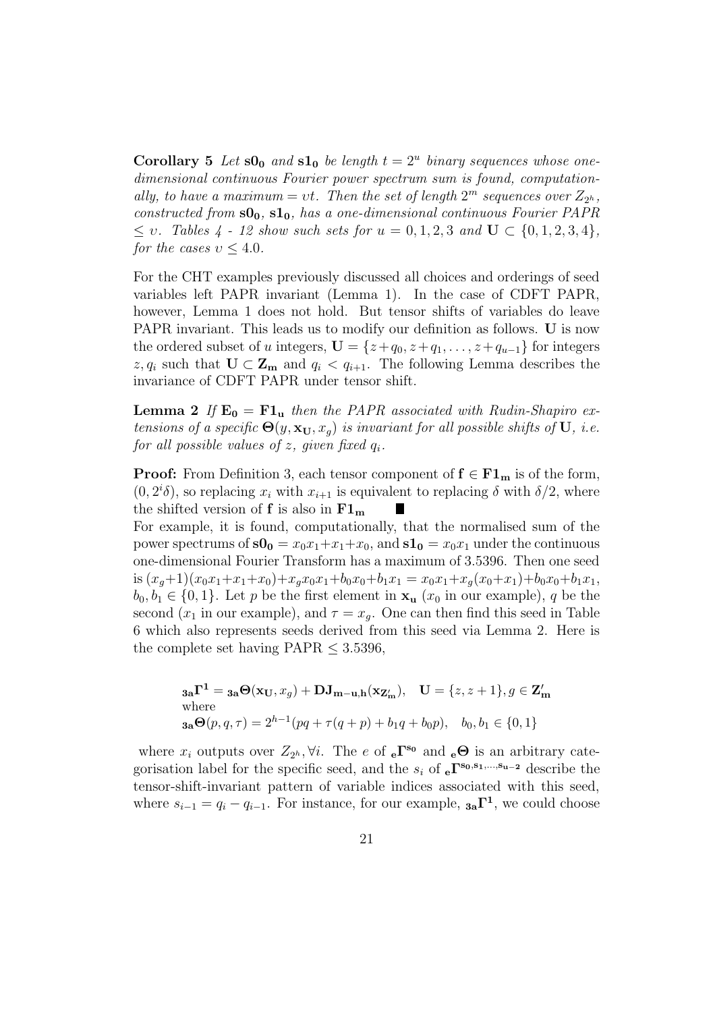**Corollary 5** Let  $s0_0$  and  $s1_0$  be length  $t = 2^u$  binary sequences whose onedimensional continuous Fourier power spectrum sum is found, computationally, to have a maximum = vt. Then the set of length  $2^m$  sequences over  $Z_{2^h}$ , constructed from  $\mathbf{s0}_0$ ,  $\mathbf{s1}_0$ , has a one-dimensional continuous Fourier PAPR  $\leq v$ . Tables 4 - 12 show such sets for  $u = 0, 1, 2, 3$  and  $\mathbf{U} \subset \{0, 1, 2, 3, 4\},\$ for the cases  $v \leq 4.0$ .

For the CHT examples previously discussed all choices and orderings of seed variables left PAPR invariant (Lemma 1). In the case of CDFT PAPR, however, Lemma 1 does not hold. But tensor shifts of variables do leave PAPR invariant. This leads us to modify our definition as follows. U is now the ordered subset of u integers,  $\mathbf{U} = \{z+q_0, z+q_1, \ldots, z+q_{u-1}\}\)$  for integers z,  $q_i$  such that  $\mathbf{U} \subset \mathbf{Z_m}$  and  $q_i < q_{i+1}$ . The following Lemma describes the invariance of CDFT PAPR under tensor shift.

**Lemma 2** If  $\mathbf{E_0} = \mathbf{F1_u}$  then the PAPR associated with Rudin-Shapiro extensions of a specific  $\Theta(y, \mathbf{x_U}, x_q)$  is invariant for all possible shifts of U, i.e. for all possible values of  $z$ , given fixed  $q_i$ .

**Proof:** From Definition 3, each tensor component of  $f \in F1_m$  is of the form,  $(0, 2<sup>i</sup> \delta)$ , so replacing  $x_i$  with  $x_{i+1}$  is equivalent to replacing  $\delta$  with  $\delta/2$ , where the shifted version of **f** is also in  $F1_m$ п

For example, it is found, computationally, that the normalised sum of the power spectrums of  $s0_0 = x_0x_1+x_1+x_0$ , and  $s1_0 = x_0x_1$  under the continuous one-dimensional Fourier Transform has a maximum of 3.5396. Then one seed is  $(x_q+1)(x_0x_1+x_1+x_0)+x_qx_0x_1+b_0x_0+b_1x_1 = x_0x_1+x_q(x_0+x_1)+b_0x_0+b_1x_1$  $b_0, b_1 \in \{0, 1\}$ . Let p be the first element in  $\mathbf{x}_u$  ( $x_0$  in our example), q be the second ( $x_1$  in our example), and  $\tau = x_q$ . One can then find this seed in Table 6 which also represents seeds derived from this seed via Lemma 2. Here is the complete set having  $PAPR \leq 3.5396$ ,

$$
\mathbf{a_a} \mathbf{\Gamma}^1 = \mathbf{a_a} \Theta(\mathbf{x_U}, x_g) + \mathbf{D} \mathbf{J_{m-u,h}}(\mathbf{x_{Z'_m}}), \quad \mathbf{U} = \{z, z+1\}, g \in \mathbf{Z'_m}
$$
  
where  

$$
\mathbf{a_a} \Theta(p, q, \tau) = 2^{h-1}(pq + \tau(q+p) + b_1q + b_0p), \quad b_0, b_1 \in \{0, 1\}
$$

where  $x_i$  outputs over  $Z_{2^h}$ ,  $\forall i$ . The e of  $_e\Gamma^{s_0}$  and  $_e\Theta$  is an arbitrary categorisation label for the specific seed, and the  $s_i$  of  $e^{\sum s_0, s_1, ..., s_{u-2}}$  describe the tensor-shift-invariant pattern of variable indices associated with this seed, where  $s_{i-1} = q_i - q_{i-1}$ . For instance, for our example,  $\mathbf{a_i} \mathbf{\Gamma}^1$ , we could choose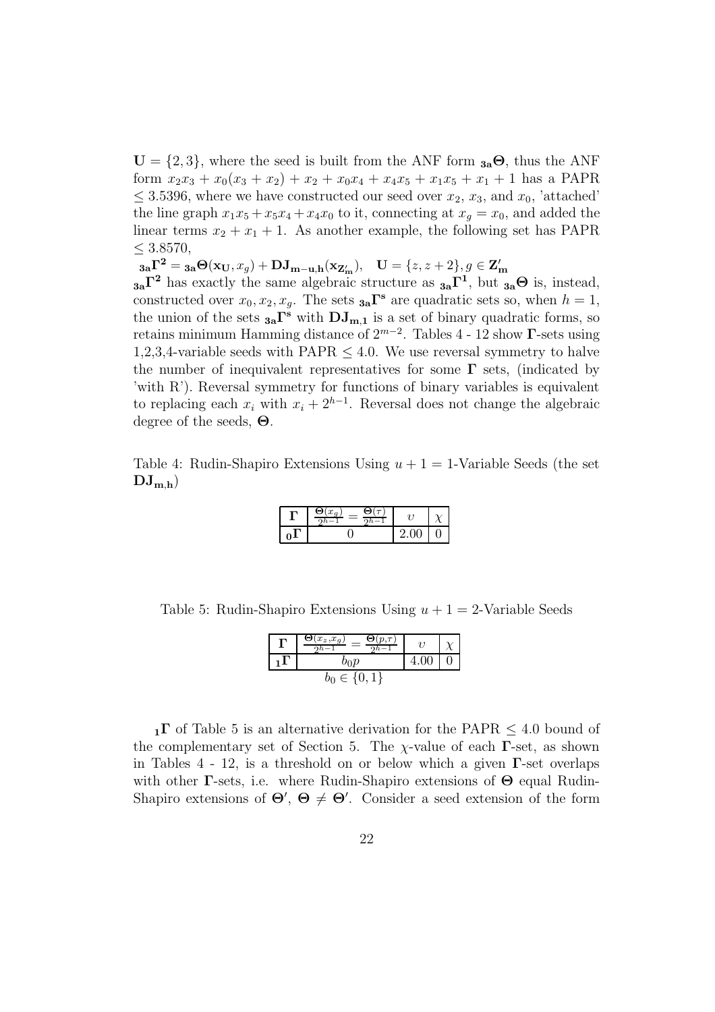$U = \{2, 3\}$ , where the seed is built from the ANF form  $_{3a}\Theta$ , thus the ANF form  $x_2x_3 + x_0(x_3 + x_2) + x_2 + x_0x_4 + x_4x_5 + x_1x_5 + x_1 + 1$  has a PAPR  $\leq$  3.5396, where we have constructed our seed over  $x_2, x_3$ , and  $x_0$ , 'attached' the line graph  $x_1x_5 + x_5x_4 + x_4x_0$  to it, connecting at  $x_q = x_0$ , and added the linear terms  $x_2 + x_1 + 1$ . As another example, the following set has PAPR  $≤ 3.8570,$ 

 $\mathbf{a_3} \mathbf{\Gamma^2} = \mathbf{a_3} \mathbf{\Theta}(\mathbf{x_U}, x_g) + \mathbf{D} \mathbf{J_{m-u,h}}(\mathbf{x_{Z'_m}}), \quad \mathbf{U} = \{z, z+2\}, g \in \mathbf{Z'_m}$ 

 $a_{a} \Gamma^{2}$  has exactly the same algebraic structure as  $a_{a} \Gamma^{1}$ , but  $a_{a} \Theta$  is, instead, constructed over  $x_0, x_2, x_g$ . The sets  $a_n \Gamma^s$  are quadratic sets so, when  $h = 1$ , the union of the sets  $_{3a}\Gamma^s$  with  $DJ_{m,1}$  is a set of binary quadratic forms, so retains minimum Hamming distance of  $2^{m-2}$ . Tables 4 - 12 show  $\Gamma$ -sets using 1,2,3,4-variable seeds with  $PAPR < 4.0$ . We use reversal symmetry to halve the number of inequivalent representatives for some  $\Gamma$  sets, (indicated by 'with R'). Reversal symmetry for functions of binary variables is equivalent to replacing each  $x_i$  with  $x_i + 2^{h-1}$ . Reversal does not change the algebraic degree of the seeds, Θ.

Table 4: Rudin-Shapiro Extensions Using  $u + 1 = 1$ -Variable Seeds (the set  $DJ_{m,h}$ )

| a Ch<br>$\cdot$ $x_{-}$ |    |  |
|-------------------------|----|--|
|                         | ., |  |

Table 5: Rudin-Shapiro Extensions Using  $u + 1 = 2$ -Variable Seeds

| $x_z, x_g$             | 21 |  |
|------------------------|----|--|
| bo $p$                 |    |  |
| $\in \{0, \bar{1}, \}$ |    |  |

 $1\text{F}$  of Table 5 is an alternative derivation for the PAPR  $\leq 4.0$  bound of the complementary set of Section 5. The  $\chi$ -value of each  $\Gamma$ -set, as shown in Tables 4 - 12, is a threshold on or below which a given  $\Gamma$ -set overlaps with other **Γ**-sets, i.e. where Rudin-Shapiro extensions of  $\Theta$  equal Rudin-Shapiro extensions of  $\Theta'$ ,  $\Theta \neq \Theta'$ . Consider a seed extension of the form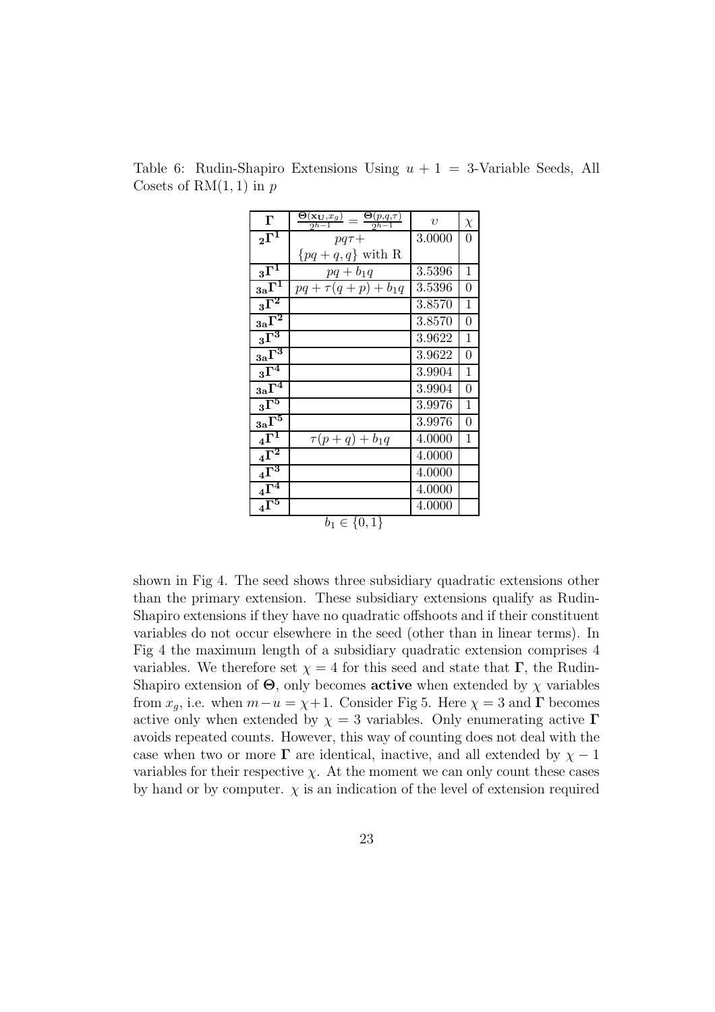| $\Gamma$                         | $\frac{\mathbf{\Theta}(\mathbf{x_{U}},x_{g})}{2^{h-1}}=\frac{\mathbf{\Theta}(p,q,\tau)}{2^{h-1}}$ | $\upsilon$ | $\chi$           |
|----------------------------------|---------------------------------------------------------------------------------------------------|------------|------------------|
| $\overline{_{2}\Gamma^{1}}$      | $pq\tau +$                                                                                        | 3.0000     | 0                |
|                                  | $\{pq+q,q\}$ with R                                                                               |            |                  |
| $_3\overline{\Gamma^1}$          | $pq + b_1q$                                                                                       | 3.5396     | $\mathbf{1}$     |
| $_{3a}\overline{\Gamma^1}$       | $pq + \tau(q+p) + b_1q$                                                                           | 3.5396     | 0                |
| $_3\overline{\Gamma^2}$          |                                                                                                   | 3.8570     | $\mathbf 1$      |
| $3a^2$                           |                                                                                                   | 3.8570     | 0                |
| $3\overline{\Gamma^3}$           |                                                                                                   | 3.9622     | $\mathbf 1$      |
| $3a\overline{\Gamma^3}$          |                                                                                                   | 3.9622     | $\boldsymbol{0}$ |
| $3\overline{\Gamma^4}$           |                                                                                                   | 3.9904     | $\mathbf 1$      |
| $3a^{\overline{1^4}}$            |                                                                                                   | 3.9904     | 0                |
| $_3\overline{\Gamma^5}$          |                                                                                                   | 3.9976     | $\mathbf{1}$     |
| $_{3{\rm a}}\overline{\Gamma^5}$ |                                                                                                   | 3.9976     | 0                |
| $4\overline{\Gamma^1}$           | $\tau(p+q)+b_1q$                                                                                  | 4.0000     | 1                |
| $4\overline{\Gamma^2}$           |                                                                                                   | 4.0000     |                  |
| $4\overline{\Gamma^3}$           |                                                                                                   | 4.0000     |                  |
| $4\Gamma^4$                      |                                                                                                   | 4.0000     |                  |
| $\overline{{}_4\Gamma^5}$        |                                                                                                   | 4.0000     |                  |
|                                  | $b_1 \in \{0,1\}$                                                                                 |            |                  |

Table 6: Rudin-Shapiro Extensions Using  $u + 1 = 3$ -Variable Seeds, All Cosets of  $RM(1, 1)$  in p

shown in Fig 4. The seed shows three subsidiary quadratic extensions other than the primary extension. These subsidiary extensions qualify as Rudin-Shapiro extensions if they have no quadratic offshoots and if their constituent variables do not occur elsewhere in the seed (other than in linear terms). In Fig 4 the maximum length of a subsidiary quadratic extension comprises 4 variables. We therefore set  $\chi = 4$  for this seed and state that  $\Gamma$ , the Rudin-Shapiro extension of  $\Theta$ , only becomes **active** when extended by  $\chi$  variables from  $x_q$ , i.e. when  $m-u = \chi + 1$ . Consider Fig 5. Here  $\chi = 3$  and  $\Gamma$  becomes active only when extended by  $\chi = 3$  variables. Only enumerating active  $\Gamma$ avoids repeated counts. However, this way of counting does not deal with the case when two or more  $\Gamma$  are identical, inactive, and all extended by  $\chi - 1$ variables for their respective  $\chi$ . At the moment we can only count these cases by hand or by computer.  $\chi$  is an indication of the level of extension required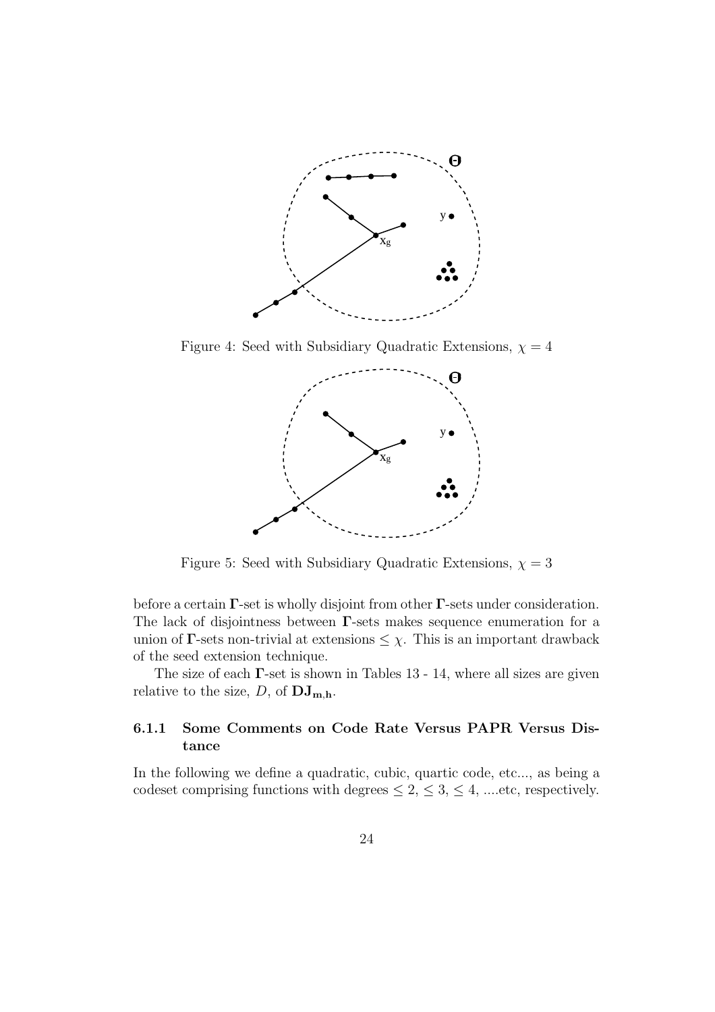

Figure 4: Seed with Subsidiary Quadratic Extensions,  $\chi = 4$ 



Figure 5: Seed with Subsidiary Quadratic Extensions,  $\chi = 3$ 

before a certain  $\Gamma$ -set is wholly disjoint from other  $\Gamma$ -sets under consideration. The lack of disjointness between Γ-sets makes sequence enumeration for a union of  $\Gamma$ -sets non-trivial at extensions  $\leq \chi$ . This is an important drawback of the seed extension technique.

The size of each  $\Gamma$ -set is shown in Tables 13 - 14, where all sizes are given relative to the size, D, of  $\mathbf{DJ}_{\mathbf{m},\mathbf{h}}$ .

### 6.1.1 Some Comments on Code Rate Versus PAPR Versus Distance

In the following we define a quadratic, cubic, quartic code, etc..., as being a codeset comprising functions with degrees  $\leq 2, \leq 3, \leq 4, \dots$  etc, respectively.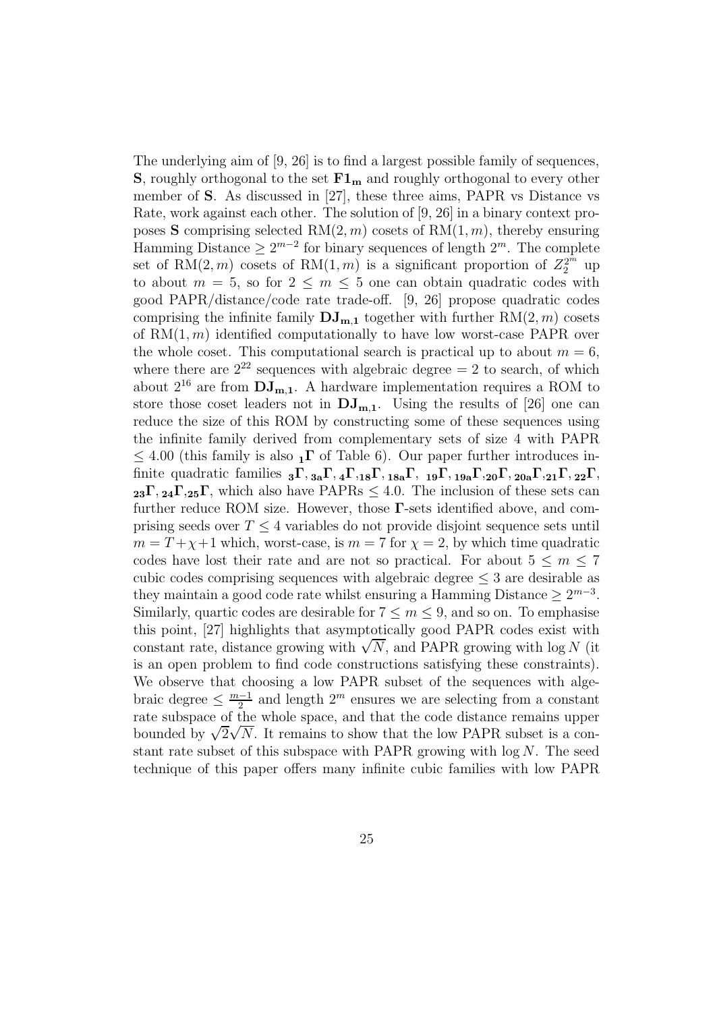The underlying aim of [9, 26] is to find a largest possible family of sequences, **S**, roughly orthogonal to the set  $F1_m$  and roughly orthogonal to every other member of S. As discussed in [27], these three aims, PAPR vs Distance vs Rate, work against each other. The solution of [9, 26] in a binary context proposes **S** comprising selected RM $(2, m)$  cosets of RM $(1, m)$ , thereby ensuring Hamming Distance  $\geq 2^{m-2}$  for binary sequences of length  $2^m$ . The complete set of RM $(2, m)$  cosets of RM $(1, m)$  is a significant proportion of  $Z_2^{2^m}$  up to about  $m = 5$ , so for  $2 \le m \le 5$  one can obtain quadratic codes with good PAPR/distance/code rate trade-off. [9, 26] propose quadratic codes comprising the infinite family  $\mathbf{DJ}_{m,1}$  together with further  $RM(2, m)$  cosets of  $RM(1, m)$  identified computationally to have low worst-case PAPR over the whole coset. This computational search is practical up to about  $m = 6$ , where there are  $2^{22}$  sequences with algebraic degree  $= 2$  to search, of which about  $2^{16}$  are from  $DJ_{m,1}$ . A hardware implementation requires a ROM to store those coset leaders not in  $DJ_{m,1}$ . Using the results of [26] one can reduce the size of this ROM by constructing some of these sequences using the infinite family derived from complementary sets of size 4 with PAPR  $\leq 4.00$  (this family is also  $_{1}\Gamma$  of Table 6). Our paper further introduces infinite quadratic families  ${}_{3}\Gamma, {}_{3a}\Gamma, {}_{4}\Gamma, {}_{18}\Gamma, {}_{18a}\Gamma, {}_{19}\Gamma, {}_{19a}\Gamma, {}_{20}\Gamma, {}_{20a}\Gamma, {}_{21}\Gamma, {}_{22}\Gamma,$  $_{23}\Gamma$ ,  $_{24}\Gamma$ ,  $_{25}\Gamma$ , which also have PAPRs  $\leq 4.0$ . The inclusion of these sets can further reduce ROM size. However, those  $\Gamma$ -sets identified above, and comprising seeds over  $T \leq 4$  variables do not provide disjoint sequence sets until  $m = T + \chi + 1$  which, worst-case, is  $m = 7$  for  $\chi = 2$ , by which time quadratic codes have lost their rate and are not so practical. For about  $5 \le m \le 7$ cubic codes comprising sequences with algebraic degree  $\leq$  3 are desirable as they maintain a good code rate whilst ensuring a Hamming Distance  $\geq 2^{m-3}$ . Similarly, quartic codes are desirable for  $7 \le m \le 9$ , and so on. To emphasise this point, [27] highlights that asymptotically good PAPR codes exist with constant rate, distance growing with  $\sqrt{N}$ , and PAPR growing with log N (it is an open problem to find code constructions satisfying these constraints). We observe that choosing a low PAPR subset of the sequences with algebraic degree  $\leq \frac{m-1}{2}$  $\frac{1}{2}$  and length  $2^m$  ensures we are selecting from a constant rate subspace of the whole space, and that the code distance remains upper bounded by  $\sqrt{2}\sqrt{N}$ . It remains to show that the low PAPR subset is a constant rate subset of this subspace with PAPR growing with  $log N$ . The seed technique of this paper offers many infinite cubic families with low PAPR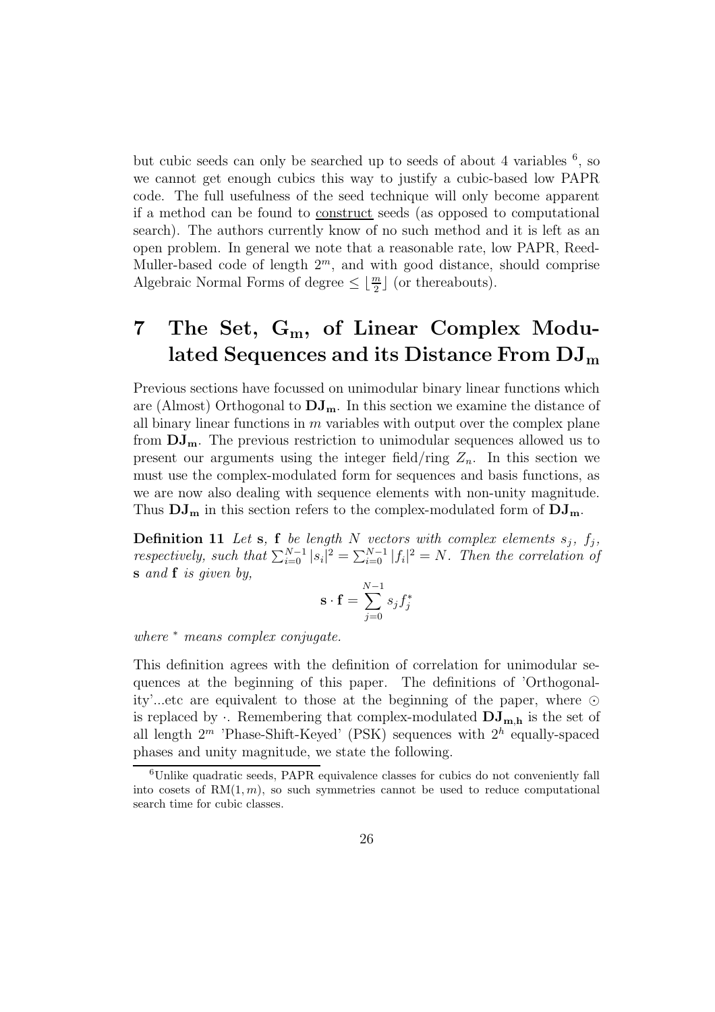but cubic seeds can only be searched up to seeds of about 4 variables  $6$ , so we cannot get enough cubics this way to justify a cubic-based low PAPR code. The full usefulness of the seed technique will only become apparent if a method can be found to construct seeds (as opposed to computational search). The authors currently know of no such method and it is left as an open problem. In general we note that a reasonable rate, low PAPR, Reed-Muller-based code of length  $2^m$ , and with good distance, should comprise Algebraic Normal Forms of degree  $\leq \lfloor \frac{m}{2} \rfloor$  $\frac{m}{2}$  (or thereabouts).

## 7 The Set,  $G_m$ , of Linear Complex Modulated Sequences and its Distance From DJ<sup>m</sup>

Previous sections have focussed on unimodular binary linear functions which are (Almost) Orthogonal to  $DJ_{m}$ . In this section we examine the distance of all binary linear functions in  $m$  variables with output over the complex plane from  $DJ_{m}$ . The previous restriction to unimodular sequences allowed us to present our arguments using the integer field/ring  $Z_n$ . In this section we must use the complex-modulated form for sequences and basis functions, as we are now also dealing with sequence elements with non-unity magnitude. Thus  $DJ_m$  in this section refers to the complex-modulated form of  $DJ_m$ .

**Definition 11** Let **s**, **f** be length N vectors with complex elements  $s_j$ ,  $f_j$ , respectively, such that  $\sum_{i=0}^{N-1} |s_i|^2 = \sum_{i=0}^{N-1} |f_i|^2 = N$ . Then the correlation of s and **f** is given by,

$$
\mathbf{s} \cdot \mathbf{f} = \sum_{j=0}^{N-1} s_j f_j^*
$$

where  $*$  means complex conjugate.

This definition agrees with the definition of correlation for unimodular sequences at the beginning of this paper. The definitions of 'Orthogonality'...etc are equivalent to those at the beginning of the paper, where  $\odot$ is replaced by  $\cdot$ . Remembering that complex-modulated  $DJ_{m,h}$  is the set of all length  $2^m$  'Phase-Shift-Keyed' (PSK) sequences with  $2^h$  equally-spaced phases and unity magnitude, we state the following.

 ${}^{6}$ Unlike quadratic seeds, PAPR equivalence classes for cubics do not conveniently fall into cosets of  $RM(1, m)$ , so such symmetries cannot be used to reduce computational search time for cubic classes.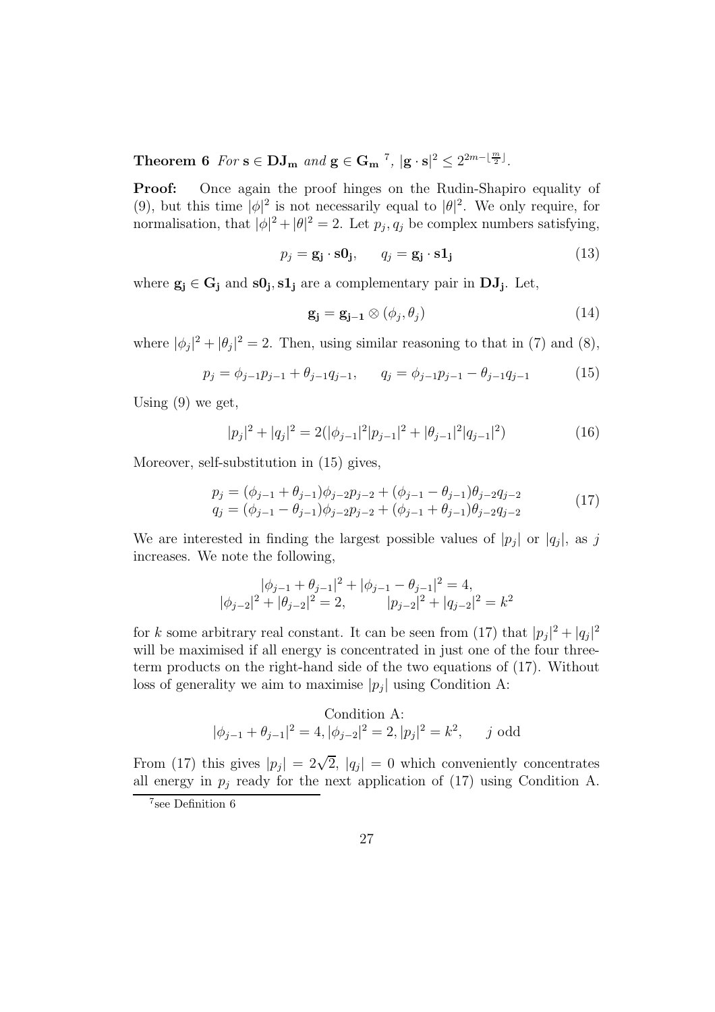Theorem 6 For  $s \in DJ_m$  and  $g \in G_m$ <sup>7</sup>,  $|g \cdot s|^2 \leq 2^{2m-\lfloor \frac{m}{2} \rfloor}$ .

Proof: Once again the proof hinges on the Rudin-Shapiro equality of (9), but this time  $|\phi|^2$  is not necessarily equal to  $|\theta|^2$ . We only require, for normalisation, that  $|\phi|^2 + |\theta|^2 = 2$ . Let  $p_j, q_j$  be complex numbers satisfying,

$$
p_j = \mathbf{g_j} \cdot \mathbf{s0_j}, \qquad q_j = \mathbf{g_j} \cdot \mathbf{s1_j}
$$
 (13)

where  $\mathbf{g_j} \in \mathbf{G_j}$  and  $\mathbf{s0_j}, \mathbf{s1_j}$  are a complementary pair in  $\mathbf{DJ_j}$ . Let,

$$
\mathbf{g_j} = \mathbf{g_{j-1}} \otimes (\phi_j, \theta_j) \tag{14}
$$

where  $|\phi_j|^2 + |\theta_j|^2 = 2$ . Then, using similar reasoning to that in (7) and (8),

$$
p_j = \phi_{j-1} p_{j-1} + \theta_{j-1} q_{j-1}, \qquad q_j = \phi_{j-1} p_{j-1} - \theta_{j-1} q_{j-1} \tag{15}
$$

Using  $(9)$  we get,

$$
|p_j|^2 + |q_j|^2 = 2(|\phi_{j-1}|^2 |p_{j-1}|^2 + |\theta_{j-1}|^2 |q_{j-1}|^2)
$$
\n(16)

Moreover, self-substitution in (15) gives,

$$
p_j = (\phi_{j-1} + \theta_{j-1})\phi_{j-2}p_{j-2} + (\phi_{j-1} - \theta_{j-1})\theta_{j-2}q_{j-2}
$$
  
\n
$$
q_j = (\phi_{j-1} - \theta_{j-1})\phi_{j-2}p_{j-2} + (\phi_{j-1} + \theta_{j-1})\theta_{j-2}q_{j-2}
$$
\n(17)

We are interested in finding the largest possible values of  $|p_j|$  or  $|q_j|$ , as j increases. We note the following,

$$
|\phi_{j-1} + \theta_{j-1}|^2 + |\phi_{j-1} - \theta_{j-1}|^2 = 4,
$$
  

$$
|\phi_{j-2}|^2 + |\theta_{j-2}|^2 = 2, \qquad |p_{j-2}|^2 + |q_{j-2}|^2 = k^2
$$

for k some arbitrary real constant. It can be seen from (17) that  $|p_j|^2 + |q_j|^2$ will be maximised if all energy is concentrated in just one of the four threeterm products on the right-hand side of the two equations of (17). Without loss of generality we aim to maximise  $|p_j|$  using Condition A:

Condition A:  
\n
$$
|\phi_{j-1} + \theta_{j-1}|^2 = 4, |\phi_{j-2}|^2 = 2, |p_j|^2 = k^2
$$
, *j* odd

From (17) this gives  $|p_j| = 2\sqrt{2}$ ,  $|q_j| = 0$  which conveniently concentrates all energy in  $p_j$  ready for the next application of (17) using Condition A.

<sup>7</sup> see Definition 6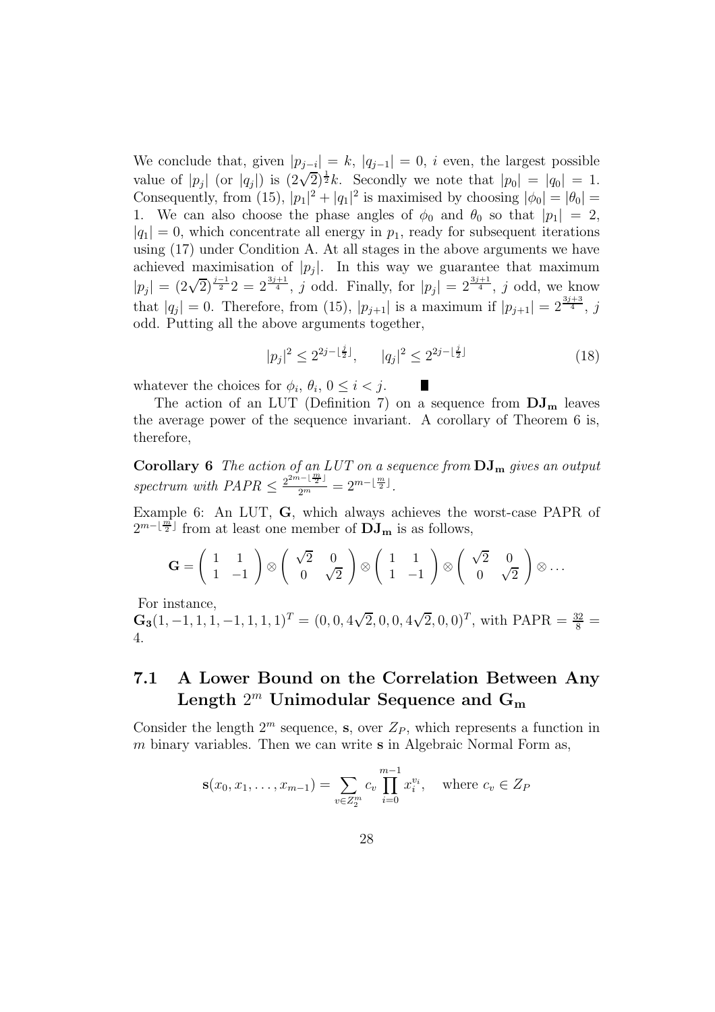We conclude that, given  $|p_{j-i}| = k$ ,  $|q_{j-1}| = 0$ , *i* even, the largest possible value of  $|p_j|$  (or  $|q_j|$ ) is  $(2\sqrt{2})^{\frac{1}{2}}k$ . Secondly we note that  $|p_0| = |q_0| = 1$ . Consequently, from (15),  $|p_1|^2 + |q_1|^2$  is maximised by choosing  $|\phi_0| = |\theta_0|$ 1. We can also choose the phase angles of  $\phi_0$  and  $\theta_0$  so that  $|p_1| = 2$ ,  $|q_1| = 0$ , which concentrate all energy in  $p_1$ , ready for subsequent iterations using (17) under Condition A. At all stages in the above arguments we have achieved maximisation of  $|p_j|$ . In this way we guarantee that maximum  $|p_j| = (2\sqrt{2})^{\frac{j-1}{2}} 2 = 2^{\frac{3j+1}{4}}, \ j \text{ odd}.$  Finally, for  $|p_j| = 2^{\frac{3j+1}{4}}, \ j \text{ odd}, \text{ we know}$ that  $|q_j| = 0$ . Therefore, from (15),  $|p_{j+1}|$  is a maximum if  $|p_{j+1}| = 2^{\frac{3j+3}{4}}$ , j odd. Putting all the above arguments together,

$$
|p_j|^2 \le 2^{2j - \lfloor \frac{j}{2} \rfloor}, \qquad |q_j|^2 \le 2^{2j - \lfloor \frac{j}{2} \rfloor} \tag{18}
$$

whatever the choices for  $\phi_i$ ,  $\theta_i$ ,  $0 \leq i < j$ .

The action of an LUT (Definition 7) on a sequence from  $DJ_{m}$  leaves the average power of the sequence invariant. A corollary of Theorem 6 is, therefore,

**Corollary 6** The action of an LUT on a sequence from  $\text{DJ}_{\text{m}}$  gives an output spectrum with  $PAPR \leq \frac{2^{2m-1}\frac{m}{2}!}{2^m} = 2^{m-\lfloor \frac{m}{2} \rfloor}$ .

Example 6: An LUT, G, which always achieves the worst-case PAPR of  $2^{m-\lfloor \frac{m}{2} \rfloor}$  from at least one member of  $\overline{\mathrm{DJ}}_{m}$  is as follows,

$$
\mathbf{G} = \begin{pmatrix} 1 & 1 \\ 1 & -1 \end{pmatrix} \otimes \begin{pmatrix} \sqrt{2} & 0 \\ 0 & \sqrt{2} \end{pmatrix} \otimes \begin{pmatrix} 1 & 1 \\ 1 & -1 \end{pmatrix} \otimes \begin{pmatrix} \sqrt{2} & 0 \\ 0 & \sqrt{2} \end{pmatrix} \otimes \dots
$$

For instance,

 $\mathbf{G_3}(1, -1, 1, 1, -1, 1, 1, 1)^T = (0, 0, 4\sqrt{2}, 0, 0, 4\sqrt{2}, 0, 0)^T$ , with PAPR =  $\frac{32}{8}$  = 4.

## 7.1 A Lower Bound on the Correlation Between Any Length  $2^m$  Unimodular Sequence and  $\mathbf{G}_\mathbf{m}$

Consider the length  $2^m$  sequence, **s**, over  $Z_P$ , which represents a function in m binary variables. Then we can write  $s$  in Algebraic Normal Form as,

$$
\mathbf{s}(x_0, x_1, \dots, x_{m-1}) = \sum_{v \in Z_2^m} c_v \prod_{i=0}^{m-1} x_i^{v_i}, \text{ where } c_v \in Z_P
$$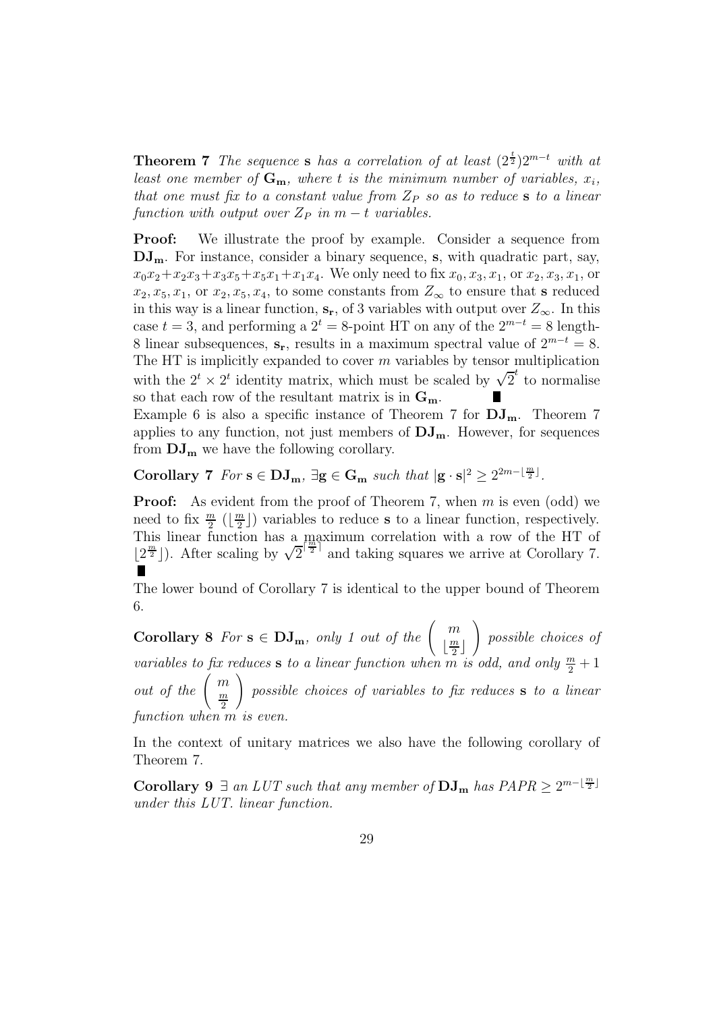**Theorem 7** The sequence s has a correlation of at least  $(2^{\frac{t}{2}})2^{m-t}$  with at least one member of  $G_m$ , where t is the minimum number of variables,  $x_i$ , that one must fix to a constant value from  $Z_P$  so as to reduce s to a linear function with output over  $Z_P$  in  $m-t$  variables.

**Proof:** We illustrate the proof by example. Consider a sequence from  $DJ_{m}$ . For instance, consider a binary sequence, s, with quadratic part, say,  $x_0x_2+x_2x_3+x_3x_5+x_5x_1+x_1x_4$ . We only need to fix  $x_0, x_3, x_1$ , or  $x_2, x_3, x_1$ , or  $x_2, x_5, x_1$ , or  $x_2, x_5, x_4$ , to some constants from  $Z_{\infty}$  to ensure that s reduced in this way is a linear function,  $s_r$ , of 3 variables with output over  $Z_{\infty}$ . In this case  $t = 3$ , and performing a  $2^t = 8$ -point HT on any of the  $2^{m-t} = 8$  length-8 linear subsequences,  $s_r$ , results in a maximum spectral value of  $2^{m-t} = 8$ . The HT is implicitly expanded to cover  $m$  variables by tensor multiplication with the  $2^t \times 2^t$  identity matrix, which must be scaled by  $\sqrt{2}^t$  to normalise so that each row of the resultant matrix is in  $G_m$ .

Example 6 is also a specific instance of Theorem 7 for  $DJ_m$ . Theorem 7 applies to any function, not just members of  $DJ_m$ . However, for sequences from  $DJ_{m}$  we have the following corollary.

Corollary 7  $For s \in DJ_m$ ,  $\exists g \in G_m$  such that  $|g \cdot s|^2 \geq 2^{2m - \lfloor \frac{m}{2} \rfloor}$ .

**Proof:** As evident from the proof of Theorem 7, when  $m$  is even (odd) we need to fix  $\frac{m}{2}$  ( $\lfloor \frac{m}{2} \rfloor$ ) variables to reduce s to a linear function, respectively. This linear function has a maximum correlation with a row of the HT of  $\lfloor 2^{\frac{m}{2}} \rfloor$ ). After scaling by  $\sqrt{2}^{\lceil \frac{m}{2} \rceil}$  and taking squares we arrive at Corollary 7.

The lower bound of Corollary 7 is identical to the upper bound of Theorem 6.

**Corollary 8** For  $s \in DJ_m$ , only 1 out of the  $\begin{pmatrix} m \\ \frac{m}{2} \end{pmatrix}$  $\left\lfloor \frac{m}{2} \right\rfloor$  $\frac{\pi}{2}$  $\setminus$ possible choices of variables to fix reduces s to a linear function when  $\overline{m}$  is odd, and only  $\frac{m}{2}+1$ out of the  $\left(\begin{array}{c}m\\m\end{array}\right)$ m 2  $\setminus$ possible choices of variables to fix reduces s to a linear function when m is even.

In the context of unitary matrices we also have the following corollary of Theorem 7.

Corollary 9  $\exists$  an LUT such that any member of  $\bf{DJ_m}$  has  $PAPR \geq 2^{m-\lfloor \frac{m}{2} \rfloor}$ under this LUT. linear function.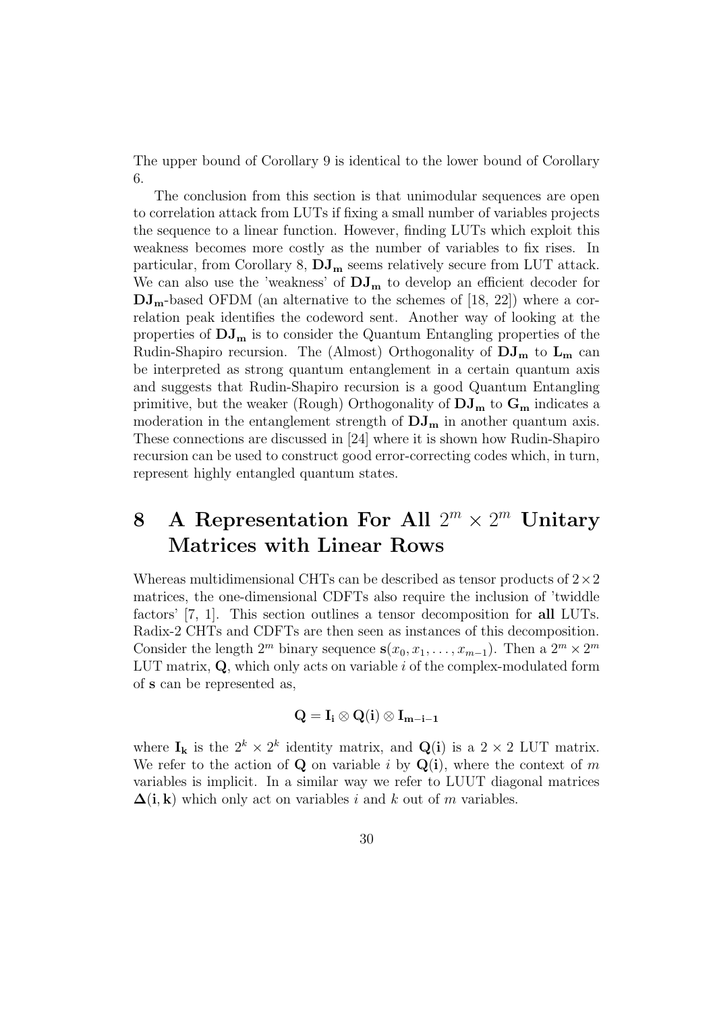The upper bound of Corollary 9 is identical to the lower bound of Corollary 6.

The conclusion from this section is that unimodular sequences are open to correlation attack from LUTs if fixing a small number of variables projects the sequence to a linear function. However, finding LUTs which exploit this weakness becomes more costly as the number of variables to fix rises. In particular, from Corollary 8,  $DJ_m$  seems relatively secure from LUT attack. We can also use the 'weakness' of  $DJ_{m}$  to develop an efficient decoder for  $\rm{DJ}_{m}$ -based OFDM (an alternative to the schemes of [18, 22]) where a correlation peak identifies the codeword sent. Another way of looking at the properties of  $DJ_{m}$  is to consider the Quantum Entangling properties of the Rudin-Shapiro recursion. The (Almost) Orthogonality of  $DJ_m$  to  $L_m$  can be interpreted as strong quantum entanglement in a certain quantum axis and suggests that Rudin-Shapiro recursion is a good Quantum Entangling primitive, but the weaker (Rough) Orthogonality of  $\rm{DJ}_{m}$  to  $\rm{G}_{m}$  indicates a moderation in the entanglement strength of  $DJ_{m}$  in another quantum axis. These connections are discussed in [24] where it is shown how Rudin-Shapiro recursion can be used to construct good error-correcting codes which, in turn, represent highly entangled quantum states.

# 8 A Representation For All  $2^m \times 2^m$  Unitary Matrices with Linear Rows

Whereas multidimensional CHTs can be described as tensor products of  $2\times 2$ matrices, the one-dimensional CDFTs also require the inclusion of 'twiddle factors' [7, 1]. This section outlines a tensor decomposition for all LUTs. Radix-2 CHTs and CDFTs are then seen as instances of this decomposition. Consider the length  $2^m$  binary sequence  $s(x_0, x_1, \ldots, x_{m-1})$ . Then a  $2^m \times 2^m$ LUT matrix,  $Q$ , which only acts on variable i of the complex-modulated form of s can be represented as,

$$
\mathbf{Q} = \mathbf{I}_i \otimes \mathbf{Q}(i) \otimes \mathbf{I}_{m-i-1}
$$

where  $I_k$  is the  $2^k \times 2^k$  identity matrix, and  $Q(i)$  is a  $2 \times 2$  LUT matrix. We refer to the action of **Q** on variable i by  $Q(i)$ , where the context of m variables is implicit. In a similar way we refer to LUUT diagonal matrices  $\Delta(i, k)$  which only act on variables i and k out of m variables.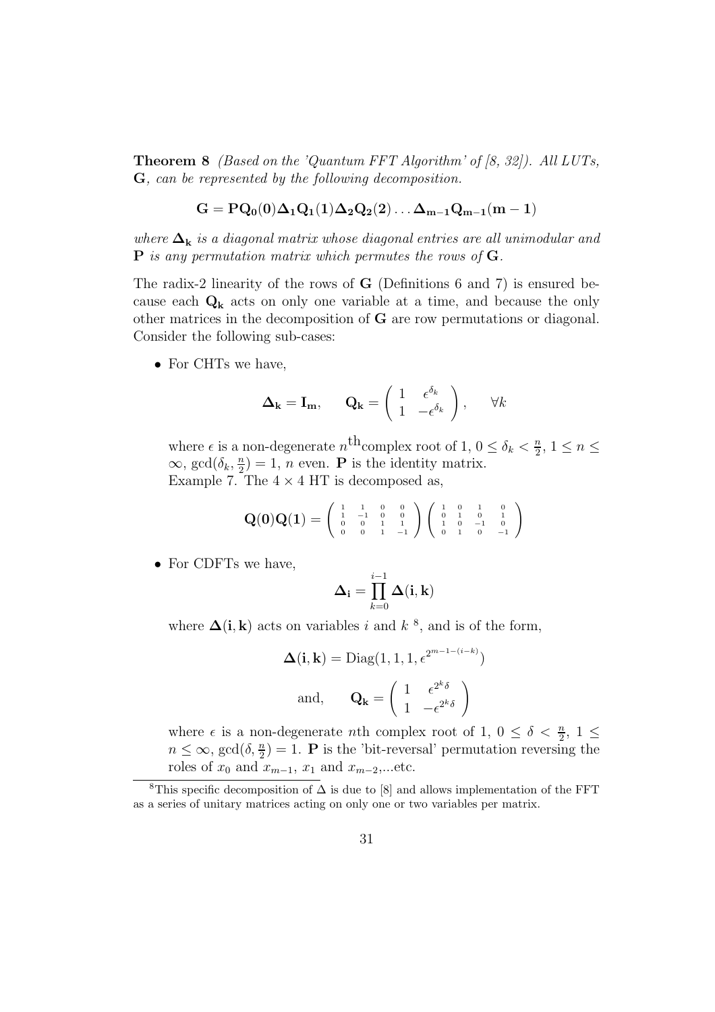**Theorem 8** (Based on the 'Quantum FFT Algorithm' of  $[8, 32]$ ). All LUTs, G, can be represented by the following decomposition.

$$
\mathbf{G} = \mathbf{P}\mathbf{Q_0}(0)\Delta_1\mathbf{Q_1}(1)\Delta_2\mathbf{Q_2}(2)\ldots\Delta_{m-1}\mathbf{Q_{m-1}}(m-1)
$$

where  $\Delta_k$  is a diagonal matrix whose diagonal entries are all unimodular and **P** is any permutation matrix which permutes the rows of  $G$ .

The radix-2 linearity of the rows of G (Definitions 6 and 7) is ensured because each  $\mathbf{Q}_{k}$  acts on only one variable at a time, and because the only other matrices in the decomposition of G are row permutations or diagonal. Consider the following sub-cases:

• For CHTs we have.

$$
\mathbf{\Delta}_{\mathbf{k}} = \mathbf{I}_{\mathbf{m}}, \qquad \mathbf{Q}_{\mathbf{k}} = \begin{pmatrix} 1 & \epsilon^{\delta_k} \\ 1 & -\epsilon^{\delta_k} \end{pmatrix}, \qquad \forall k
$$

where  $\epsilon$  is a non-degenerate  $n^{\text{th}}$ complex root of 1,  $0 \leq \delta_k < \frac{n}{2}$  $\frac{n}{2}, 1 \leq n \leq$  $\infty$ , gcd $(\delta_k, \frac{n}{2})$  $\binom{n}{2} = 1$ , *n* even. **P** is the identity matrix. Example 7. The  $4 \times 4$  HT is decomposed as,

$$
\mathbf{Q}(0)\mathbf{Q}(1) = \left(\begin{array}{cccc} 1 & 1 & 0 & 0 \\ 1 & -1 & 0 & 0 \\ 0 & 0 & 1 & 1 \\ 0 & 0 & 1 & -1 \end{array}\right) \left(\begin{array}{cccc} 1 & 0 & 1 & 0 \\ 0 & 1 & 0 & 1 \\ 1 & 0 & -1 & 0 \\ 0 & 1 & 0 & -1 \end{array}\right)
$$

• For CDFTs we have,

$$
\boldsymbol{\Delta}_{\mathbf{i}} = \prod_{k=0}^{i-1} \boldsymbol{\Delta}(\mathbf{i}, \mathbf{k})
$$

where  $\Delta(i, k)$  acts on variables i and  $k^8$ , and is of the form,

$$
\Delta(\mathbf{i}, \mathbf{k}) = \text{Diag}(1, 1, 1, \epsilon^{2^{m-1-(i-k)}})
$$
  
and, 
$$
\mathbf{Q}_{\mathbf{k}} = \begin{pmatrix} 1 & \epsilon^{2^k \delta} \\ 1 & -\epsilon^{2^k \delta} \end{pmatrix}
$$

where  $\epsilon$  is a non-degenerate *n*th complex root of 1,  $0 \leq \delta < \frac{n}{2}$  $\frac{n}{2}$ , 1  $\leq$  $n \leq \infty$ , gcd $(\delta, \frac{n}{2})$  $\binom{n}{2} = 1$ . **P** is the 'bit-reversal' permutation reversing the roles of  $x_0$  and  $x_{m-1}$ ,  $x_1$  and  $x_{m-2}$ ,...etc.

<sup>&</sup>lt;sup>8</sup>This specific decomposition of  $\Delta$  is due to [8] and allows implementation of the FFT as a series of unitary matrices acting on only one or two variables per matrix.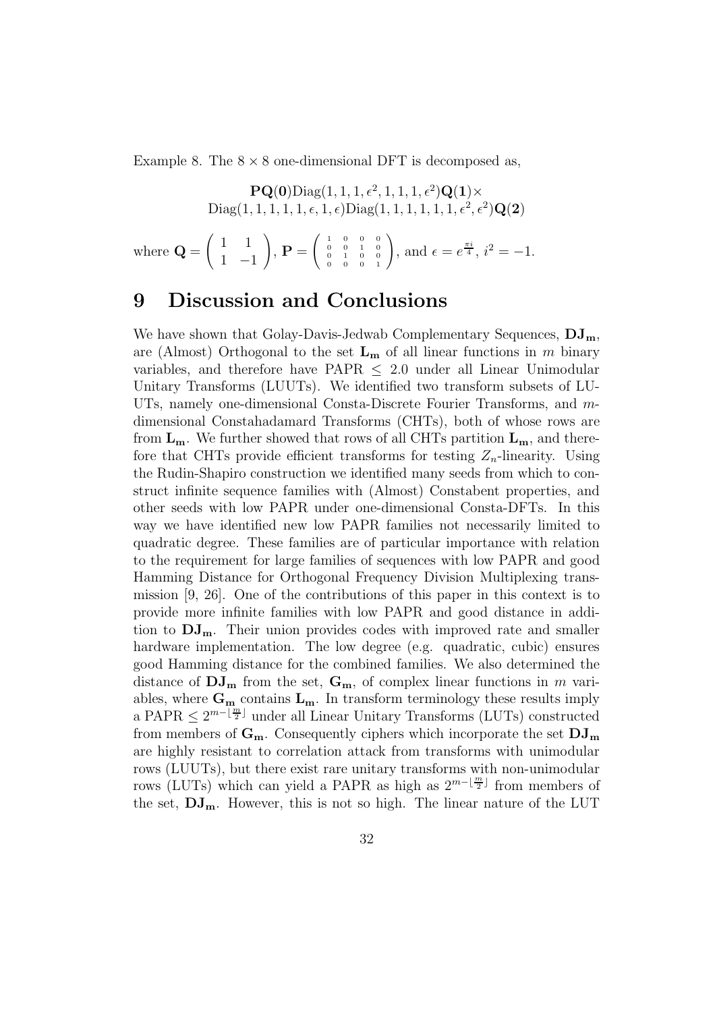Example 8. The  $8 \times 8$  one-dimensional DFT is decomposed as,

 $\mathbf{PQ(0)}$ Diag $(1, 1, 1, \epsilon^2, 1, 1, 1, \epsilon^2)$  $\mathbf{Q(1)} \times$  $Diag(1, 1, 1, 1, 1, \epsilon, 1, \epsilon)Diag(1, 1, 1, 1, 1, 1, \epsilon^2, \epsilon^2)\mathbf{Q(2)}$ 

where  $\mathbf{Q} =$  $(1 \ 1$  $1 -1$  $\setminus$ ,  ${\bf P}$   $=$  $\left(\begin{array}{cccccc} 1 & 0 & 0 & 0 \\ 0 & 0 & 1 & 0 \\ 0 & 1 & 0 & 0 \\ 0 & 0 & 0 & 1 \end{array}\right)$  $\setminus$ , and  $\epsilon = e^{\frac{\pi i}{4}}, i^2 = -1.$ 

## 9 Discussion and Conclusions

We have shown that Golay-Davis-Jedwab Complementary Sequences,  $DJ_m$ , are (Almost) Orthogonal to the set  $L_m$  of all linear functions in m binary variables, and therefore have PAPR  $\leq$  2.0 under all Linear Unimodular Unitary Transforms (LUUTs). We identified two transform subsets of LU-UTs, namely one-dimensional Consta-Discrete Fourier Transforms, and mdimensional Constahadamard Transforms (CHTs), both of whose rows are from  $L_m$ . We further showed that rows of all CHTs partition  $L_m$ , and therefore that CHTs provide efficient transforms for testing  $Z_n$ -linearity. Using the Rudin-Shapiro construction we identified many seeds from which to construct infinite sequence families with (Almost) Constabent properties, and other seeds with low PAPR under one-dimensional Consta-DFTs. In this way we have identified new low PAPR families not necessarily limited to quadratic degree. These families are of particular importance with relation to the requirement for large families of sequences with low PAPR and good Hamming Distance for Orthogonal Frequency Division Multiplexing transmission [9, 26]. One of the contributions of this paper in this context is to provide more infinite families with low PAPR and good distance in addition to  $DJ_{m}$ . Their union provides codes with improved rate and smaller hardware implementation. The low degree (e.g. quadratic, cubic) ensures good Hamming distance for the combined families. We also determined the distance of  $\bf{DJ_m}$  from the set,  $\bf{G_m}$ , of complex linear functions in m variables, where  $G_m$  contains  $L_m$ . In transform terminology these results imply a PAPR  $\leq 2^{m-\lfloor \frac{m}{2} \rfloor}$  under all Linear Unitary Transforms (LUTs) constructed from members of  $G_m$ . Consequently ciphers which incorporate the set  $DJ_m$ are highly resistant to correlation attack from transforms with unimodular rows (LUUTs), but there exist rare unitary transforms with non-unimodular rows (LUTs) which can yield a PAPR as high as  $2^{m-\lfloor \frac{m}{2} \rfloor}$  from members of the set,  $DJ_m$ . However, this is not so high. The linear nature of the LUT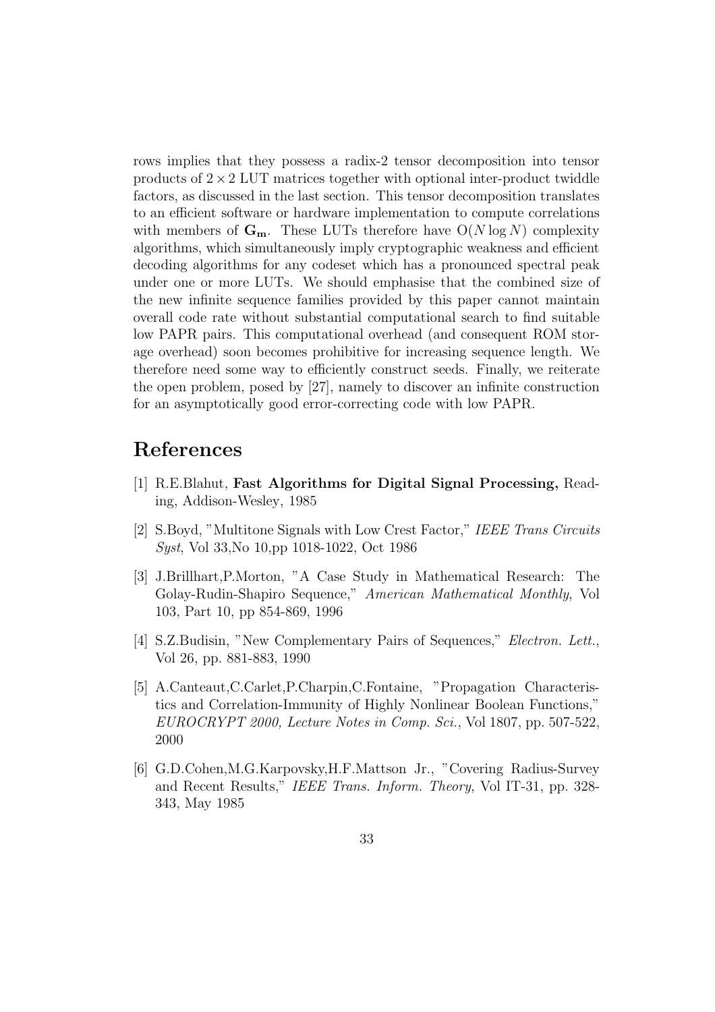rows implies that they possess a radix-2 tensor decomposition into tensor products of  $2 \times 2$  LUT matrices together with optional inter-product twiddle factors, as discussed in the last section. This tensor decomposition translates to an efficient software or hardware implementation to compute correlations with members of  $\mathbf{G}_{\mathbf{m}}$ . These LUTs therefore have  $O(N \log N)$  complexity algorithms, which simultaneously imply cryptographic weakness and efficient decoding algorithms for any codeset which has a pronounced spectral peak under one or more LUTs. We should emphasise that the combined size of the new infinite sequence families provided by this paper cannot maintain overall code rate without substantial computational search to find suitable low PAPR pairs. This computational overhead (and consequent ROM storage overhead) soon becomes prohibitive for increasing sequence length. We therefore need some way to efficiently construct seeds. Finally, we reiterate the open problem, posed by [27], namely to discover an infinite construction for an asymptotically good error-correcting code with low PAPR.

## References

- [1] R.E.Blahut, Fast Algorithms for Digital Signal Processing, Reading, Addison-Wesley, 1985
- [2] S.Boyd, "Multitone Signals with Low Crest Factor," IEEE Trans Circuits Syst, Vol 33,No 10,pp 1018-1022, Oct 1986
- [3] J.Brillhart,P.Morton, "A Case Study in Mathematical Research: The Golay-Rudin-Shapiro Sequence," American Mathematical Monthly, Vol 103, Part 10, pp 854-869, 1996
- [4] S.Z.Budisin, "New Complementary Pairs of Sequences," Electron. Lett., Vol 26, pp. 881-883, 1990
- [5] A.Canteaut,C.Carlet,P.Charpin,C.Fontaine, "Propagation Characteristics and Correlation-Immunity of Highly Nonlinear Boolean Functions," EUROCRYPT 2000, Lecture Notes in Comp. Sci., Vol 1807, pp. 507-522, 2000
- [6] G.D.Cohen,M.G.Karpovsky,H.F.Mattson Jr., "Covering Radius-Survey and Recent Results," IEEE Trans. Inform. Theory, Vol IT-31, pp. 328- 343, May 1985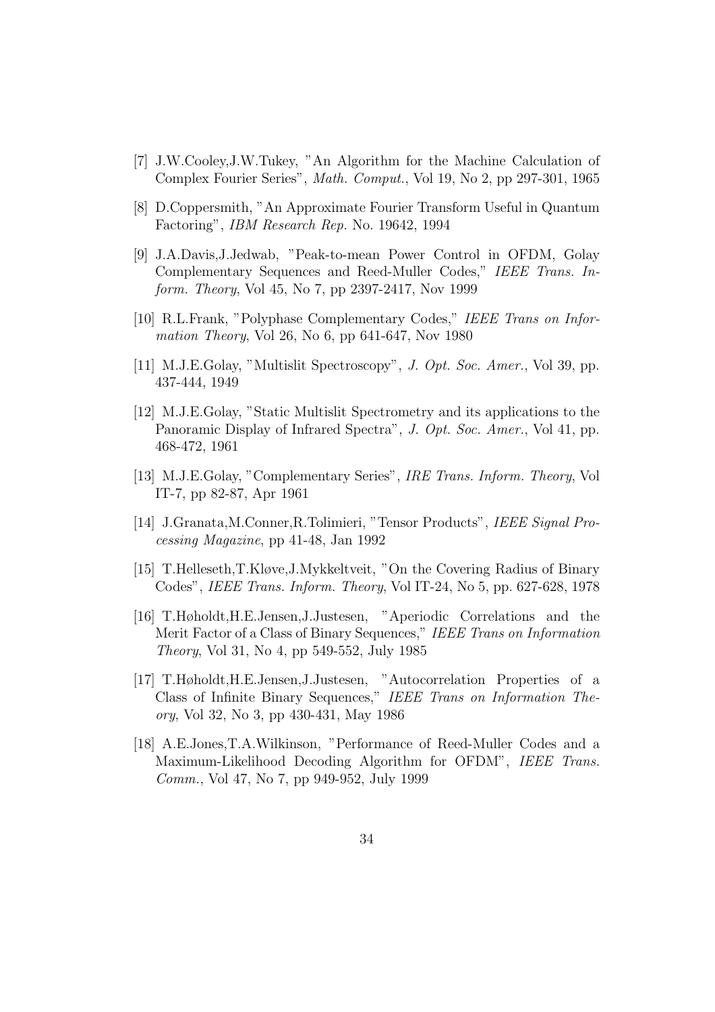- [7] J.W.Cooley,J.W.Tukey, "An Algorithm for the Machine Calculation of Complex Fourier Series", Math. Comput., Vol 19, No 2, pp 297-301, 1965
- [8] D.Coppersmith, "An Approximate Fourier Transform Useful in Quantum Factoring", IBM Research Rep. No. 19642, 1994
- [9] J.A.Davis,J.Jedwab, "Peak-to-mean Power Control in OFDM, Golay Complementary Sequences and Reed-Muller Codes," IEEE Trans. Inform. Theory, Vol 45, No 7, pp 2397-2417, Nov 1999
- [10] R.L.Frank, "Polyphase Complementary Codes," IEEE Trans on Information Theory, Vol 26, No 6, pp 641-647, Nov 1980
- [11] M.J.E.Golay, "Multislit Spectroscopy", J. Opt. Soc. Amer., Vol 39, pp. 437-444, 1949
- [12] M.J.E.Golay, "Static Multislit Spectrometry and its applications to the Panoramic Display of Infrared Spectra", J. Opt. Soc. Amer., Vol 41, pp. 468-472, 1961
- [13] M.J.E.Golay, "Complementary Series", IRE Trans. Inform. Theory, Vol IT-7, pp 82-87, Apr 1961
- [14] J.Granata,M.Conner,R.Tolimieri, "Tensor Products", IEEE Signal Processing Magazine, pp 41-48, Jan 1992
- [15] T.Helleseth,T.Kløve,J.Mykkeltveit, "On the Covering Radius of Binary Codes", IEEE Trans. Inform. Theory, Vol IT-24, No 5, pp. 627-628, 1978
- [16] T.Høholdt,H.E.Jensen,J.Justesen, "Aperiodic Correlations and the Merit Factor of a Class of Binary Sequences," IEEE Trans on Information Theory, Vol 31, No 4, pp 549-552, July 1985
- [17] T.Høholdt,H.E.Jensen,J.Justesen, "Autocorrelation Properties of a Class of Infinite Binary Sequences," IEEE Trans on Information Theory, Vol 32, No 3, pp 430-431, May 1986
- [18] A.E.Jones,T.A.Wilkinson, "Performance of Reed-Muller Codes and a Maximum-Likelihood Decoding Algorithm for OFDM", IEEE Trans. Comm., Vol 47, No 7, pp 949-952, July 1999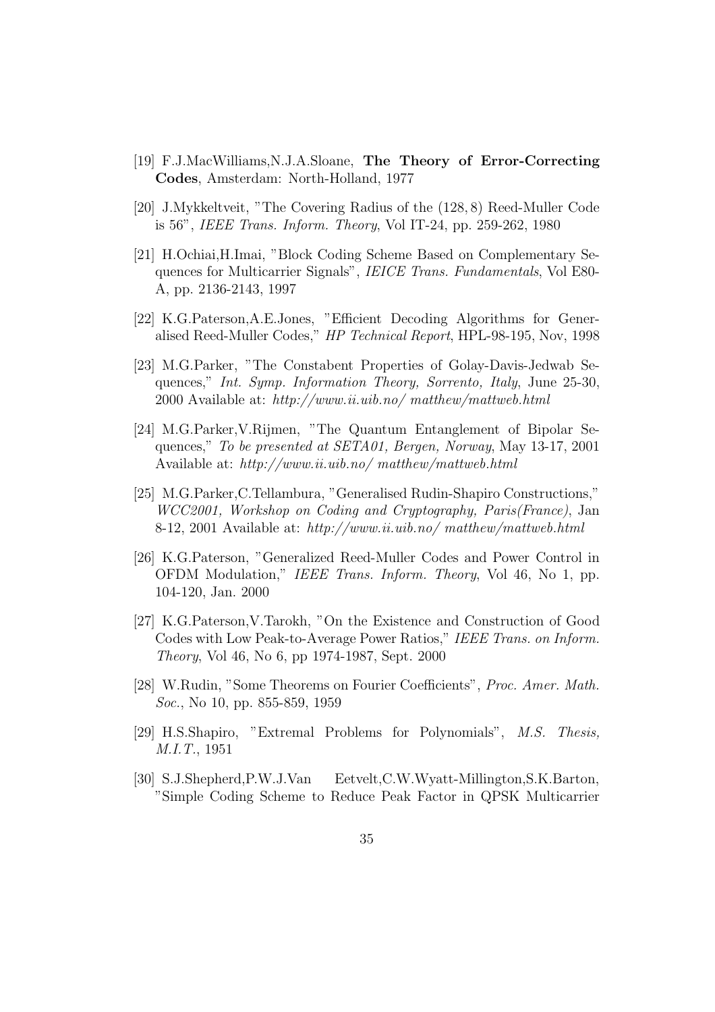- [19] F.J.MacWilliams,N.J.A.Sloane, The Theory of Error-Correcting Codes, Amsterdam: North-Holland, 1977
- [20] J.Mykkeltveit, "The Covering Radius of the (128, 8) Reed-Muller Code is 56", IEEE Trans. Inform. Theory, Vol IT-24, pp. 259-262, 1980
- [21] H.Ochiai,H.Imai, "Block Coding Scheme Based on Complementary Sequences for Multicarrier Signals", IEICE Trans. Fundamentals, Vol E80- A, pp. 2136-2143, 1997
- [22] K.G.Paterson,A.E.Jones, "Efficient Decoding Algorithms for Generalised Reed-Muller Codes," HP Technical Report, HPL-98-195, Nov, 1998
- [23] M.G.Parker, "The Constabent Properties of Golay-Davis-Jedwab Sequences," Int. Symp. Information Theory, Sorrento, Italy, June 25-30, 2000 Available at: http://www.ii.uib.no/ matthew/mattweb.html
- [24] M.G.Parker,V.Rijmen, "The Quantum Entanglement of Bipolar Sequences," To be presented at SETA01, Bergen, Norway, May 13-17, 2001 Available at: http://www.ii.uib.no/ matthew/mattweb.html
- [25] M.G.Parker,C.Tellambura, "Generalised Rudin-Shapiro Constructions," WCC2001, Workshop on Coding and Cryptography, Paris(France), Jan 8-12, 2001 Available at: http://www.ii.uib.no/ matthew/mattweb.html
- [26] K.G.Paterson, "Generalized Reed-Muller Codes and Power Control in OFDM Modulation," IEEE Trans. Inform. Theory, Vol 46, No 1, pp. 104-120, Jan. 2000
- [27] K.G.Paterson,V.Tarokh, "On the Existence and Construction of Good Codes with Low Peak-to-Average Power Ratios," IEEE Trans. on Inform. Theory, Vol 46, No 6, pp 1974-1987, Sept. 2000
- [28] W.Rudin, "Some Theorems on Fourier Coefficients", Proc. Amer. Math. Soc., No 10, pp. 855-859, 1959
- [29] H.S.Shapiro, "Extremal Problems for Polynomials", M.S. Thesis, M.I.T., 1951
- [30] S.J.Shepherd,P.W.J.Van Eetvelt,C.W.Wyatt-Millington,S.K.Barton, "Simple Coding Scheme to Reduce Peak Factor in QPSK Multicarrier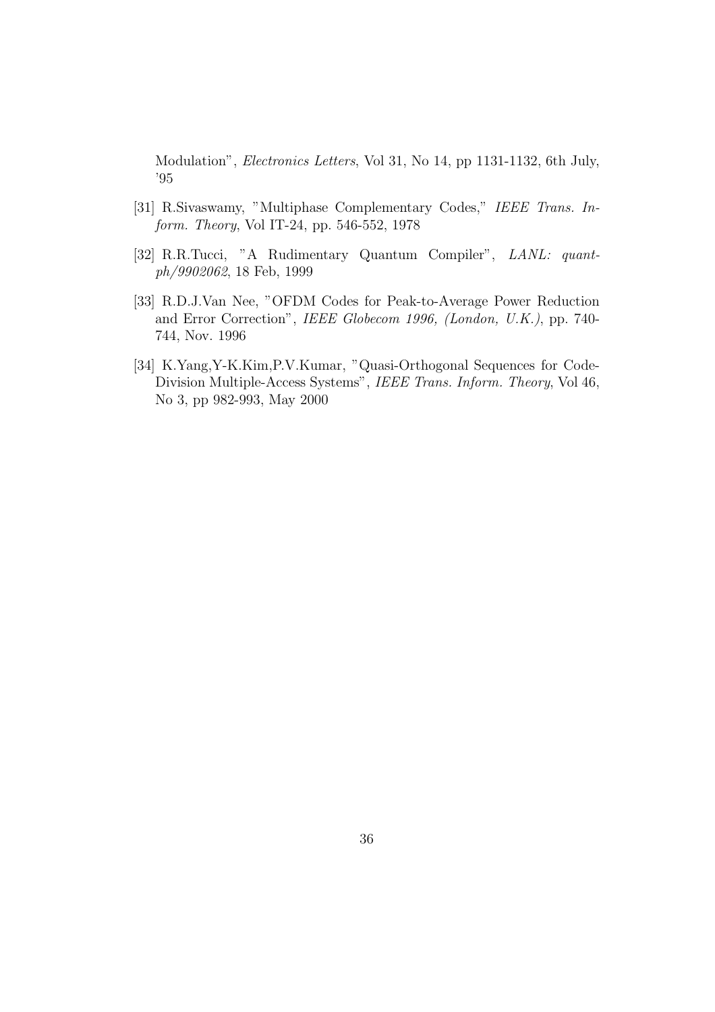Modulation", Electronics Letters, Vol 31, No 14, pp 1131-1132, 6th July, '95

- [31] R.Sivaswamy, "Multiphase Complementary Codes," IEEE Trans. Inform. Theory, Vol IT-24, pp. 546-552, 1978
- [32] R.R.Tucci, "A Rudimentary Quantum Compiler", LANL: quantph/9902062, 18 Feb, 1999
- [33] R.D.J.Van Nee, "OFDM Codes for Peak-to-Average Power Reduction and Error Correction", IEEE Globecom 1996, (London, U.K.), pp. 740- 744, Nov. 1996
- [34] K.Yang,Y-K.Kim,P.V.Kumar, "Quasi-Orthogonal Sequences for Code-Division Multiple-Access Systems", IEEE Trans. Inform. Theory, Vol 46, No 3, pp 982-993, May 2000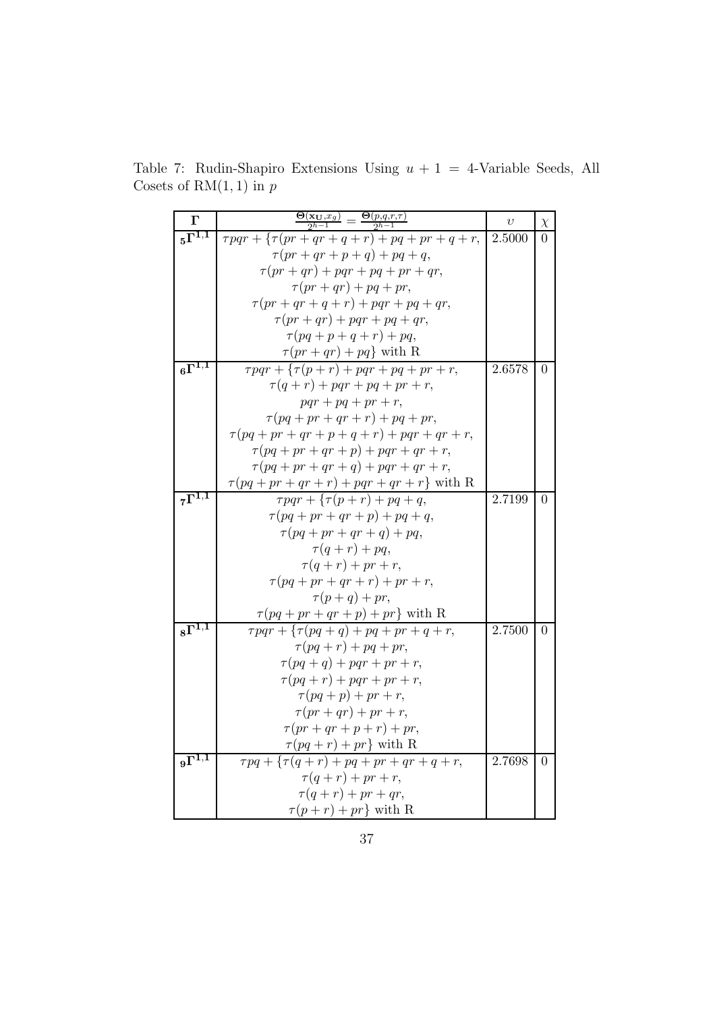Table 7: Rudin-Shapiro Extensions Using  $u + 1 = 4$ -Variable Seeds, All Cosets of  $\mathrm{RM}(1,1)$  in  $p$ 

| $\Gamma$                        | $\frac{\Theta(\mathbf{x_U},x_g)}{2^{h-1}}=\frac{\Theta(p,q,r,\tau)}{2^{h-1}}$    | $\upsilon$ | $\chi$         |
|---------------------------------|----------------------------------------------------------------------------------|------------|----------------|
| $5\overline{\Gamma^{1,1}}$      | $\tau pqr + {\tau (pr + qr + q + r) + pq + pr + q + r},$                         | 2.5000     | $\Omega$       |
|                                 | $\tau(pr+qr+p+q)+pq+q,$                                                          |            |                |
|                                 | $\tau(pr+qr)+pqr+pq+pr+qr,$                                                      |            |                |
|                                 | $\tau(pr+qr)+pq+pr,$                                                             |            |                |
|                                 | $\tau(pr+qr+q+r)+pqr+pq+qr,$                                                     |            |                |
|                                 | $\tau(pr+qr)+pqr+pq+qr,$                                                         |            |                |
|                                 | $\tau (pq+p+q+r)+pq,$                                                            |            |                |
|                                 | $\tau(pr+qr)+pq\}$ with R                                                        |            |                |
| $6\overline{\Gamma^{1,1}}$      | $\overline{\tau pqr} + \{ \tau(p+r) + pqr + pq + pr + r,$                        | 2.6578     | $\Omega$       |
|                                 | $\tau(q+r) + pqr + pq + pr + r,$                                                 |            |                |
|                                 | $pqr + pq + pr + r,$                                                             |            |                |
|                                 | $\tau (pq+pr+qr+r)+pq+pr,$                                                       |            |                |
|                                 | $\tau (pq + pr + qr + p + q + r) + pqr + qr + r,$                                |            |                |
|                                 | $\tau (pq+pr+qr+p)+pqr+qr+r,$                                                    |            |                |
|                                 | $\tau (pq+pr+qr+q)+pqr+qr+r,$                                                    |            |                |
|                                 | $\tau(pq+pr+qr+r)+pqr+qr+r$ with R                                               |            |                |
| $7\overline{\Gamma^{1,1}}$      | $\tau pqr + \{ \tau (p+r) + pq + q,$                                             | 2.7199     | $\Omega$       |
|                                 | $\tau (pq+pr+qr+p)+pq+q,$                                                        |            |                |
|                                 | $\tau (pq+pr+qr+q)+pq,$                                                          |            |                |
|                                 | $\tau(q+r)+pq,$                                                                  |            |                |
|                                 | $\tau(q+r) + pr + r,$                                                            |            |                |
|                                 | $\tau (pq + pr + qr + r) + pr + r,$                                              |            |                |
|                                 | $\tau(p+q)+pr,$                                                                  |            |                |
|                                 | $\tau(pq+pr+qr+p)+pr\}$ with R                                                   |            |                |
| $\overline{{}_{8}\Gamma^{1,1}}$ | $\tau pqr + \{\tau (pq+q) + pq + pr + q + r,$                                    | 2.7500     | $\Omega$       |
|                                 | $\tau (pq + r) + pq + pr,$                                                       |            |                |
|                                 | $\tau (pq + q) + pqr + pr + r,$                                                  |            |                |
|                                 | $\tau (pq + r) + pqr + pr + r,$                                                  |            |                |
|                                 | $\tau (pq+p) + pr + r,$                                                          |            |                |
|                                 | $\tau(pr+qr)+pr+r,$                                                              |            |                |
|                                 | $\tau(pr+qr+p+r)+pr,$                                                            |            |                |
| $9\overline{\Gamma^{1,1}}$      | $\tau(pq+r)+pr\}$ with R<br>$\overline{\tau pq + \{ \tau (q+r) + pq+pr+qr+q+r,}$ | 2.7698     | $\overline{0}$ |
|                                 | $\tau(q+r) + pr + r,$                                                            |            |                |
|                                 | $\tau(q+r) + pr + qr,$                                                           |            |                |
|                                 | $\tau(p+r)+pr\}$ with R                                                          |            |                |
|                                 |                                                                                  |            |                |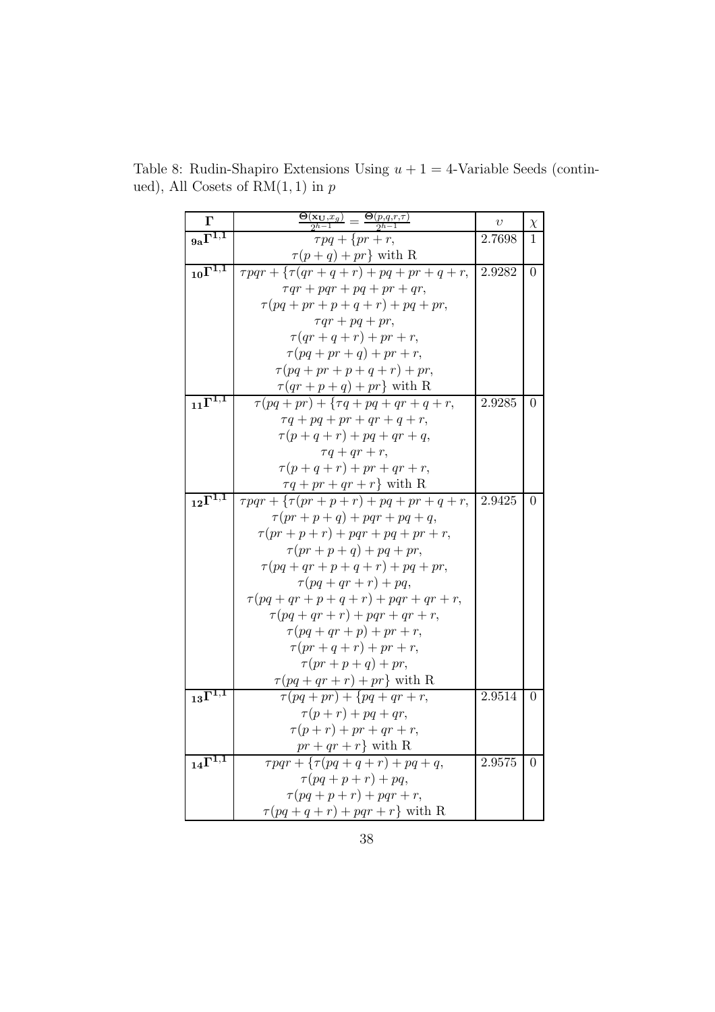| $\Gamma$                          | $=\frac{\Theta(p,q,r,\tau)}{2^{h-1}}$<br>$\frac{\Theta(\mathbf{x_U},x_g)}{2^{h-1}}$ =    | $\upsilon$ | $\chi$           |
|-----------------------------------|------------------------------------------------------------------------------------------|------------|------------------|
| $9a^{\overline{1^{1,1}}}$         | $\tau pq + \{pr + r,$                                                                    | 2.7698     | 1                |
|                                   | $\tau(p+q)+pr\}$ with R                                                                  |            |                  |
| $_{10}\overline{\Gamma^{1,1}}$    | $\overline{\tau pqr + \{\tau(qr + q + r) + pq + pr + q + r,}$                            | 2.9282     | $\boldsymbol{0}$ |
|                                   | $\tau qr + pqr + pq + pr + qr,$                                                          |            |                  |
|                                   | $\tau (pq+pr+p+q+r)+pq+pr,$                                                              |            |                  |
|                                   | $\tau qr + pq + pr,$                                                                     |            |                  |
|                                   | $\tau(qr+q+r) + pr + r,$                                                                 |            |                  |
|                                   | $\tau (pq+pr+q)+pr+r,$                                                                   |            |                  |
|                                   | $\tau (pq+pr+p+q+r)+pr,$                                                                 |            |                  |
|                                   | $\tau(qr+p+q)+pr\}$ with R                                                               |            |                  |
| $_{11}$ $\overline{\Gamma^{1,1}}$ | $\tau (pq + pr) + {\tau q + pq + qr + q + r},$                                           | 2.9285     | $\overline{0}$   |
|                                   | $\tau q + pq + pr + qr + q + r,$                                                         |            |                  |
|                                   | $\tau(p+q+r) + pq + qr + q,$                                                             |            |                  |
|                                   | $\tau q+qr+r,$                                                                           |            |                  |
|                                   | $\tau(p+q+r) + pr + qr + r,$                                                             |            |                  |
|                                   | $\tau q + pr + qr + r$ } with R                                                          |            |                  |
| $12\overline{\Gamma^{1,1}}$       | $\tau pqr + \left\{ \tau(pr+p+r) + pq + pr + q + r, \right.$                             | 2.9425     | $\overline{0}$   |
|                                   | $\tau(pr+p+q)+pqr+pq+q,$                                                                 |            |                  |
|                                   | $\tau(pr+p+r)+pqr+pq+pr+r,$                                                              |            |                  |
|                                   | $\tau(pr+p+q)+pq+pr,$                                                                    |            |                  |
|                                   | $\tau (pq + qr + p + q + r) + pq + pr,$                                                  |            |                  |
|                                   | $\tau (pq+qr+r)+pq,$                                                                     |            |                  |
|                                   | $\tau (pq+qr+p+q+r)+pqr+qr+r,$                                                           |            |                  |
|                                   | $\tau (pq+qr+r)+pqr+qr+r,$                                                               |            |                  |
|                                   | $\tau (pq+qr+p)+pr+r,$                                                                   |            |                  |
|                                   | $\tau(pr+q+r)+pr+r,$<br>$\tau(pr+p+q)+pr,$                                               |            |                  |
|                                   | $\tau (pq + qr + r) + pr$ with R                                                         |            |                  |
| $_{13} \overline{\Gamma^{1,1}}$   | $\tau (pq + pr) + \{pq + qr + r,$                                                        | 2.9514     | $\overline{0}$   |
|                                   | $\tau(p+r) + pq + qr,$                                                                   |            |                  |
|                                   | $\tau(p+r) + pr + qr + r,$                                                               |            |                  |
|                                   | $\ensuremath{\mathit{pr}} + \ensuremath{\mathit{qr}} + \ensuremath{\mathit{r}}$ } with R |            |                  |
| $_{14} \overline{\Gamma^{1,1}}$   | $\tau pqr + \{\tau (pq+q+r) + pq+q,$                                                     | 2.9575     | $\overline{0}$   |
|                                   | $\tau (pq + p + r) + pq,$                                                                |            |                  |
|                                   | $\tau (pq + p + r) + pqr + r,$                                                           |            |                  |
|                                   | $\tau (pq + q + r) + pqr + r$ with R                                                     |            |                  |

Table 8: Rudin-Shapiro Extensions Using  $u + 1 = 4$ -Variable Seeds (continued), All Cosets of  $\mathrm{RM}(1,1)$  in  $p$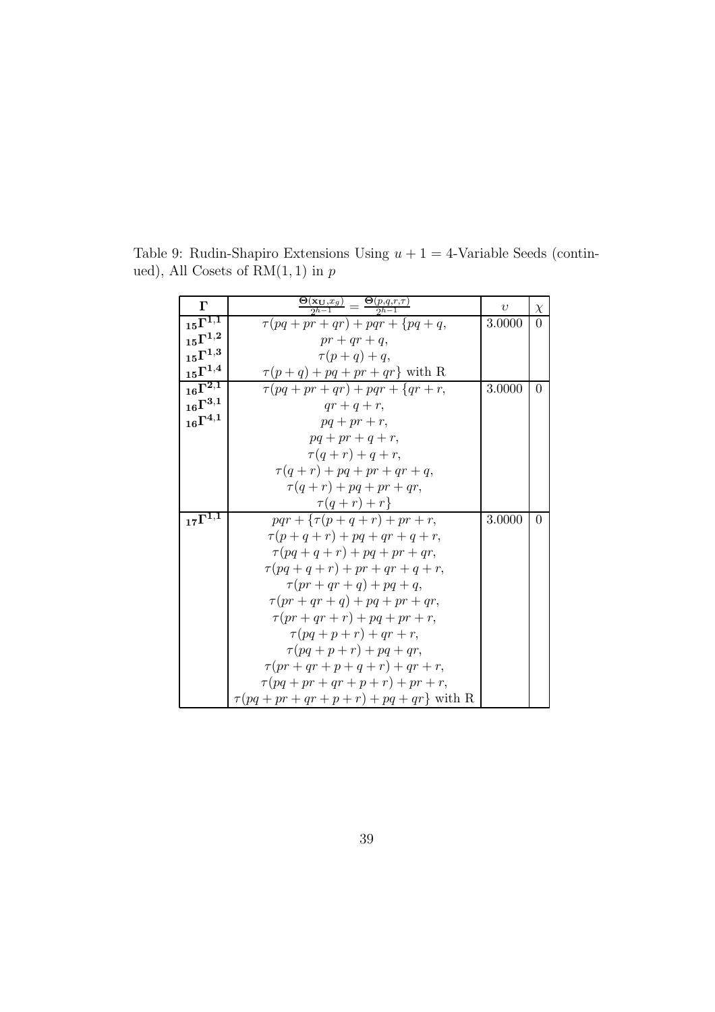| $\Gamma$                       | $\frac{\Theta(\mathbf{x_U},x_g)}{2^{h-1}}=\frac{\Theta(p,q,r,\tau)}{2^{h-1}}$ | $\upsilon$ | $\chi$   |
|--------------------------------|-------------------------------------------------------------------------------|------------|----------|
| $_{15}\overline{\Gamma^{1,1}}$ | $\tau (pq+pr+qr)+pqr+\lbrace pq+q,$                                           | 3.0000     | $\Omega$ |
| $_{15}\Gamma^{1,2}$            | $pr + qr + q$ ,                                                               |            |          |
| $_{15}\Gamma^{1,3}$            | $\tau(p+q)+q,$                                                                |            |          |
| $_{15}\Gamma^{1,4}$            | $\tau(p+q) + pq + pr + qr$ with R                                             |            |          |
| $_{16}\Gamma^{\overline{2,1}}$ | $\tau (pq + pr + qr) + pqr + \{qr + r,$                                       | 3.0000     | $\Omega$ |
| $_{16}\Gamma^{3,1}$            | $qr+q+r$ ,                                                                    |            |          |
| $_{16}\Gamma^{4,1}$            | $pq + pr + r$ ,                                                               |            |          |
|                                | $pq + pr + q + r$ ,                                                           |            |          |
|                                | $\tau(q+r)+q+r,$                                                              |            |          |
|                                | $\tau(q+r) + pq + pr + qr + q,$                                               |            |          |
|                                | $\tau(q+r) + pq + pr + qr,$                                                   |            |          |
|                                | $\tau(q+r)+r\}$                                                               |            |          |
| $_{17}\Gamma^{\overline{1,1}}$ | $pqr + \{ \tau (p + q + r) + pr + r,$                                         | 3.0000     | $\Omega$ |
|                                | $\tau(p+q+r) + pq + qr + q + r,$                                              |            |          |
|                                | $\tau (pq+q+r)+pq+pr+qr,$                                                     |            |          |
|                                | $\tau (pq + q + r) + pr + qr + q + r,$                                        |            |          |
|                                | $\tau(pr+qr+q)+pq+q,$                                                         |            |          |
|                                | $\tau(pr+qr+q)+pq+pr+qr,$                                                     |            |          |
|                                | $\tau(pr+qr+r)+pq+pr+r,$                                                      |            |          |
|                                | $\tau (pq+p+r)+qr+r,$                                                         |            |          |
|                                | $\tau (pq + p + r) + pq + qr,$                                                |            |          |
|                                | $\tau(pr+qr+p+q+r)+qr+r,$                                                     |            |          |
|                                | $\tau (pq+pr+qr+p+r)+pr+r,$                                                   |            |          |
|                                | $\tau(pq+pr+qr+p+r)+pq+qr\}$ with R                                           |            |          |

Table 9: Rudin-Shapiro Extensions Using  $u + 1 = 4$ -Variable Seeds (continued), All Cosets of  $\mathrm{RM}(1,1)$  in  $p$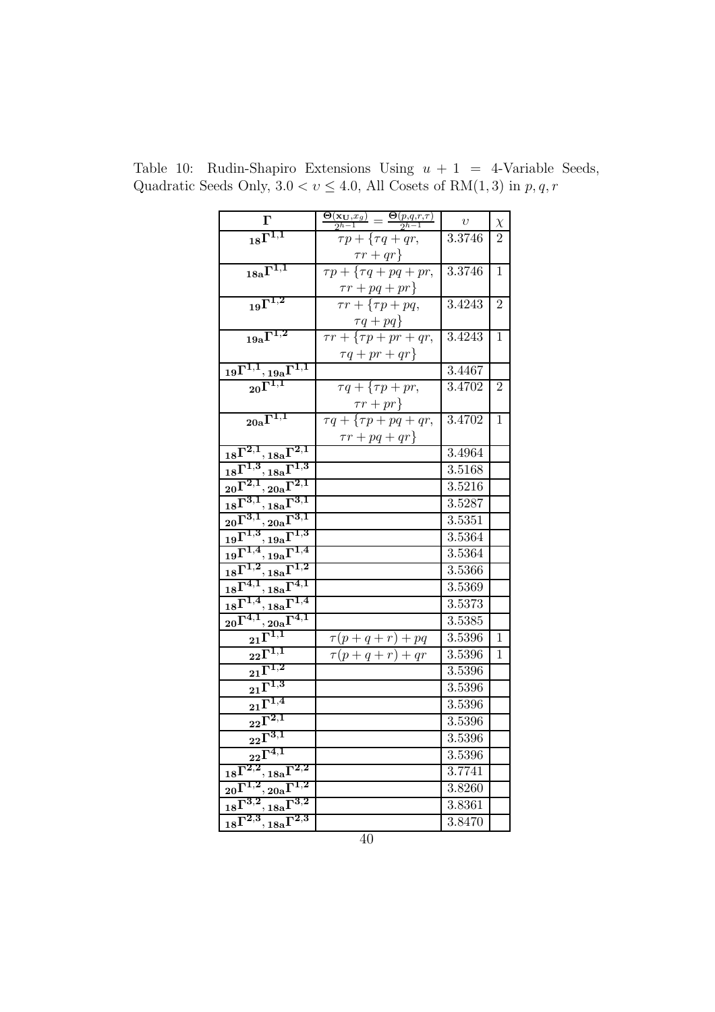| $\boldsymbol{\Gamma}$                                                                                                                                                                                                                                                                                                                                                                             | $\frac{\mathbf{\Theta}(\mathbf{x}_{\mathbf{U}},x_g)}{2^{h-1}}=\frac{\mathbf{\Theta}(p,q,r,\tau)}{2^{h-1}}$ | $\upsilon$ | $\chi$         |
|---------------------------------------------------------------------------------------------------------------------------------------------------------------------------------------------------------------------------------------------------------------------------------------------------------------------------------------------------------------------------------------------------|------------------------------------------------------------------------------------------------------------|------------|----------------|
| $18\overline{\Gamma^{1,1}}$                                                                                                                                                                                                                                                                                                                                                                       | $\tau p + \{\tau q + qr,$                                                                                  | 3.3746     | $\overline{2}$ |
|                                                                                                                                                                                                                                                                                                                                                                                                   |                                                                                                            |            |                |
| $_{18{\rm a}}\Gamma^{1,1}$                                                                                                                                                                                                                                                                                                                                                                        | $\frac{\tau r + qr}{\tau p + \{\tau q + pq + pr,}$                                                         | 3.3746     | 1              |
|                                                                                                                                                                                                                                                                                                                                                                                                   | $\frac{\tau r + pq + pr}{\tau r + {\tau p + pq,}}$                                                         |            |                |
| $19^{\Gamma^{1,2}}$                                                                                                                                                                                                                                                                                                                                                                               |                                                                                                            | 3.4243     | $\overline{2}$ |
|                                                                                                                                                                                                                                                                                                                                                                                                   | $\frac{\tau q + pq}{\tau r + \{\tau p + pr + qr,}$                                                         |            |                |
| $19a^{\overline{1^{1,2}}}$                                                                                                                                                                                                                                                                                                                                                                        |                                                                                                            | 3.4243     | 1              |
|                                                                                                                                                                                                                                                                                                                                                                                                   | $\tau q + pr + qr$                                                                                         |            |                |
| $\frac{{\rm 19}\Gamma^{1,1}, {\rm 19a}\Gamma^{1,1}}{{\rm 20}\Gamma^{1,1}}$                                                                                                                                                                                                                                                                                                                        |                                                                                                            | 3.4467     |                |
|                                                                                                                                                                                                                                                                                                                                                                                                   | $\tau q + \{\tau p + pr,$                                                                                  | 3.4702     | $\overline{2}$ |
|                                                                                                                                                                                                                                                                                                                                                                                                   | $\frac{\tau r+pr\}}{\tau q+\{\tau p+pq+qr,}$                                                               |            |                |
| $\overline{20{\rm a}\Gamma^{1,1}}$                                                                                                                                                                                                                                                                                                                                                                |                                                                                                            | 3.4702     | 1              |
|                                                                                                                                                                                                                                                                                                                                                                                                   | $\tau r + pq + qr$                                                                                         |            |                |
| $_{18}\Gamma^{2,1}, {}_{18a}\Gamma^{2,1}$                                                                                                                                                                                                                                                                                                                                                         |                                                                                                            | 3.4964     |                |
| $\frac{18^{\Gamma^2,1},18a^{\Gamma^2,1}}{18^{\Gamma^1,3},18a^{\Gamma^1,3}} \nonumber \ \frac{20^{\Gamma^{2,1}},20a^{\Gamma^{2,1}}}{18^{\Gamma^{3,1}},18a^{\Gamma^{3,1}}},\ \frac{20^{\Gamma^{3,1}},20a^{\Gamma^{3,1}}}{19^{\Gamma^{1,3}},19a^{\Gamma^{1,3}}},\ \frac{19^{\Gamma^{1,4}},19a^{\Gamma^{1,3}}}{18^{\Gamma^{1,2}},18a^{\Gamma^{1,2}}},\ \frac{18^{\Gamma^{4,1}},18a^{\Gamma^{4,1}}}{1$ |                                                                                                            | 3.5168     |                |
|                                                                                                                                                                                                                                                                                                                                                                                                   |                                                                                                            | 3.5216     |                |
|                                                                                                                                                                                                                                                                                                                                                                                                   |                                                                                                            | 3.5287     |                |
|                                                                                                                                                                                                                                                                                                                                                                                                   |                                                                                                            | 3.5351     |                |
|                                                                                                                                                                                                                                                                                                                                                                                                   |                                                                                                            | 3.5364     |                |
|                                                                                                                                                                                                                                                                                                                                                                                                   |                                                                                                            | 3.5364     |                |
|                                                                                                                                                                                                                                                                                                                                                                                                   |                                                                                                            | 3.5366     |                |
|                                                                                                                                                                                                                                                                                                                                                                                                   |                                                                                                            | 3.5369     |                |
|                                                                                                                                                                                                                                                                                                                                                                                                   |                                                                                                            | 3.5373     |                |
| $_{20}\Gamma^{4,1}, {}_{20\mathrm{a}}\Gamma^{4,1}$                                                                                                                                                                                                                                                                                                                                                |                                                                                                            | 3.5385     |                |
| $_{21}\overline{\Gamma^{1,1}}$                                                                                                                                                                                                                                                                                                                                                                    | $\tau(p+q+r)+pq$                                                                                           | 3.5396     | 1              |
| $\overline{{\text{22}}} \overline{\Gamma^{1,1}}$                                                                                                                                                                                                                                                                                                                                                  | $\tau(p+q+r)+qr$                                                                                           | 3.5396     | 1              |
| $\mathbf{21}^{\overline{\mathbf{1}^{1,2}}}$                                                                                                                                                                                                                                                                                                                                                       |                                                                                                            | 3.5396     |                |
| $\mathbb{E}^{\overline{\Gamma^{1,3}}}$                                                                                                                                                                                                                                                                                                                                                            |                                                                                                            | 3.5396     |                |
| $21^{\overline{1,4}}$                                                                                                                                                                                                                                                                                                                                                                             |                                                                                                            | 3.5396     |                |
| $_{22}\bar{\Gamma}^{2,1}$                                                                                                                                                                                                                                                                                                                                                                         |                                                                                                            | 3.5396     |                |
| $_{22}\bar{\Gamma}^{3,1}$                                                                                                                                                                                                                                                                                                                                                                         |                                                                                                            | 3.5396     |                |
| $_{22}\overline{\Gamma^{4,1}}$                                                                                                                                                                                                                                                                                                                                                                    |                                                                                                            | 3.5396     |                |
| $_{18}\Gamma^{2,2}, {}_{18a}\Gamma^{2,2}$                                                                                                                                                                                                                                                                                                                                                         |                                                                                                            | 3.7741     |                |
|                                                                                                                                                                                                                                                                                                                                                                                                   |                                                                                                            | 3.8260     |                |
| $\frac{1}{18}\overline{\Gamma}^{3,2},\frac{20a}{18a}\overline{\Gamma}^{1,2}$<br>$\frac{18}{18}\overline{\Gamma}^{3,2},\frac{18a}{18a}\overline{\Gamma}^{2,3}$                                                                                                                                                                                                                                     |                                                                                                            | 3.8361     |                |
|                                                                                                                                                                                                                                                                                                                                                                                                   |                                                                                                            | 3.8470     |                |

Table 10: Rudin-Shapiro Extensions Using  $u + 1 = 4$ -Variable Seeds, Quadratic Seeds Only,  $3.0 < \upsilon \le 4.0,$  All Cosets of  $\mathrm{RM}(1,3)$  in  $p,q,r$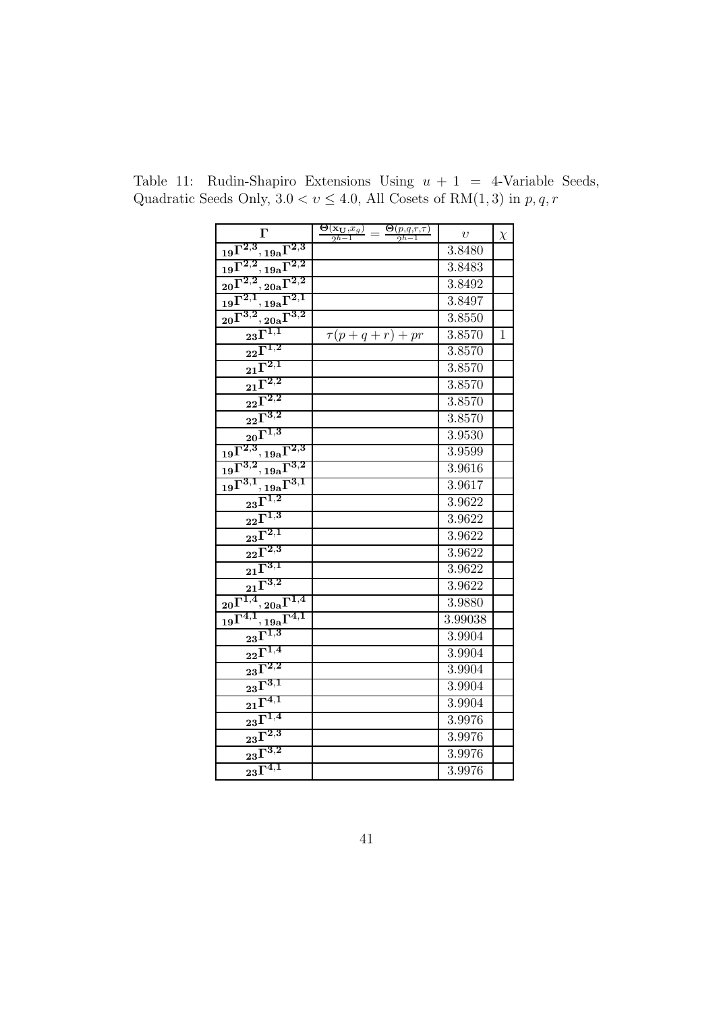| $\Gamma$                                                                           | $\frac{\Theta(\mathbf{x_U},x_g)}{2^{h-1}}=\frac{\Theta(p,q,r,\tau)}{2^{h-1}}$ | $\upsilon$ | $\chi$       |
|------------------------------------------------------------------------------------|-------------------------------------------------------------------------------|------------|--------------|
| $_{19}\Gamma^{2,3},{}_{19a}\Gamma^{2,3}$                                           |                                                                               | 3.8480     |              |
| $_{19}\Gamma^{2,2}, {}_{19a}\Gamma^{2,2}$                                          |                                                                               | 3.8483     |              |
| ${_{20}}\Gamma^{2,2}, {_{20a}}\Gamma^{2,2}$                                        |                                                                               | 3.8492     |              |
| $_{19}\Gamma^{2,1}, {}_{19a}\Gamma^{2,1}$                                          |                                                                               | 3.8497     |              |
| $_{20}\Gamma^{3,2},{}_{20\mathrm{a}}\Gamma^{3,2}$                                  |                                                                               | 3.8550     |              |
| $_{23}\overline{\Gamma^{1,1}}$                                                     | $\tau(p+q+r)+pr$                                                              | 3.8570     | $\mathbf{1}$ |
| $\overline{2^2}\overline{\Gamma^{1,2}}$                                            |                                                                               | 3.8570     |              |
| $\sqrt{21}^{\overline{\Gamma^{2,1}}}$                                              |                                                                               | 3.8570     |              |
| $\overline{{}_{21}{\Gamma}^{2,2}}$                                                 |                                                                               | 3.8570     |              |
| $\overline{{\text{22}}}^{\overline{\Gamma^{2,2}}}$                                 |                                                                               | 3.8570     |              |
| $\overline{2^2}\overline{\Gamma^{3,2}}$                                            |                                                                               | 3.8570     |              |
| $\overline{20}^{\overline{1,3}}$                                                   |                                                                               | 3.9530     |              |
| $_{19}\Gamma^{2,3}, {}_{19a}\Gamma^{2,3}$                                          |                                                                               | 3.9599     |              |
| $\overline{19\Gamma^{3,2},19\mathrm{a}\Gamma^{3,2}}$                               |                                                                               | 3.9616     |              |
| $\overline{19} \overline{\Gamma^{3,1}}$<br>$\frac{19a}{2} \overline{\Gamma^{3,1}}$ |                                                                               | 3.9617     |              |
| $23\overline{\Gamma^{1,2}}$                                                        |                                                                               | 3.9622     |              |
| $\overline{2^2}\overline{\Gamma^{1,3}}$                                            |                                                                               | 3.9622     |              |
| $23^{\overline{\Gamma^{2,1}}}$                                                     |                                                                               | 3.9622     |              |
| $\sqrt{22^{\Gamma^{2,3}}}$                                                         |                                                                               | 3.9622     |              |
| $21^{\overline{\Gamma^{3,1}}}$                                                     |                                                                               | 3.9622     |              |
| $21^{\overline{\Gamma^{3,2}}}$                                                     |                                                                               | 3.9622     |              |
| $_{20}\Gamma^{1,4},_{20{\rm a}}\Gamma^{1,4}$                                       |                                                                               | 3.9880     |              |
| $_{19}\overline{\Gamma^{4,1}}^{'}$<br>$\frac{19a}{\Gamma^{4,1}}$                   |                                                                               | 3.99038    |              |
| $_{23}\bar{\Gamma}^{1,3}$                                                          |                                                                               | 3.9904     |              |
| $\overline{2^2}\overline{\Gamma^{1,4}}$                                            |                                                                               | 3.9904     |              |
| $23^{\overline{\Gamma^{2,2}}}$                                                     |                                                                               | 3.9904     |              |
| $\overline{{\text{23}}}^{\overline{\text{1}}^{\overline{3},1}}$                    |                                                                               | 3.9904     |              |
| $21^{\overline{\Gamma^{4,1}}}$                                                     |                                                                               | 3.9904     |              |
| $\overline{{}^{23}\Gamma^{1,4}}$                                                   |                                                                               | 3.9976     |              |
| $\sqrt{231}^{\overline{12,3}}$                                                     |                                                                               | 3.9976     |              |
| $\sqrt{23\Gamma ^{3,2}}$                                                           |                                                                               | 3.9976     |              |
| $23\overline{\Gamma^{4,1}}$                                                        |                                                                               | 3.9976     |              |

Table 11: Rudin-Shapiro Extensions Using  $u + 1 = 4$ -Variable Seeds, Quadratic Seeds Only,  $3.0 < v \leq 4.0$ , All Cosets of RM(1, 3) in p, q, r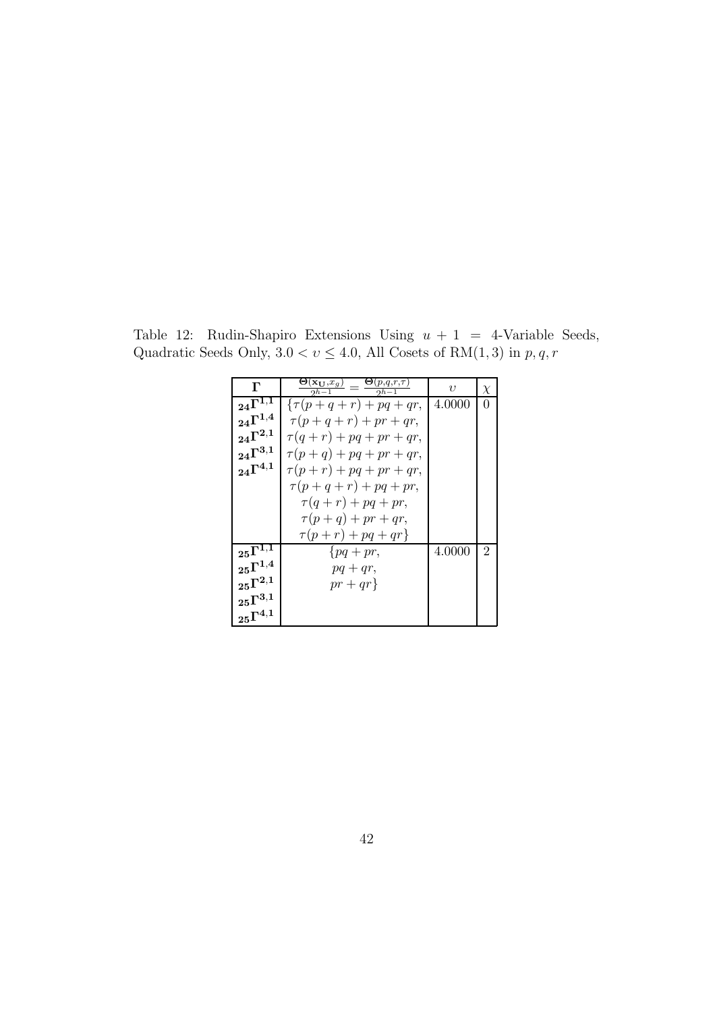| $\Gamma$                       | $\frac{\Theta(\mathbf{x_U},x_g)}{2^{h-1}}=\frac{\Theta(p,q,r,\tau)}{2^{h-1}}$ | $\eta$ | $\chi$ |
|--------------------------------|-------------------------------------------------------------------------------|--------|--------|
| $_{24}\Gamma^{1,\overline{1}}$ | $\{\tau(p+q+r)+pq+qr,$                                                        | 4.0000 | 0      |
| $_{24}\Gamma^{1,4}$            | $\tau(p+q+r)+pr+qr,$                                                          |        |        |
| $_{24}\Gamma^{2,1}$            | $\tau(q+r) + pq + pr + qr,$                                                   |        |        |
| $_{24}\Gamma^{3,1}$            | $\tau(p+q)+pq+pr+qr,$                                                         |        |        |
| $24\Gamma^{4,1}$               | $\tau(p+r) + pq + pr + qr,$                                                   |        |        |
|                                | $\tau(p+q+r)+pq+pr,$                                                          |        |        |
|                                | $\tau(q+r) + pq + pr,$                                                        |        |        |
|                                | $\tau(p+q) + pr + qr$ ,                                                       |        |        |
|                                | $\tau(p+r)+pq+qr$                                                             |        |        |
| $_{25}\Gamma^{1,1}$            | $\{pq+pr,$                                                                    | 4.0000 | 2      |
| $\mathrm{_{25}\Gamma^{1,4}}$   | $pq+qr,$                                                                      |        |        |
| $_{25}\Gamma^{2,1}$            | $pr+qr$                                                                       |        |        |
| $_{25}\Gamma^{3,1}$            |                                                                               |        |        |
| $\mathrm{_{25}\Gamma^{4,1}}$   |                                                                               |        |        |

Table 12: Rudin-Shapiro Extensions Using  $u + 1 = 4$ -Variable Seeds, Quadratic Seeds Only,  $3.0 < v \leq 4.0$ , All Cosets of RM(1, 3) in p, q, r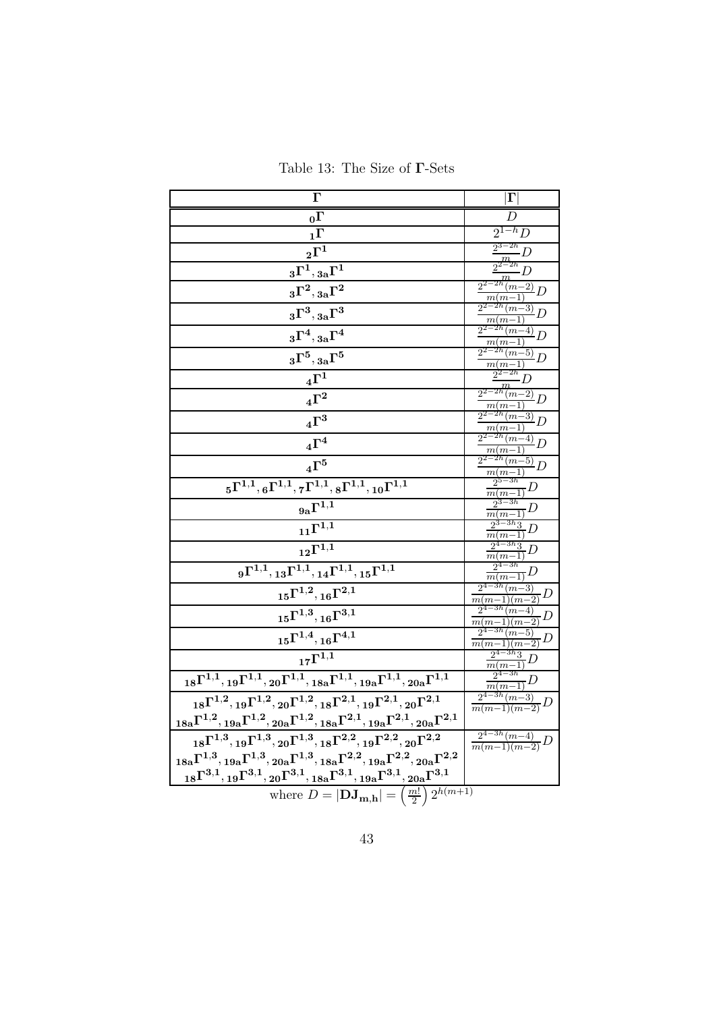Table 13: The Size of Γ-Sets

| $\Gamma$                                                                                                                                                                                                                                                                | $ \Gamma $                                           |
|-------------------------------------------------------------------------------------------------------------------------------------------------------------------------------------------------------------------------------------------------------------------------|------------------------------------------------------|
| $_0\Gamma$                                                                                                                                                                                                                                                              | D                                                    |
| $1\Gamma$                                                                                                                                                                                                                                                               | $2^{1-h}D$                                           |
| $\boldsymbol{_{2}\Gamma^{1}}$                                                                                                                                                                                                                                           | $\frac{1}{2^{3-2h}}D$                                |
| $\boldsymbol{_{3}\Gamma^{1}},\boldsymbol{_{3a}\Gamma^{1}}$                                                                                                                                                                                                              | $\frac{m}{2^{2-2h}}$<br>$\frac{1}{m}D$               |
| $\,_{3}\Gamma^{2}, {}_{3\mathrm{a}}\Gamma^{2}$                                                                                                                                                                                                                          | $\frac{2^{2-2h}(m-2)}{h}D$<br>$m(m-1)$               |
| $_3\Gamma^3,{}_{3\rm a}\Gamma^3$                                                                                                                                                                                                                                        | $2^{2-2h}$ $(m-3)$ $D$<br>$m(m-1)$                   |
| $_3\Gamma^4,{}_{3\rm a}\Gamma^4$                                                                                                                                                                                                                                        | $\frac{2^{2-2h}(m-4)}{h}D$<br>$m(m-1)$               |
| $\boldsymbol{_{3}\Gamma^{5}},\boldsymbol{_{3a}\Gamma^{5}}$                                                                                                                                                                                                              | $\frac{2^{2-2h}(m-5)}{h}D$<br>$m(m-1)$               |
| $\,4\Gamma^1$                                                                                                                                                                                                                                                           | $\frac{\frac{2^{2-2h}}{2^{2-2h}}}{m}$                |
| $\,4\Gamma^2$                                                                                                                                                                                                                                                           | $\frac{2^{2-2h}(m-2)}{m(m-1)}D$                      |
| $\,4\Gamma^3$                                                                                                                                                                                                                                                           | $\frac{2^{2-2h}(m-3)}{2}D$<br>$m(m-1)$               |
| $\,4\Gamma^4$                                                                                                                                                                                                                                                           | $\frac{2^{2-2h}(m-4)}{m(m-1)}D$                      |
| $_4\Gamma^5$                                                                                                                                                                                                                                                            | $\frac{2^{2-2h}(m-5)}{2}D$<br>$\frac{m(m-1)}{m}$     |
| $\overline{{}_{5}\Gamma^{1,1},{_{6}\Gamma^{1,1}}}, {_{7}\Gamma^{1,1}},{_{8}\Gamma^{1,1}},{_{10}\Gamma^{1,1}}$                                                                                                                                                           | $2^{5-3h}$<br>$\frac{m(m-1)}{c^2}D$                  |
| $_{9a}\Gamma^{\overline{1,1}}$                                                                                                                                                                                                                                          | $2^{3-3h}$<br>$\frac{m(m-1)}{2}D$                    |
| $_{11}\Gamma^{\overline{1,1}}$                                                                                                                                                                                                                                          | $\frac{2^{3-3h}3}{m(m-1)}D$                          |
| $_{12}\Gamma^{1,\overline{1}}$                                                                                                                                                                                                                                          | $\frac{2^{4-3h}3}{m(m-1)}D$                          |
| $_{9}\Gamma^{1,1}, {}_{13}\Gamma^{1,1}, {}_{14}\Gamma^{1,1}, {}_{15}\Gamma^{1,1}$                                                                                                                                                                                       | $2^{4-3h}$<br>$\frac{m(m-1)}{m(m-1)}D$               |
| $_{15}\Gamma^{1,2}, {}_{16}\Gamma^{2,1}$                                                                                                                                                                                                                                | $2^{4-3h}(m-3)$<br>$\frac{m(m-1)(m-2)}{m(m-2)}D$     |
| $_{15}\Gamma^{1,3}, _{16}\Gamma^{3,1}$                                                                                                                                                                                                                                  | $2^{4-3h}(m-4)$<br>$\frac{1}{m(m-1)(m-2)}D$          |
| $_{15}\Gamma^{1,4}, _{16}\Gamma^{4,1}$                                                                                                                                                                                                                                  | $2^{4-3h}$ $(m-5)$<br>- D<br>$\frac{m(m-1)(m-2)}{m}$ |
| $_{17}\Gamma^{1,\overline{1}}$                                                                                                                                                                                                                                          | $\frac{2^{4-3h}3}{m(m-1)}D$                          |
| $\overline{_{18}\Gamma^{1,1}}, {}_{19}\Gamma^{1,1},{}_{20}\Gamma^{1,1},{}_{18a}\Gamma^{1,1},{}_{19a}\Gamma^{1,1},{}_{20a}\Gamma^{1,1}$                                                                                                                                  | $2^{4-3h}$<br>$\frac{m(m-1)}{m(m-1)}D$               |
| ${}_{18}\Gamma^{1,2},{}_{19}\Gamma^{1,2},{}_{20}\Gamma^{1,2},{}_{18}\Gamma^{2,1},{}_{19}\Gamma^{2,1},{}_{20}\Gamma^{2,1}$                                                                                                                                               | $2^{4-3h}(m-3)$<br>$\frac{O}{m(m-1)(m-2)}D$          |
| $_{18a}\Gamma^{1,2},_{19a}\Gamma^{1,2},_{20a}\Gamma^{1,2},_{18a}\Gamma^{2,1},_{19a}\Gamma^{2,1},_{20a}\Gamma^{2,1}$                                                                                                                                                     |                                                      |
| ${}_{18}\Gamma^{1,3},{}_{19}\Gamma^{1,3},{}_{20}\Gamma^{1,3},{}_{18}\Gamma^{2,2},{}_{19}\Gamma^{2,2},{}_{20}\Gamma^{2,2}$                                                                                                                                               | $\frac{2^{4-3h}(m-4)}{m(m-1)(m-2)}D$                 |
| $_{18a}\Gamma^{1,3}, {}_{19a}\Gamma^{1,3}, {}_{20a}\Gamma^{1,3}, {}_{18a}\Gamma^{2,2}, {}_{19a}\Gamma^{2,2}, {}_{20a}\Gamma^{2,2}$<br>${}_{18}\Gamma^{3,1}, {}_{19}\Gamma^{3,1}, {}_{20}\Gamma^{3,1}, {}_{18a}\Gamma^{3,1}, {}_{19a}\Gamma^{3,1}, {}_{20a}\Gamma^{3,1}$ |                                                      |
|                                                                                                                                                                                                                                                                         |                                                      |
| where $D =  \mathbf{DJ}_{\mathbf{m},\mathbf{h}}  = \left(\frac{m!}{2}\right) 2^{h(m+1)}$                                                                                                                                                                                |                                                      |